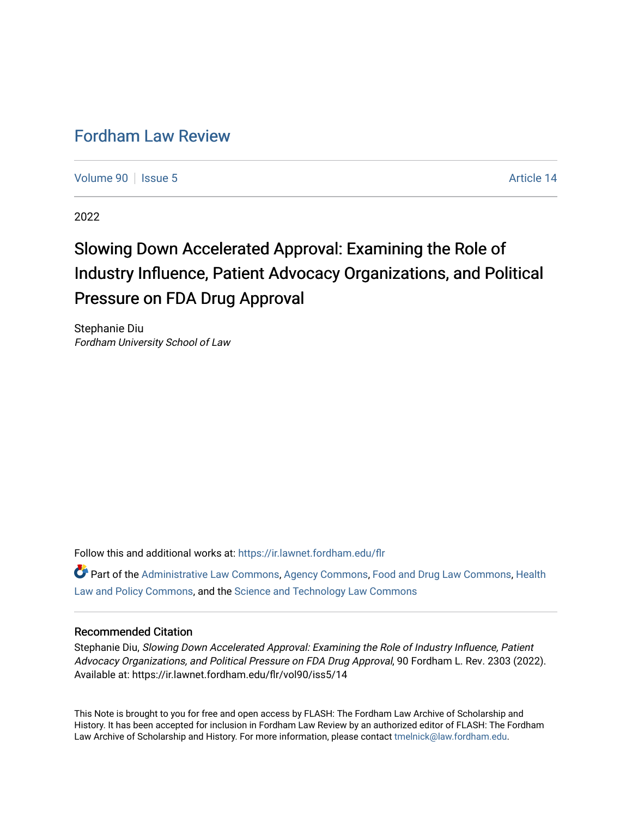# [Fordham Law Review](https://ir.lawnet.fordham.edu/flr)

[Volume 90](https://ir.lawnet.fordham.edu/flr/vol90) | [Issue 5](https://ir.lawnet.fordham.edu/flr/vol90/iss5) Article 14

2022

# Slowing Down Accelerated Approval: Examining the Role of Industry Influence, Patient Advocacy Organizations, and Political Pressure on FDA Drug Approval

Stephanie Diu Fordham University School of Law

Follow this and additional works at: [https://ir.lawnet.fordham.edu/flr](https://ir.lawnet.fordham.edu/flr?utm_source=ir.lawnet.fordham.edu%2Fflr%2Fvol90%2Fiss5%2F14&utm_medium=PDF&utm_campaign=PDFCoverPages)

Part of the [Administrative Law Commons,](http://network.bepress.com/hgg/discipline/579?utm_source=ir.lawnet.fordham.edu%2Fflr%2Fvol90%2Fiss5%2F14&utm_medium=PDF&utm_campaign=PDFCoverPages) [Agency Commons,](http://network.bepress.com/hgg/discipline/829?utm_source=ir.lawnet.fordham.edu%2Fflr%2Fvol90%2Fiss5%2F14&utm_medium=PDF&utm_campaign=PDFCoverPages) [Food and Drug Law Commons,](http://network.bepress.com/hgg/discipline/844?utm_source=ir.lawnet.fordham.edu%2Fflr%2Fvol90%2Fiss5%2F14&utm_medium=PDF&utm_campaign=PDFCoverPages) [Health](http://network.bepress.com/hgg/discipline/901?utm_source=ir.lawnet.fordham.edu%2Fflr%2Fvol90%2Fiss5%2F14&utm_medium=PDF&utm_campaign=PDFCoverPages) [Law and Policy Commons](http://network.bepress.com/hgg/discipline/901?utm_source=ir.lawnet.fordham.edu%2Fflr%2Fvol90%2Fiss5%2F14&utm_medium=PDF&utm_campaign=PDFCoverPages), and the [Science and Technology Law Commons](http://network.bepress.com/hgg/discipline/875?utm_source=ir.lawnet.fordham.edu%2Fflr%2Fvol90%2Fiss5%2F14&utm_medium=PDF&utm_campaign=PDFCoverPages)

# Recommended Citation

Stephanie Diu, Slowing Down Accelerated Approval: Examining the Role of Industry Influence, Patient Advocacy Organizations, and Political Pressure on FDA Drug Approval, 90 Fordham L. Rev. 2303 (2022). Available at: https://ir.lawnet.fordham.edu/flr/vol90/iss5/14

This Note is brought to you for free and open access by FLASH: The Fordham Law Archive of Scholarship and History. It has been accepted for inclusion in Fordham Law Review by an authorized editor of FLASH: The Fordham Law Archive of Scholarship and History. For more information, please contact [tmelnick@law.fordham.edu](mailto:tmelnick@law.fordham.edu).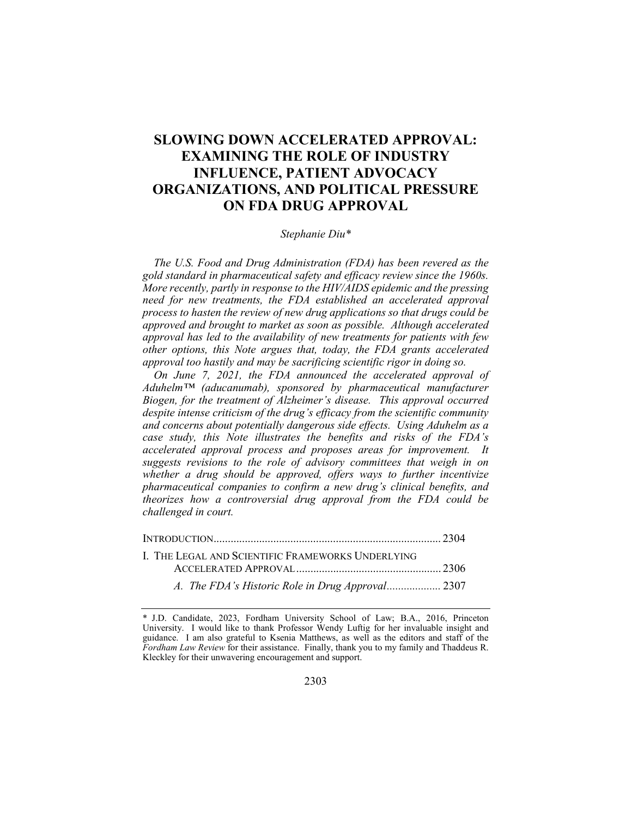# SLOWING DOWN ACCELERATED APPROVAL: EXAMINING THE ROLE OF INDUSTRY INFLUENCE, PATIENT ADVOCACY ORGANIZATIONS, AND POLITICAL PRESSURE ON FDA DRUG APPROVAL

#### Stephanie Diu\*

The U.S. Food and Drug Administration (FDA) has been revered as the gold standard in pharmaceutical safety and efficacy review since the 1960s. More recently, partly in response to the HIV/AIDS epidemic and the pressing need for new treatments, the FDA established an accelerated approval process to hasten the review of new drug applications so that drugs could be approved and brought to market as soon as possible. Although accelerated approval has led to the availability of new treatments for patients with few other options, this Note argues that, today, the FDA grants accelerated approval too hastily and may be sacrificing scientific rigor in doing so.

On June 7, 2021, the FDA announced the accelerated approval of Aduhelm™ (aducanumab), sponsored by pharmaceutical manufacturer Biogen, for the treatment of Alzheimer's disease. This approval occurred despite intense criticism of the drug's efficacy from the scientific community and concerns about potentially dangerous side effects. Using Aduhelm as a case study, this Note illustrates the benefits and risks of the FDA's accelerated approval process and proposes areas for improvement. It suggests revisions to the role of advisory committees that weigh in on whether a drug should be approved, offers ways to further incentivize pharmaceutical companies to confirm a new drug's clinical benefits, and theorizes how a controversial drug approval from the FDA could be challenged in court.

| I. THE LEGAL AND SCIENTIFIC FRAMEWORKS UNDERLYING |  |
|---------------------------------------------------|--|
|                                                   |  |
| A. The FDA's Historic Role in Drug Approval 2307  |  |

<sup>\*</sup> J.D. Candidate, 2023, Fordham University School of Law; B.A., 2016, Princeton University. I would like to thank Professor Wendy Luftig for her invaluable insight and guidance. I am also grateful to Ksenia Matthews, as well as the editors and staff of the Fordham Law Review for their assistance. Finally, thank you to my family and Thaddeus R. Kleckley for their unwavering encouragement and support.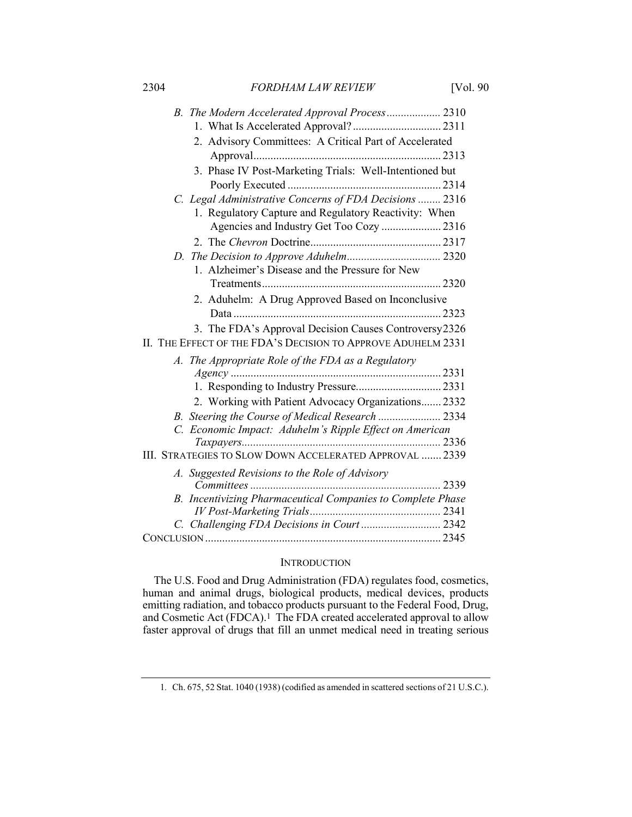2304 FORDHAM LAW REVIEW [Vol. 90]

| B. The Modern Accelerated Approval Process 2310              |      |
|--------------------------------------------------------------|------|
|                                                              |      |
| 2. Advisory Committees: A Critical Part of Accelerated       |      |
|                                                              |      |
| 3. Phase IV Post-Marketing Trials: Well-Intentioned but      |      |
|                                                              |      |
| C. Legal Administrative Concerns of FDA Decisions  2316      |      |
| 1. Regulatory Capture and Regulatory Reactivity: When        |      |
| Agencies and Industry Get Too Cozy  2316                     |      |
|                                                              |      |
|                                                              |      |
| 1. Alzheimer's Disease and the Pressure for New              |      |
|                                                              |      |
| 2. Aduhelm: A Drug Approved Based on Inconclusive            |      |
|                                                              |      |
| 3. The FDA's Approval Decision Causes Controversy2326        |      |
| II. THE EFFECT OF THE FDA'S DECISION TO APPROVE ADUHELM 2331 |      |
| A. The Appropriate Role of the FDA as a Regulatory           |      |
|                                                              |      |
|                                                              |      |
| 2. Working with Patient Advocacy Organizations 2332          |      |
|                                                              |      |
| C. Economic Impact: Aduhelm's Ripple Effect on American      |      |
|                                                              |      |
| III. STRATEGIES TO SLOW DOWN ACCELERATED APPROVAL  2339      |      |
| A. Suggested Revisions to the Role of Advisory               |      |
|                                                              | 2339 |
| B. Incentivizing Pharmaceutical Companies to Complete Phase  |      |
|                                                              |      |
| C. Challenging FDA Decisions in Court 2342                   |      |
|                                                              |      |

# **INTRODUCTION**

The U.S. Food and Drug Administration (FDA) regulates food, cosmetics, human and animal drugs, biological products, medical devices, products emitting radiation, and tobacco products pursuant to the Federal Food, Drug, and Cosmetic Act (FDCA).<sup>1</sup> The FDA created accelerated approval to allow faster approval of drugs that fill an unmet medical need in treating serious

<sup>1</sup>. Ch. 675, 52 Stat. 1040 (1938) (codified as amended in scattered sections of 21 U.S.C.).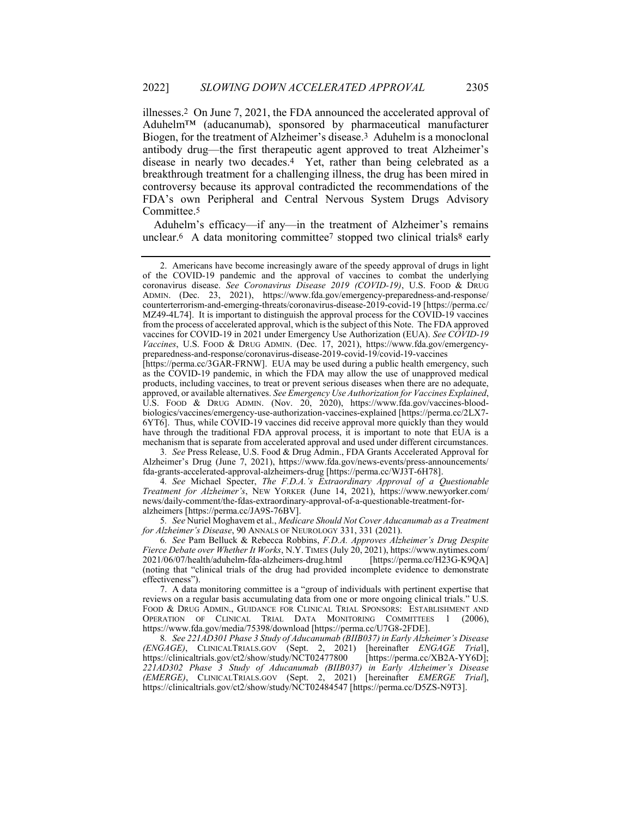illnesses.2 On June 7, 2021, the FDA announced the accelerated approval of Aduhelm™ (aducanumab), sponsored by pharmaceutical manufacturer Biogen, for the treatment of Alzheimer's disease.3 Aduhelm is a monoclonal antibody drug—the first therapeutic agent approved to treat Alzheimer's disease in nearly two decades.4 Yet, rather than being celebrated as a breakthrough treatment for a challenging illness, the drug has been mired in controversy because its approval contradicted the recommendations of the FDA's own Peripheral and Central Nervous System Drugs Advisory Committee.5

Aduhelm's efficacy—if any—in the treatment of Alzheimer's remains unclear.<sup>6</sup> A data monitoring committee<sup>7</sup> stopped two clinical trials<sup>8</sup> early

3. See Press Release, U.S. Food & Drug Admin., FDA Grants Accelerated Approval for Alzheimer's Drug (June 7, 2021), https://www.fda.gov/news-events/press-announcements/ fda-grants-accelerated-approval-alzheimers-drug [https://perma.cc/WJ3T-6H78].

4. See Michael Specter, The F.D.A.'s Extraordinary Approval of a Questionable Treatment for Alzheimer's, NEW YORKER (June 14, 2021), https://www.newyorker.com/ news/daily-comment/the-fdas-extraordinary-approval-of-a-questionable-treatment-foralzheimers [https://perma.cc/JA9S-76BV].

5. See Nuriel Moghavem et al., Medicare Should Not Cover Aducanumab as a Treatment for Alzheimer's Disease, 90 ANNALS OF NEUROLOGY 331, 331 (2021).

6. See Pam Belluck & Rebecca Robbins, F.D.A. Approves Alzheimer's Drug Despite Fierce Debate over Whether It Works, N.Y. TIMES (July 20, 2021), https://www.nytimes.com/ 2021/06/07/health/aduhelm-fda-alzheimers-drug.html [https://perma.cc/H23G-K9QA] (noting that "clinical trials of the drug had provided incomplete evidence to demonstrate effectiveness").

 7. A data monitoring committee is a "group of individuals with pertinent expertise that reviews on a regular basis accumulating data from one or more ongoing clinical trials." U.S. FOOD & DRUG ADMIN., GUIDANCE FOR CLINICAL TRIAL SPONSORS: ESTABLISHMENT AND OPERATION OF CLINICAL TRIAL DATA MONITORING COMMITTEES 1 (2006), https://www.fda.gov/media/75398/download [https://perma.cc/U7G8-2FDE].

8. See 221AD301 Phase 3 Study of Aducanumab (BIIB037) in Early Alzheimer's Disease (ENGAGE), CLINICALTRIALS.GOV (Sept. 2, 2021) [hereinafter ENGAGE Trial], https://clinicaltrials.gov/ct2/show/study/NCT02477800 [https://perma.cc/XB2A-YY6D]; 221AD302 Phase 3 Study of Aducanumab (BIIB037) in Early Alzheimer's Disease (EMERGE), CLINICALTRIALS.GOV (Sept. 2, 2021) [hereinafter EMERGE Trial], https://clinicaltrials.gov/ct2/show/study/NCT02484547 [https://perma.cc/D5ZS-N9T3].

 <sup>2.</sup> Americans have become increasingly aware of the speedy approval of drugs in light of the COVID-19 pandemic and the approval of vaccines to combat the underlying coronavirus disease. See Coronavirus Disease 2019 (COVID-19), U.S. FOOD & DRUG ADMIN. (Dec. 23, 2021), https://www.fda.gov/emergency-preparedness-and-response/ counterterrorism-and-emerging-threats/coronavirus-disease-2019-covid-19 [https://perma.cc/ MZ49-4L74]. It is important to distinguish the approval process for the COVID-19 vaccines from the process of accelerated approval, which is the subject of this Note. The FDA approved vaccines for COVID-19 in 2021 under Emergency Use Authorization (EUA). See COVID-19 Vaccines, U.S. FOOD & DRUG ADMIN. (Dec. 17, 2021), https://www.fda.gov/emergencypreparedness-and-response/coronavirus-disease-2019-covid-19/covid-19-vaccines

<sup>[</sup>https://perma.cc/3GAR-FRNW]. EUA may be used during a public health emergency, such as the COVID-19 pandemic, in which the FDA may allow the use of unapproved medical products, including vaccines, to treat or prevent serious diseases when there are no adequate, approved, or available alternatives. See Emergency Use Authorization for Vaccines Explained, U.S. FOOD & DRUG ADMIN. (Nov. 20, 2020), https://www.fda.gov/vaccines-bloodbiologics/vaccines/emergency-use-authorization-vaccines-explained [https://perma.cc/2LX7- 6YT6]. Thus, while COVID-19 vaccines did receive approval more quickly than they would have through the traditional FDA approval process, it is important to note that EUA is a mechanism that is separate from accelerated approval and used under different circumstances.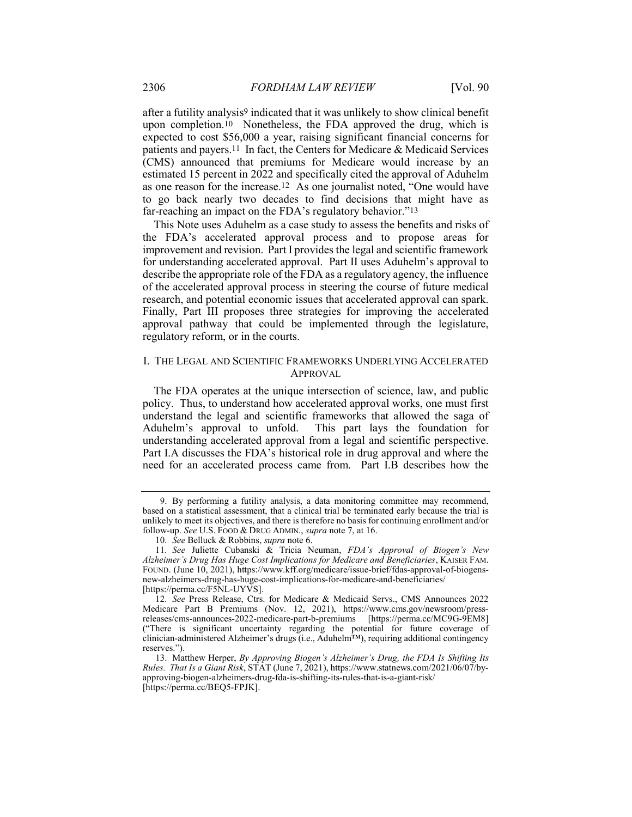after a futility analysis9 indicated that it was unlikely to show clinical benefit upon completion.10 Nonetheless, the FDA approved the drug, which is expected to cost \$56,000 a year, raising significant financial concerns for patients and payers.11 In fact, the Centers for Medicare & Medicaid Services (CMS) announced that premiums for Medicare would increase by an estimated 15 percent in 2022 and specifically cited the approval of Aduhelm as one reason for the increase.12 As one journalist noted, "One would have to go back nearly two decades to find decisions that might have as far-reaching an impact on the FDA's regulatory behavior."13

This Note uses Aduhelm as a case study to assess the benefits and risks of the FDA's accelerated approval process and to propose areas for improvement and revision. Part I provides the legal and scientific framework for understanding accelerated approval. Part II uses Aduhelm's approval to describe the appropriate role of the FDA as a regulatory agency, the influence of the accelerated approval process in steering the course of future medical research, and potential economic issues that accelerated approval can spark. Finally, Part III proposes three strategies for improving the accelerated approval pathway that could be implemented through the legislature, regulatory reform, or in the courts.

## I. THE LEGAL AND SCIENTIFIC FRAMEWORKS UNDERLYING ACCELERATED APPROVAL

The FDA operates at the unique intersection of science, law, and public policy. Thus, to understand how accelerated approval works, one must first understand the legal and scientific frameworks that allowed the saga of Aduhelm's approval to unfold. This part lays the foundation for understanding accelerated approval from a legal and scientific perspective. Part I.A discusses the FDA's historical role in drug approval and where the need for an accelerated process came from. Part I.B describes how the

 <sup>9.</sup> By performing a futility analysis, a data monitoring committee may recommend, based on a statistical assessment, that a clinical trial be terminated early because the trial is unlikely to meet its objectives, and there is therefore no basis for continuing enrollment and/or follow-up. See U.S. FOOD & DRUG ADMIN., supra note 7, at 16.

<sup>10.</sup> See Belluck & Robbins, supra note 6.

<sup>11.</sup> See Juliette Cubanski & Tricia Neuman, FDA's Approval of Biogen's New Alzheimer's Drug Has Huge Cost Implications for Medicare and Beneficiaries, KAISER FAM. FOUND. (June 10, 2021), https://www.kff.org/medicare/issue-brief/fdas-approval-of-biogensnew-alzheimers-drug-has-huge-cost-implications-for-medicare-and-beneficiaries/ [https://perma.cc/F5NL-UYVS].

<sup>12</sup>. See Press Release, Ctrs. for Medicare & Medicaid Servs., CMS Announces 2022 Medicare Part B Premiums (Nov. 12, 2021), https://www.cms.gov/newsroom/pressreleases/cms-announces-2022-medicare-part-b-premiums [https://perma.cc/MC9G-9EM8] ("There is significant uncertainty regarding the potential for future coverage of clinician-administered Alzheimer's drugs (i.e., Aduhelm™), requiring additional contingency reserves.").

 <sup>13.</sup> Matthew Herper, By Approving Biogen's Alzheimer's Drug, the FDA Is Shifting Its Rules. That Is a Giant Risk, STAT (June 7, 2021), https://www.statnews.com/2021/06/07/byapproving-biogen-alzheimers-drug-fda-is-shifting-its-rules-that-is-a-giant-risk/ [https://perma.cc/BEQ5-FPJK].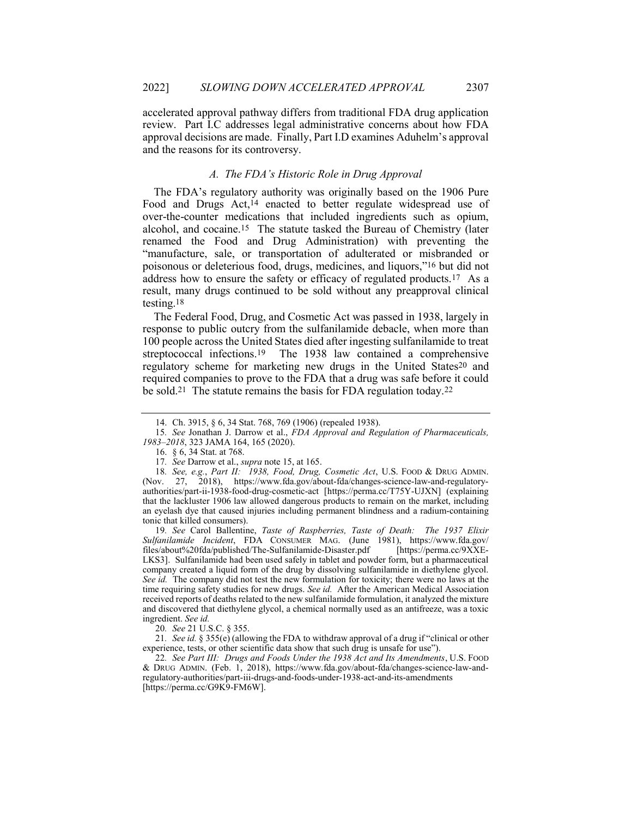accelerated approval pathway differs from traditional FDA drug application review. Part I.C addresses legal administrative concerns about how FDA approval decisions are made. Finally, Part I.D examines Aduhelm's approval and the reasons for its controversy.

#### A. The FDA's Historic Role in Drug Approval

The FDA's regulatory authority was originally based on the 1906 Pure Food and Drugs Act,<sup>14</sup> enacted to better regulate widespread use of over-the-counter medications that included ingredients such as opium, alcohol, and cocaine.15 The statute tasked the Bureau of Chemistry (later renamed the Food and Drug Administration) with preventing the "manufacture, sale, or transportation of adulterated or misbranded or poisonous or deleterious food, drugs, medicines, and liquors,"16 but did not address how to ensure the safety or efficacy of regulated products.17 As a result, many drugs continued to be sold without any preapproval clinical testing.18

The Federal Food, Drug, and Cosmetic Act was passed in 1938, largely in response to public outcry from the sulfanilamide debacle, when more than 100 people across the United States died after ingesting sulfanilamide to treat streptococcal infections.19 The 1938 law contained a comprehensive regulatory scheme for marketing new drugs in the United States20 and required companies to prove to the FDA that a drug was safe before it could be sold.21 The statute remains the basis for FDA regulation today.22

19. See Carol Ballentine, Taste of Raspberries, Taste of Death: The 1937 Elixir Sulfanilamide Incident, FDA CONSUMER MAG. (June 1981), https://www.fda.gov/ files/about%20fda/published/The-Sulfanilamide-Disaster.pdf [https://perma.cc/9XXE-LKS3]. Sulfanilamide had been used safely in tablet and powder form, but a pharmaceutical company created a liquid form of the drug by dissolving sulfanilamide in diethylene glycol. See id. The company did not test the new formulation for toxicity; there were no laws at the time requiring safety studies for new drugs. See id. After the American Medical Association received reports of deaths related to the new sulfanilamide formulation, it analyzed the mixture and discovered that diethylene glycol, a chemical normally used as an antifreeze, was a toxic ingredient. See id.

20. See 21 U.S.C. § 355.

21. See id. § 355(e) (allowing the FDA to withdraw approval of a drug if "clinical or other experience, tests, or other scientific data show that such drug is unsafe for use").

22. See Part III: Drugs and Foods Under the 1938 Act and Its Amendments, U.S. FOOD & DRUG ADMIN. (Feb. 1, 2018), https://www.fda.gov/about-fda/changes-science-law-andregulatory-authorities/part-iii-drugs-and-foods-under-1938-act-and-its-amendments [https://perma.cc/G9K9-FM6W].

 <sup>14.</sup> Ch. 3915, § 6, 34 Stat. 768, 769 (1906) (repealed 1938).

<sup>15</sup>. See Jonathan J. Darrow et al., FDA Approval and Regulation of Pharmaceuticals, 1983–2018, 323 JAMA 164, 165 (2020).

 <sup>16. § 6, 34</sup> Stat. at 768.

<sup>17</sup>. See Darrow et al., supra note 15, at 165.

<sup>18.</sup> See, e.g., Part II: 1938, Food, Drug, Cosmetic Act, U.S. FOOD & DRUG ADMIN. (Nov. 27, 2018), https://www.fda.gov/about-fda/changes-science-law-and-regulatoryauthorities/part-ii-1938-food-drug-cosmetic-act [https://perma.cc/T75Y-UJXN] (explaining that the lackluster 1906 law allowed dangerous products to remain on the market, including an eyelash dye that caused injuries including permanent blindness and a radium-containing tonic that killed consumers).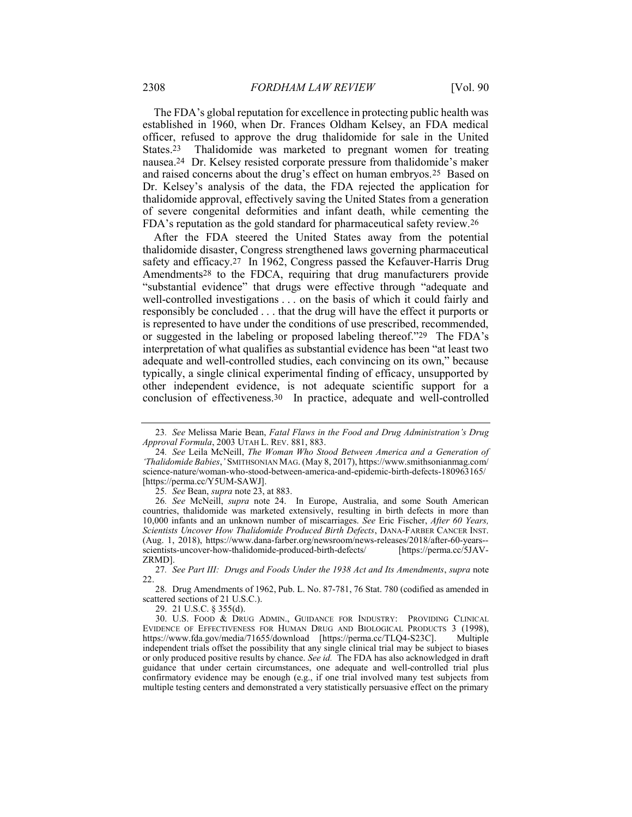The FDA's global reputation for excellence in protecting public health was established in 1960, when Dr. Frances Oldham Kelsey, an FDA medical officer, refused to approve the drug thalidomide for sale in the United States.23 Thalidomide was marketed to pregnant women for treating nausea.24 Dr. Kelsey resisted corporate pressure from thalidomide's maker and raised concerns about the drug's effect on human embryos.25 Based on Dr. Kelsey's analysis of the data, the FDA rejected the application for thalidomide approval, effectively saving the United States from a generation of severe congenital deformities and infant death, while cementing the FDA's reputation as the gold standard for pharmaceutical safety review.26

After the FDA steered the United States away from the potential thalidomide disaster, Congress strengthened laws governing pharmaceutical safety and efficacy.27 In 1962, Congress passed the Kefauver-Harris Drug Amendments28 to the FDCA, requiring that drug manufacturers provide "substantial evidence" that drugs were effective through "adequate and well-controlled investigations . . . on the basis of which it could fairly and responsibly be concluded . . . that the drug will have the effect it purports or is represented to have under the conditions of use prescribed, recommended, or suggested in the labeling or proposed labeling thereof."29 The FDA's interpretation of what qualifies as substantial evidence has been "at least two adequate and well-controlled studies, each convincing on its own," because typically, a single clinical experimental finding of efficacy, unsupported by other independent evidence, is not adequate scientific support for a conclusion of effectiveness.30 In practice, adequate and well-controlled

25. See Bean, supra note 23, at 883.

29. 21 U.S.C. § 355(d).

<sup>23</sup>. See Melissa Marie Bean, Fatal Flaws in the Food and Drug Administration's Drug Approval Formula, 2003 UTAH L. REV. 881, 883.

<sup>24</sup>. See Leila McNeill, The Woman Who Stood Between America and a Generation of 'Thalidomide Babies,' SMITHSONIAN MAG. (May 8, 2017), https://www.smithsonianmag.com/ science-nature/woman-who-stood-between-america-and-epidemic-birth-defects-180963165/ [https://perma.cc/Y5UM-SAWJ].

<sup>26</sup>. See McNeill, supra note 24. In Europe, Australia, and some South American countries, thalidomide was marketed extensively, resulting in birth defects in more than 10,000 infants and an unknown number of miscarriages. See Eric Fischer, After 60 Years, Scientists Uncover How Thalidomide Produced Birth Defects, DANA-FARBER CANCER INST. (Aug. 1, 2018), https://www.dana-farber.org/newsroom/news-releases/2018/after-60-years- scientists-uncover-how-thalidomide-produced-birth-defects/ [https://perma.cc/5JAV-ZRMD].

<sup>27</sup>. See Part III: Drugs and Foods Under the 1938 Act and Its Amendments, supra note 22.

<sup>28</sup>. Drug Amendments of 1962, Pub. L. No. 87-781, 76 Stat. 780 (codified as amended in scattered sections of 21 U.S.C.).

 <sup>30.</sup> U.S. FOOD & DRUG ADMIN., GUIDANCE FOR INDUSTRY: PROVIDING CLINICAL EVIDENCE OF EFFECTIVENESS FOR HUMAN DRUG AND BIOLOGICAL PRODUCTS 3 (1998), https://www.fda.gov/media/71655/download [https://perma.cc/TLQ4-S23C]. Multiple independent trials offset the possibility that any single clinical trial may be subject to biases or only produced positive results by chance. See id. The FDA has also acknowledged in draft guidance that under certain circumstances, one adequate and well-controlled trial plus confirmatory evidence may be enough (e.g., if one trial involved many test subjects from multiple testing centers and demonstrated a very statistically persuasive effect on the primary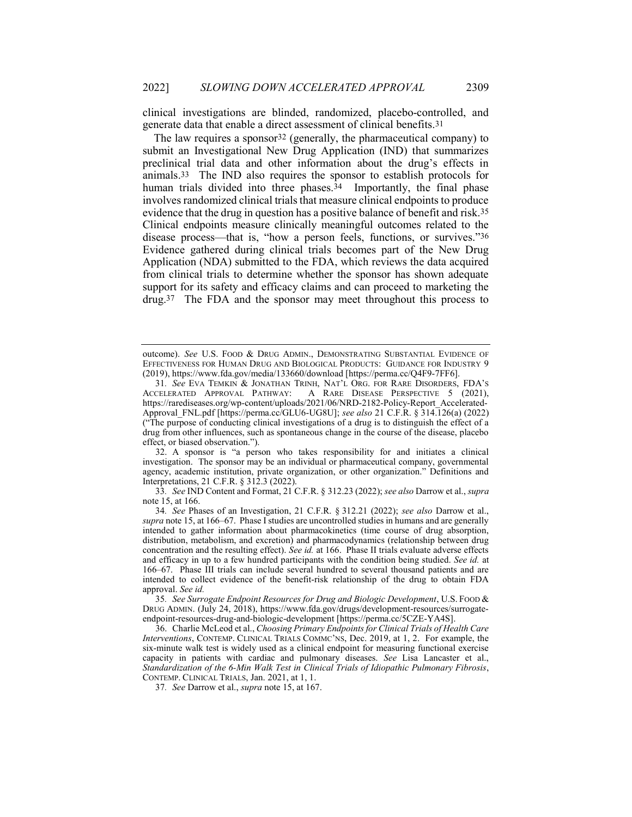clinical investigations are blinded, randomized, placebo-controlled, and generate data that enable a direct assessment of clinical benefits.31

The law requires a sponsor<sup>32</sup> (generally, the pharmaceutical company) to submit an Investigational New Drug Application (IND) that summarizes preclinical trial data and other information about the drug's effects in animals.33 The IND also requires the sponsor to establish protocols for human trials divided into three phases.<sup>34</sup> Importantly, the final phase involves randomized clinical trials that measure clinical endpoints to produce evidence that the drug in question has a positive balance of benefit and risk.35 Clinical endpoints measure clinically meaningful outcomes related to the disease process—that is, "how a person feels, functions, or survives."36 Evidence gathered during clinical trials becomes part of the New Drug Application (NDA) submitted to the FDA, which reviews the data acquired from clinical trials to determine whether the sponsor has shown adequate support for its safety and efficacy claims and can proceed to marketing the drug.37 The FDA and the sponsor may meet throughout this process to

 32. A sponsor is "a person who takes responsibility for and initiates a clinical investigation. The sponsor may be an individual or pharmaceutical company, governmental agency, academic institution, private organization, or other organization." Definitions and Interpretations, 21 C.F.R. § 312.3 (2022).

33. See IND Content and Format, 21 C.F.R. § 312.23 (2022); see also Darrow et al., supra note 15, at 166.

34. See Phases of an Investigation, 21 C.F.R. § 312.21 (2022); see also Darrow et al., supra note 15, at 166–67. Phase I studies are uncontrolled studies in humans and are generally intended to gather information about pharmacokinetics (time course of drug absorption, distribution, metabolism, and excretion) and pharmacodynamics (relationship between drug concentration and the resulting effect). See id. at 166. Phase II trials evaluate adverse effects and efficacy in up to a few hundred participants with the condition being studied. See id. at 166–67. Phase III trials can include several hundred to several thousand patients and are intended to collect evidence of the benefit-risk relationship of the drug to obtain FDA approval. See id.

35. See Surrogate Endpoint Resources for Drug and Biologic Development, U.S. FOOD & DRUG ADMIN. (July 24, 2018), https://www.fda.gov/drugs/development-resources/surrogateendpoint-resources-drug-and-biologic-development [https://perma.cc/5CZE-YA4S].

 36. Charlie McLeod et al., Choosing Primary Endpoints for Clinical Trials of Health Care Interventions, CONTEMP. CLINICAL TRIALS COMMC'NS, Dec. 2019, at 1, 2. For example, the six-minute walk test is widely used as a clinical endpoint for measuring functional exercise capacity in patients with cardiac and pulmonary diseases. See Lisa Lancaster et al., Standardization of the 6-Min Walk Test in Clinical Trials of Idiopathic Pulmonary Fibrosis, CONTEMP. CLINICAL TRIALS, Jan. 2021, at 1, 1.

37. See Darrow et al., supra note 15, at 167.

outcome). See U.S. FOOD & DRUG ADMIN., DEMONSTRATING SUBSTANTIAL EVIDENCE OF EFFECTIVENESS FOR HUMAN DRUG AND BIOLOGICAL PRODUCTS: GUIDANCE FOR INDUSTRY 9 (2019), https://www.fda.gov/media/133660/download [https://perma.cc/Q4F9-7FF6].

<sup>31</sup>. See EVA TEMKIN & JONATHAN TRINH, NAT'L ORG. FOR RARE DISORDERS, FDA'S ACCELERATED APPROVAL PATHWAY: A RARE DISEASE PERSPECTIVE 5 (2021), https://rarediseases.org/wp-content/uploads/2021/06/NRD-2182-Policy-Report\_Accelerated-Approval FNL.pdf [https://perma.cc/GLU6-UG8U]; see also 21 C.F.R. § 314.126(a) (2022) ("The purpose of conducting clinical investigations of a drug is to distinguish the effect of a drug from other influences, such as spontaneous change in the course of the disease, placebo effect, or biased observation.").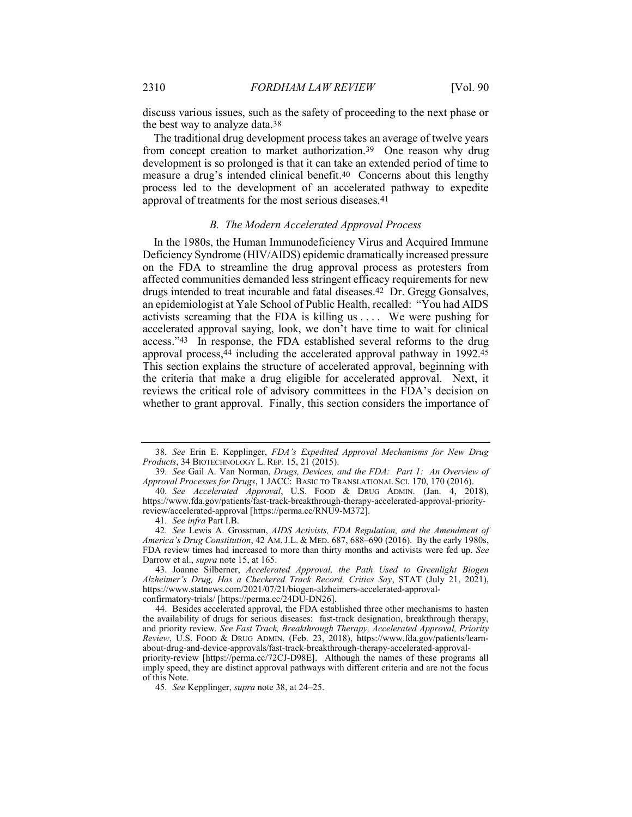discuss various issues, such as the safety of proceeding to the next phase or the best way to analyze data.38

The traditional drug development process takes an average of twelve years from concept creation to market authorization.39 One reason why drug development is so prolonged is that it can take an extended period of time to measure a drug's intended clinical benefit.40 Concerns about this lengthy process led to the development of an accelerated pathway to expedite approval of treatments for the most serious diseases.41

#### B. The Modern Accelerated Approval Process

In the 1980s, the Human Immunodeficiency Virus and Acquired Immune Deficiency Syndrome (HIV/AIDS) epidemic dramatically increased pressure on the FDA to streamline the drug approval process as protesters from affected communities demanded less stringent efficacy requirements for new drugs intended to treat incurable and fatal diseases.42 Dr. Gregg Gonsalves, an epidemiologist at Yale School of Public Health, recalled: "You had AIDS activists screaming that the FDA is killing us . . . . We were pushing for accelerated approval saying, look, we don't have time to wait for clinical access."43 In response, the FDA established several reforms to the drug approval process, $44$  including the accelerated approval pathway in 1992. $45$ This section explains the structure of accelerated approval, beginning with the criteria that make a drug eligible for accelerated approval. Next, it reviews the critical role of advisory committees in the FDA's decision on whether to grant approval. Finally, this section considers the importance of

<sup>38</sup>. See Erin E. Kepplinger, FDA's Expedited Approval Mechanisms for New Drug Products, 34 BIOTECHNOLOGY L. REP. 15, 21 (2015).

<sup>39</sup>. See Gail A. Van Norman, Drugs, Devices, and the FDA: Part 1: An Overview of Approval Processes for Drugs, 1 JACC: BASIC TO TRANSLATIONAL SCI. 170, 170 (2016).

<sup>40</sup>. See Accelerated Approval, U.S. FOOD & DRUG ADMIN. (Jan. 4, 2018), https://www.fda.gov/patients/fast-track-breakthrough-therapy-accelerated-approval-priorityreview/accelerated-approval [https://perma.cc/RNU9-M372].

<sup>41</sup>. See infra Part I.B.

<sup>42</sup>. See Lewis A. Grossman, AIDS Activists, FDA Regulation, and the Amendment of America's Drug Constitution, 42 AM. J.L. & MED. 687, 688–690 (2016). By the early 1980s, FDA review times had increased to more than thirty months and activists were fed up. See Darrow et al., *supra* note 15, at 165.

 <sup>43.</sup> Joanne Silberner, Accelerated Approval, the Path Used to Greenlight Biogen Alzheimer's Drug, Has a Checkered Track Record, Critics Say, STAT (July 21, 2021), https://www.statnews.com/2021/07/21/biogen-alzheimers-accelerated-approvalconfirmatory-trials/ [https://perma.cc/24DU-DN26].

 <sup>44.</sup> Besides accelerated approval, the FDA established three other mechanisms to hasten the availability of drugs for serious diseases: fast-track designation, breakthrough therapy, and priority review. See Fast Track, Breakthrough Therapy, Accelerated Approval, Priority Review, U.S. FOOD & DRUG ADMIN. (Feb. 23, 2018), https://www.fda.gov/patients/learnabout-drug-and-device-approvals/fast-track-breakthrough-therapy-accelerated-approvalpriority-review [https://perma.cc/72CJ-D98E]. Although the names of these programs all imply speed, they are distinct approval pathways with different criteria and are not the focus of this Note.

<sup>45</sup>. See Kepplinger, supra note 38, at 24–25.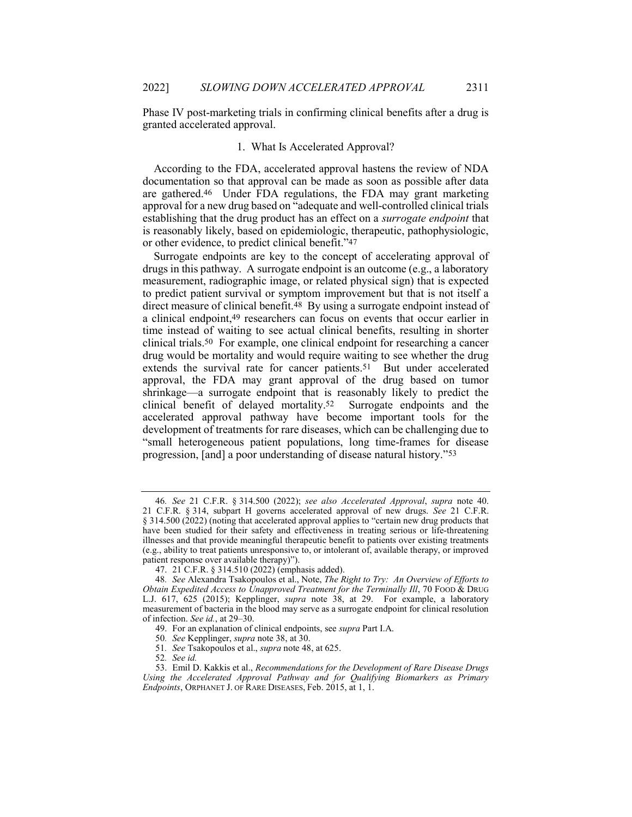Phase IV post-marketing trials in confirming clinical benefits after a drug is granted accelerated approval.

# 1. What Is Accelerated Approval?

According to the FDA, accelerated approval hastens the review of NDA documentation so that approval can be made as soon as possible after data are gathered.46 Under FDA regulations, the FDA may grant marketing approval for a new drug based on "adequate and well-controlled clinical trials establishing that the drug product has an effect on a surrogate endpoint that is reasonably likely, based on epidemiologic, therapeutic, pathophysiologic, or other evidence, to predict clinical benefit."47

Surrogate endpoints are key to the concept of accelerating approval of drugs in this pathway. A surrogate endpoint is an outcome (e.g., a laboratory measurement, radiographic image, or related physical sign) that is expected to predict patient survival or symptom improvement but that is not itself a direct measure of clinical benefit.48 By using a surrogate endpoint instead of a clinical endpoint,49 researchers can focus on events that occur earlier in time instead of waiting to see actual clinical benefits, resulting in shorter clinical trials.50 For example, one clinical endpoint for researching a cancer drug would be mortality and would require waiting to see whether the drug extends the survival rate for cancer patients.<sup>51</sup> But under accelerated approval, the FDA may grant approval of the drug based on tumor shrinkage—a surrogate endpoint that is reasonably likely to predict the clinical benefit of delayed mortality.52 Surrogate endpoints and the accelerated approval pathway have become important tools for the development of treatments for rare diseases, which can be challenging due to "small heterogeneous patient populations, long time-frames for disease progression, [and] a poor understanding of disease natural history."53

<sup>46</sup>. See 21 C.F.R. § 314.500 (2022); see also Accelerated Approval, supra note 40. 21 C.F.R. § 314, subpart H governs accelerated approval of new drugs. See 21 C.F.R. § 314.500 (2022) (noting that accelerated approval applies to "certain new drug products that have been studied for their safety and effectiveness in treating serious or life-threatening illnesses and that provide meaningful therapeutic benefit to patients over existing treatments (e.g., ability to treat patients unresponsive to, or intolerant of, available therapy, or improved patient response over available therapy)").

 <sup>47. 21</sup> C.F.R. § 314.510 (2022) (emphasis added).

<sup>48.</sup> See Alexandra Tsakopoulos et al., Note, The Right to Try: An Overview of Efforts to Obtain Expedited Access to Unapproved Treatment for the Terminally Ill, 70 FOOD  $\&$  DRUG L.J. 617, 625 (2015); Kepplinger, supra note 38, at 29. For example, a laboratory measurement of bacteria in the blood may serve as a surrogate endpoint for clinical resolution of infection. See id., at 29–30.

 <sup>49.</sup> For an explanation of clinical endpoints, see supra Part I.A.

<sup>50</sup>. See Kepplinger, supra note 38, at 30.

<sup>51</sup>. See Tsakopoulos et al., supra note 48, at 625.

<sup>52</sup>. See id.

 <sup>53.</sup> Emil D. Kakkis et al., Recommendations for the Development of Rare Disease Drugs Using the Accelerated Approval Pathway and for Qualifying Biomarkers as Primary Endpoints, ORPHANET J. OF RARE DISEASES, Feb. 2015, at 1, 1.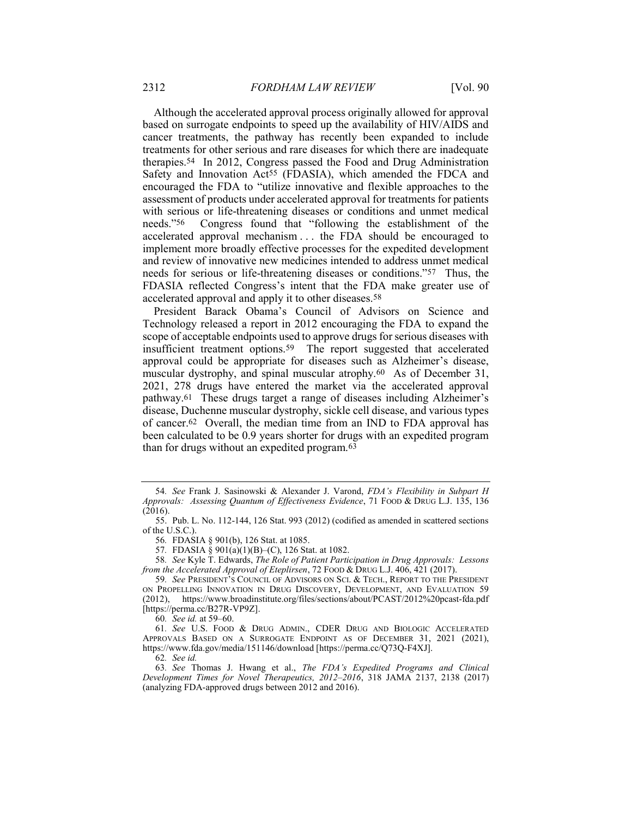Although the accelerated approval process originally allowed for approval based on surrogate endpoints to speed up the availability of HIV/AIDS and cancer treatments, the pathway has recently been expanded to include treatments for other serious and rare diseases for which there are inadequate therapies.54 In 2012, Congress passed the Food and Drug Administration Safety and Innovation Act<sup>55</sup> (FDASIA), which amended the FDCA and encouraged the FDA to "utilize innovative and flexible approaches to the assessment of products under accelerated approval for treatments for patients with serious or life-threatening diseases or conditions and unmet medical needs."56 Congress found that "following the establishment of the accelerated approval mechanism . . . the FDA should be encouraged to implement more broadly effective processes for the expedited development and review of innovative new medicines intended to address unmet medical needs for serious or life-threatening diseases or conditions."57 Thus, the FDASIA reflected Congress's intent that the FDA make greater use of accelerated approval and apply it to other diseases.58

President Barack Obama's Council of Advisors on Science and Technology released a report in 2012 encouraging the FDA to expand the scope of acceptable endpoints used to approve drugs for serious diseases with insufficient treatment options.59 The report suggested that accelerated approval could be appropriate for diseases such as Alzheimer's disease, muscular dystrophy, and spinal muscular atrophy.60 As of December 31, 2021, 278 drugs have entered the market via the accelerated approval pathway.61 These drugs target a range of diseases including Alzheimer's disease, Duchenne muscular dystrophy, sickle cell disease, and various types of cancer.62 Overall, the median time from an IND to FDA approval has been calculated to be 0.9 years shorter for drugs with an expedited program than for drugs without an expedited program.63

58. See Kyle T. Edwards, The Role of Patient Participation in Drug Approvals: Lessons from the Accelerated Approval of Eteplirsen, 72 FOOD & DRUG L.J. 406, 421 (2017).

62. See id.

63. See Thomas J. Hwang et al., The FDA's Expedited Programs and Clinical Development Times for Novel Therapeutics, 2012–2016, 318 JAMA 2137, 2138 (2017) (analyzing FDA-approved drugs between 2012 and 2016).

<sup>54</sup>. See Frank J. Sasinowski & Alexander J. Varond, FDA's Flexibility in Subpart H Approvals: Assessing Quantum of Effectiveness Evidence, 71 FOOD & DRUG L.J. 135, 136  $(2016).$ 

 <sup>55.</sup> Pub. L. No. 112-144, 126 Stat. 993 (2012) (codified as amended in scattered sections of the U.S.C.).

<sup>56</sup>. FDASIA § 901(b), 126 Stat. at 1085.

<sup>57</sup>. FDASIA § 901(a)(1)(B)–(C), 126 Stat. at 1082.

<sup>59.</sup> See PRESIDENT'S COUNCIL OF ADVISORS ON SCI. & TECH., REPORT TO THE PRESIDENT ON PROPELLING INNOVATION IN DRUG DISCOVERY, DEVELOPMENT, AND EVALUATION 59 (2012), https://www.broadinstitute.org/files/sections/about/PCAST/2012%20pcast-fda.pdf [https://perma.cc/B27R-VP9Z].

<sup>60</sup>. See id. at 59–60.

<sup>61</sup>. See U.S. FOOD & DRUG ADMIN., CDER DRUG AND BIOLOGIC ACCELERATED APPROVALS BASED ON A SURROGATE ENDPOINT AS OF DECEMBER 31, 2021 (2021), https://www.fda.gov/media/151146/download [https://perma.cc/Q73Q-F4XJ].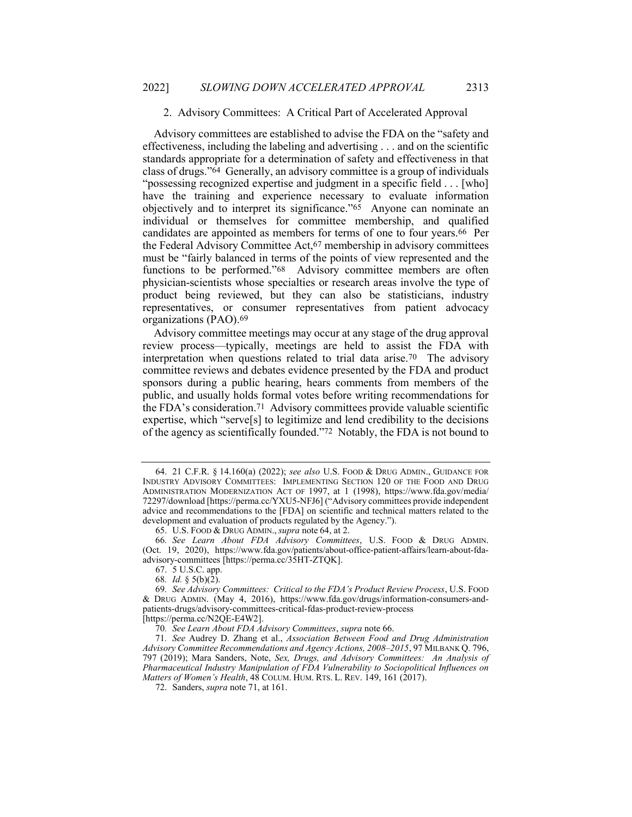#### 2. Advisory Committees: A Critical Part of Accelerated Approval

Advisory committees are established to advise the FDA on the "safety and effectiveness, including the labeling and advertising . . . and on the scientific standards appropriate for a determination of safety and effectiveness in that class of drugs."64 Generally, an advisory committee is a group of individuals "possessing recognized expertise and judgment in a specific field . . . [who] have the training and experience necessary to evaluate information objectively and to interpret its significance."65 Anyone can nominate an individual or themselves for committee membership, and qualified candidates are appointed as members for terms of one to four years.66 Per the Federal Advisory Committee Act,67 membership in advisory committees must be "fairly balanced in terms of the points of view represented and the functions to be performed."68 Advisory committee members are often physician-scientists whose specialties or research areas involve the type of product being reviewed, but they can also be statisticians, industry representatives, or consumer representatives from patient advocacy organizations (PAO).69

Advisory committee meetings may occur at any stage of the drug approval review process—typically, meetings are held to assist the FDA with interpretation when questions related to trial data arise.70 The advisory committee reviews and debates evidence presented by the FDA and product sponsors during a public hearing, hears comments from members of the public, and usually holds formal votes before writing recommendations for the FDA's consideration.71 Advisory committees provide valuable scientific expertise, which "serve[s] to legitimize and lend credibility to the decisions of the agency as scientifically founded."72 Notably, the FDA is not bound to

67. 5 U.S.C. app.

68. Id. § 5(b)(2).

[https://perma.cc/N2QE-E4W2].

 <sup>64. 21</sup> C.F.R. § 14.160(a) (2022); see also U.S. FOOD & DRUG ADMIN., GUIDANCE FOR INDUSTRY ADVISORY COMMITTEES: IMPLEMENTING SECTION 120 OF THE FOOD AND DRUG ADMINISTRATION MODERNIZATION ACT OF 1997, at 1 (1998), https://www.fda.gov/media/ 72297/download [https://perma.cc/YXU5-NFJ6] ("Advisory committees provide independent advice and recommendations to the [FDA] on scientific and technical matters related to the development and evaluation of products regulated by the Agency.").

 <sup>65.</sup> U.S. FOOD & DRUG ADMIN., supra note 64, at 2.

<sup>66</sup>. See Learn About FDA Advisory Committees, U.S. FOOD & DRUG ADMIN. (Oct. 19, 2020), https://www.fda.gov/patients/about-office-patient-affairs/learn-about-fdaadvisory-committees [https://perma.cc/35HT-ZTQK].

<sup>69</sup>. See Advisory Committees: Critical to the FDA's Product Review Process, U.S. FOOD & DRUG ADMIN. (May 4, 2016), https://www.fda.gov/drugs/information-consumers-andpatients-drugs/advisory-committees-critical-fdas-product-review-process

<sup>70</sup>. See Learn About FDA Advisory Committees, supra note 66.

<sup>71</sup>. See Audrey D. Zhang et al., Association Between Food and Drug Administration Advisory Committee Recommendations and Agency Actions, 2008–2015, 97 MILBANK Q. 796, 797 (2019); Mara Sanders, Note, Sex, Drugs, and Advisory Committees: An Analysis of Pharmaceutical Industry Manipulation of FDA Vulnerability to Sociopolitical Influences on Matters of Women's Health, 48 COLUM. HUM. RTS. L. REV. 149, 161 (2017).

 <sup>72.</sup> Sanders, supra note 71, at 161.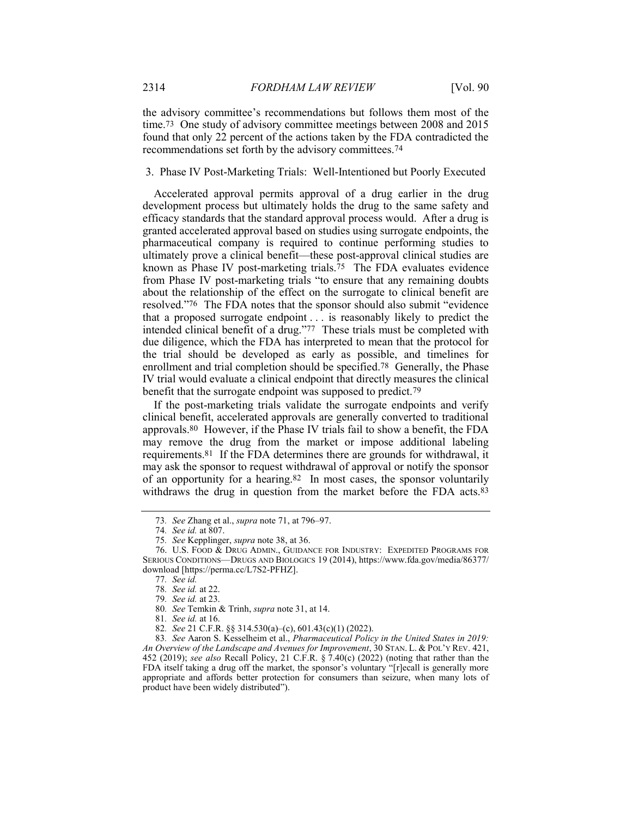the advisory committee's recommendations but follows them most of the time.73 One study of advisory committee meetings between 2008 and 2015 found that only 22 percent of the actions taken by the FDA contradicted the recommendations set forth by the advisory committees.74

#### 3. Phase IV Post-Marketing Trials: Well-Intentioned but Poorly Executed

Accelerated approval permits approval of a drug earlier in the drug development process but ultimately holds the drug to the same safety and efficacy standards that the standard approval process would. After a drug is granted accelerated approval based on studies using surrogate endpoints, the pharmaceutical company is required to continue performing studies to ultimately prove a clinical benefit—these post-approval clinical studies are known as Phase IV post-marketing trials.<sup>75</sup> The FDA evaluates evidence from Phase IV post-marketing trials "to ensure that any remaining doubts about the relationship of the effect on the surrogate to clinical benefit are resolved."76 The FDA notes that the sponsor should also submit "evidence that a proposed surrogate endpoint . . . is reasonably likely to predict the intended clinical benefit of a drug."77 These trials must be completed with due diligence, which the FDA has interpreted to mean that the protocol for the trial should be developed as early as possible, and timelines for enrollment and trial completion should be specified.78 Generally, the Phase IV trial would evaluate a clinical endpoint that directly measures the clinical benefit that the surrogate endpoint was supposed to predict.<sup>79</sup>

If the post-marketing trials validate the surrogate endpoints and verify clinical benefit, accelerated approvals are generally converted to traditional approvals.80 However, if the Phase IV trials fail to show a benefit, the FDA may remove the drug from the market or impose additional labeling requirements.81 If the FDA determines there are grounds for withdrawal, it may ask the sponsor to request withdrawal of approval or notify the sponsor of an opportunity for a hearing.82 In most cases, the sponsor voluntarily withdraws the drug in question from the market before the FDA acts.<sup>83</sup>

82. See 21 C.F.R. §§ 314.530(a)–(c), 601.43(c)(1) (2022).

<sup>73</sup>. See Zhang et al., supra note 71, at 796–97.

<sup>74</sup>. See id. at 807.

<sup>75</sup>. See Kepplinger, supra note 38, at 36.

 <sup>76.</sup> U.S. FOOD & DRUG ADMIN., GUIDANCE FOR INDUSTRY: EXPEDITED PROGRAMS FOR SERIOUS CONDITIONS—DRUGS AND BIOLOGICS 19 (2014), https://www.fda.gov/media/86377/ download [https://perma.cc/L7S2-PFHZ].

<sup>77</sup>. See id.

<sup>78</sup>. See id. at 22.

<sup>79</sup>. See id. at 23.

<sup>80</sup>. See Temkin & Trinh, supra note 31, at 14.

<sup>81</sup>. See id. at 16.

<sup>83</sup>. See Aaron S. Kesselheim et al., Pharmaceutical Policy in the United States in 2019: An Overview of the Landscape and Avenues for Improvement, 30 STAN. L. & POL'Y REV. 421, 452 (2019); see also Recall Policy, 21 C.F.R. § 7.40(c) (2022) (noting that rather than the FDA itself taking a drug off the market, the sponsor's voluntary "[r]ecall is generally more appropriate and affords better protection for consumers than seizure, when many lots of product have been widely distributed").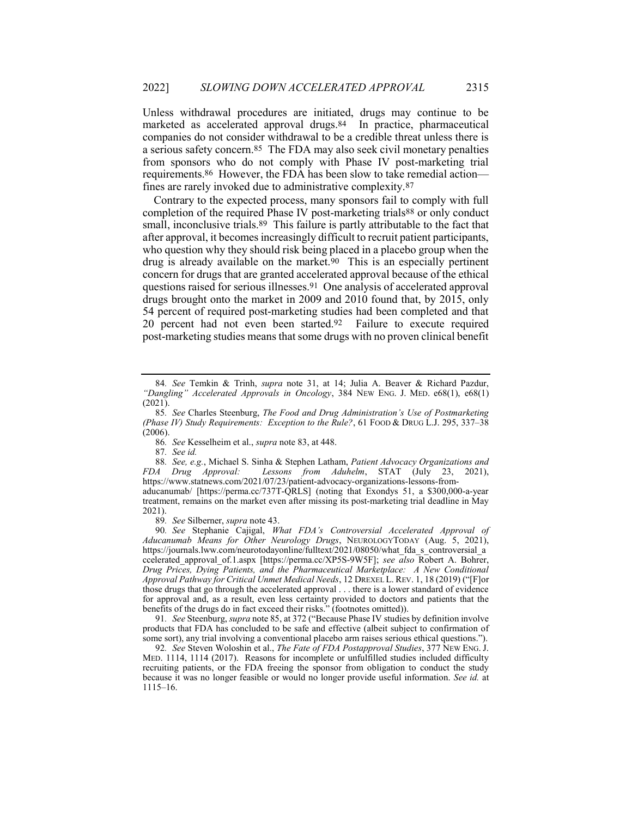Unless withdrawal procedures are initiated, drugs may continue to be marketed as accelerated approval drugs.84 In practice, pharmaceutical companies do not consider withdrawal to be a credible threat unless there is a serious safety concern.85 The FDA may also seek civil monetary penalties from sponsors who do not comply with Phase IV post-marketing trial requirements.86 However, the FDA has been slow to take remedial action fines are rarely invoked due to administrative complexity.87

Contrary to the expected process, many sponsors fail to comply with full completion of the required Phase IV post-marketing trials<sup>88</sup> or only conduct small, inconclusive trials.<sup>89</sup> This failure is partly attributable to the fact that after approval, it becomes increasingly difficult to recruit patient participants, who question why they should risk being placed in a placebo group when the drug is already available on the market.90 This is an especially pertinent concern for drugs that are granted accelerated approval because of the ethical questions raised for serious illnesses.91 One analysis of accelerated approval drugs brought onto the market in 2009 and 2010 found that, by 2015, only 54 percent of required post-marketing studies had been completed and that 20 percent had not even been started.92 Failure to execute required post-marketing studies means that some drugs with no proven clinical benefit

87. See id.

88. See, e.g., Michael S. Sinha & Stephen Latham, Patient Advocacy Organizations and FDA Drug Approval: Lessons from Aduhelm, STAT (July 23, 2021), Lessons from Aduhelm, STAT  $\overline{(July 23)}$ , https://www.statnews.com/2021/07/23/patient-advocacy-organizations-lessons-from-

aducanumab/ [https://perma.cc/737T-QRLS] (noting that Exondys 51, a \$300,000-a-year treatment, remains on the market even after missing its post-marketing trial deadline in May 2021).

89. See Silberner, supra note 43.

90. See Stephanie Cajigal, What FDA's Controversial Accelerated Approval of Aducanumab Means for Other Neurology Drugs, NEUROLOGYTODAY (Aug. 5, 2021), https://journals.lww.com/neurotodayonline/fulltext/2021/08050/what\_fda\_s\_controversial\_a ccelerated\_approval\_of.1.aspx [https://perma.cc/XP5S-9W5F]; see also Robert A. Bohrer, Drug Prices, Dying Patients, and the Pharmaceutical Marketplace: A New Conditional Approval Pathway for Critical Unmet Medical Needs, 12 DREXEL L. REV. 1, 18 (2019) ("[F]or those drugs that go through the accelerated approval . . . there is a lower standard of evidence for approval and, as a result, even less certainty provided to doctors and patients that the benefits of the drugs do in fact exceed their risks." (footnotes omitted)).

91. See Steenburg, supra note 85, at 372 ("Because Phase IV studies by definition involve products that FDA has concluded to be safe and effective (albeit subject to confirmation of some sort), any trial involving a conventional placebo arm raises serious ethical questions.").

92. See Steven Woloshin et al., The Fate of FDA Postapproval Studies, 377 NEW ENG. J. MED. 1114, 1114 (2017). Reasons for incomplete or unfulfilled studies included difficulty recruiting patients, or the FDA freeing the sponsor from obligation to conduct the study because it was no longer feasible or would no longer provide useful information. See id. at 1115–16.

<sup>84</sup>. See Temkin & Trinh, supra note 31, at 14; Julia A. Beaver & Richard Pazdur, "Dangling" Accelerated Approvals in Oncology, 384 NEW ENG. J. MED. e68(1), e68(1) (2021).

<sup>85</sup>. See Charles Steenburg, The Food and Drug Administration's Use of Postmarketing (Phase IV) Study Requirements: Exception to the Rule?, 61 FOOD & DRUG L.J. 295, 337–38 (2006).

<sup>86</sup>. See Kesselheim et al., supra note 83, at 448.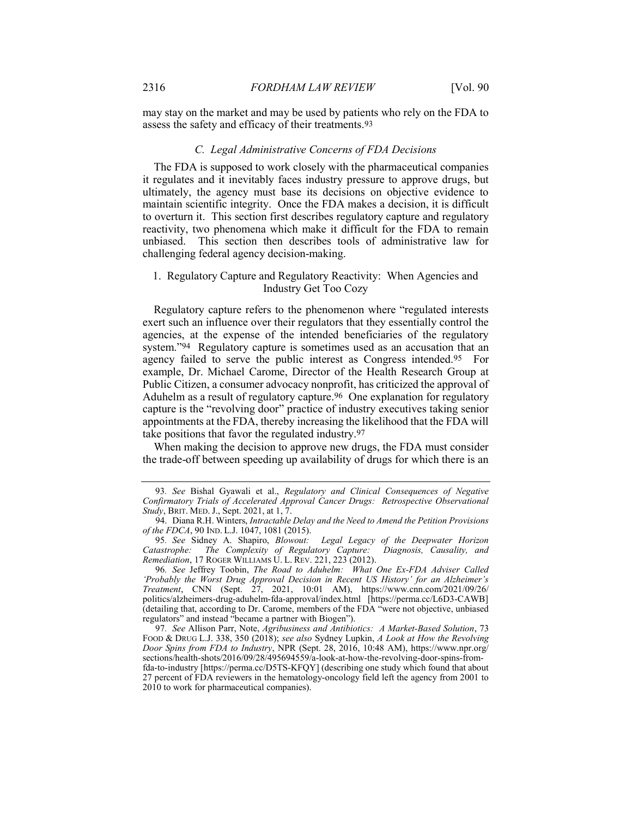may stay on the market and may be used by patients who rely on the FDA to assess the safety and efficacy of their treatments.93

#### C. Legal Administrative Concerns of FDA Decisions

The FDA is supposed to work closely with the pharmaceutical companies it regulates and it inevitably faces industry pressure to approve drugs, but ultimately, the agency must base its decisions on objective evidence to maintain scientific integrity. Once the FDA makes a decision, it is difficult to overturn it. This section first describes regulatory capture and regulatory reactivity, two phenomena which make it difficult for the FDA to remain unbiased. This section then describes tools of administrative law for challenging federal agency decision-making.

# 1. Regulatory Capture and Regulatory Reactivity: When Agencies and Industry Get Too Cozy

Regulatory capture refers to the phenomenon where "regulated interests exert such an influence over their regulators that they essentially control the agencies, at the expense of the intended beneficiaries of the regulatory system."<sup>94</sup> Regulatory capture is sometimes used as an accusation that an agency failed to serve the public interest as Congress intended.95 For example, Dr. Michael Carome, Director of the Health Research Group at Public Citizen, a consumer advocacy nonprofit, has criticized the approval of Aduhelm as a result of regulatory capture.<sup>96</sup> One explanation for regulatory capture is the "revolving door" practice of industry executives taking senior appointments at the FDA, thereby increasing the likelihood that the FDA will take positions that favor the regulated industry.97

When making the decision to approve new drugs, the FDA must consider the trade-off between speeding up availability of drugs for which there is an

<sup>93</sup>. See Bishal Gyawali et al., Regulatory and Clinical Consequences of Negative Confirmatory Trials of Accelerated Approval Cancer Drugs: Retrospective Observational Study, BRIT. MED. J., Sept. 2021, at 1, 7.

 <sup>94.</sup> Diana R.H. Winters, Intractable Delay and the Need to Amend the Petition Provisions of the FDCA, 90 IND. L.J. 1047, 1081 (2015).

<sup>95.</sup> See Sidney A. Shapiro, Blowout: Legal Legacy of the Deepwater Horizon<br>tastrophe: The Complexity of Regulatory Capture: Diagnosis, Causality, and Catastrophe: The Complexity of Regulatory Capture: Diagnosis, Causality, and Remediation, 17 ROGER WILLIAMS U. L. REV. 221, 223 (2012).

<sup>96</sup>. See Jeffrey Toobin, The Road to Aduhelm: What One Ex-FDA Adviser Called 'Probably the Worst Drug Approval Decision in Recent US History' for an Alzheimer's Treatment, CNN (Sept. 27, 2021, 10:01 AM), https://www.cnn.com/2021/09/26/ politics/alzheimers-drug-aduhelm-fda-approval/index.html [https://perma.cc/L6D3-CAWB] (detailing that, according to Dr. Carome, members of the FDA "were not objective, unbiased regulators" and instead "became a partner with Biogen").

<sup>97</sup>. See Allison Parr, Note, Agribusiness and Antibiotics: A Market-Based Solution, 73 FOOD & DRUG L.J. 338, 350 (2018); see also Sydney Lupkin, A Look at How the Revolving Door Spins from FDA to Industry, NPR (Sept. 28, 2016, 10:48 AM), https://www.npr.org/ sections/health-shots/2016/09/28/495694559/a-look-at-how-the-revolving-door-spins-fromfda-to-industry [https://perma.cc/D5TS-KFQY] (describing one study which found that about 27 percent of FDA reviewers in the hematology-oncology field left the agency from 2001 to 2010 to work for pharmaceutical companies).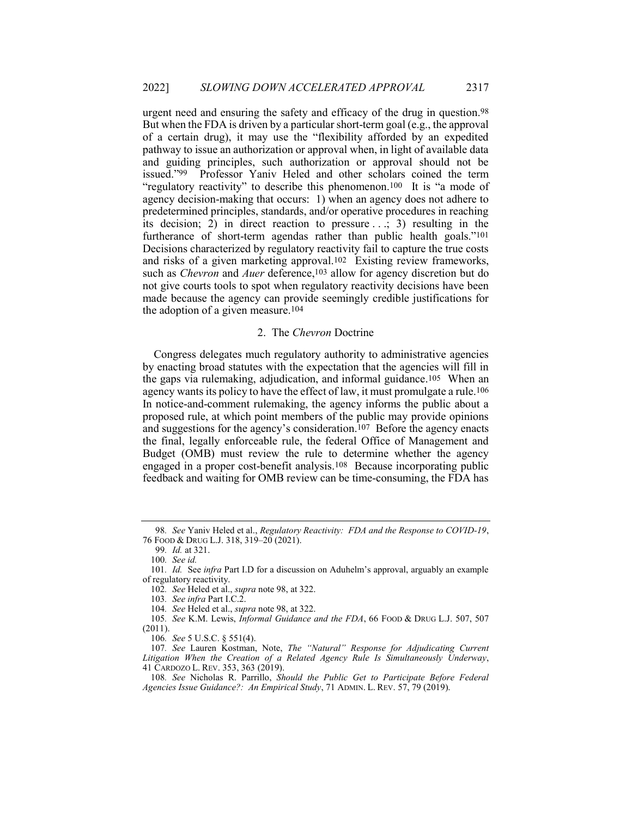urgent need and ensuring the safety and efficacy of the drug in question.98 But when the FDA is driven by a particular short-term goal (e.g., the approval of a certain drug), it may use the "flexibility afforded by an expedited pathway to issue an authorization or approval when, in light of available data and guiding principles, such authorization or approval should not be issued."99 Professor Yaniv Heled and other scholars coined the term "regulatory reactivity" to describe this phenomenon.100 It is "a mode of agency decision-making that occurs: 1) when an agency does not adhere to predetermined principles, standards, and/or operative procedures in reaching its decision; 2) in direct reaction to pressure . . .; 3) resulting in the furtherance of short-term agendas rather than public health goals."101 Decisions characterized by regulatory reactivity fail to capture the true costs and risks of a given marketing approval.102 Existing review frameworks, such as *Chevron* and *Auer* deference,<sup>103</sup> allow for agency discretion but do not give courts tools to spot when regulatory reactivity decisions have been made because the agency can provide seemingly credible justifications for the adoption of a given measure.104

# 2. The Chevron Doctrine

Congress delegates much regulatory authority to administrative agencies by enacting broad statutes with the expectation that the agencies will fill in the gaps via rulemaking, adjudication, and informal guidance.105 When an agency wants its policy to have the effect of law, it must promulgate a rule.106 In notice-and-comment rulemaking, the agency informs the public about a proposed rule, at which point members of the public may provide opinions and suggestions for the agency's consideration.107 Before the agency enacts the final, legally enforceable rule, the federal Office of Management and Budget (OMB) must review the rule to determine whether the agency engaged in a proper cost-benefit analysis.108 Because incorporating public feedback and waiting for OMB review can be time-consuming, the FDA has

<sup>98</sup>. See Yaniv Heled et al., Regulatory Reactivity: FDA and the Response to COVID-19, 76 FOOD & DRUG L.J. 318, 319–20 (2021).

<sup>99</sup>. Id. at 321.

<sup>100</sup>. See id.

<sup>101.</sup> *Id.* See *infra* Part I.D for a discussion on Aduhelm's approval, arguably an example of regulatory reactivity.

<sup>102</sup>. See Heled et al., supra note 98, at 322.

<sup>103</sup>. See infra Part I.C.2.

<sup>104</sup>. See Heled et al., supra note 98, at 322.

<sup>105</sup>. See K.M. Lewis, Informal Guidance and the FDA, 66 FOOD & DRUG L.J. 507, 507 (2011).

<sup>106</sup>. See 5 U.S.C. § 551(4).

<sup>107.</sup> See Lauren Kostman, Note, The "Natural" Response for Adjudicating Current Litigation When the Creation of a Related Agency Rule Is Simultaneously Underway, 41 CARDOZO L. REV. 353, 363 (2019).

<sup>108</sup>. See Nicholas R. Parrillo, Should the Public Get to Participate Before Federal Agencies Issue Guidance?: An Empirical Study, 71 ADMIN. L. REV. 57, 79 (2019).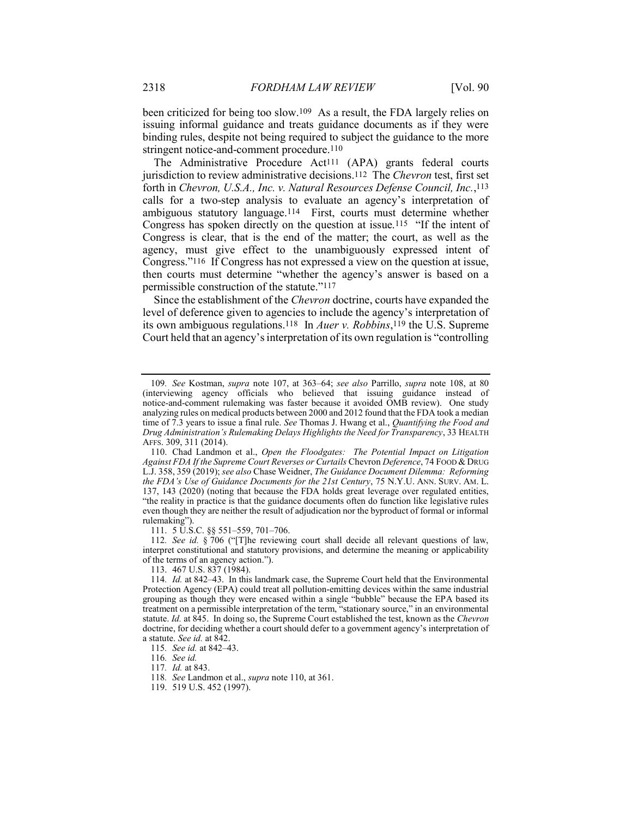been criticized for being too slow.109 As a result, the FDA largely relies on issuing informal guidance and treats guidance documents as if they were binding rules, despite not being required to subject the guidance to the more stringent notice-and-comment procedure.110

The Administrative Procedure Act<sup>111</sup> (APA) grants federal courts jurisdiction to review administrative decisions.<sup>112</sup> The *Chevron* test, first set forth in Chevron, U.S.A., Inc. v. Natural Resources Defense Council, Inc.,113 calls for a two-step analysis to evaluate an agency's interpretation of ambiguous statutory language.114 First, courts must determine whether Congress has spoken directly on the question at issue.115 "If the intent of Congress is clear, that is the end of the matter; the court, as well as the agency, must give effect to the unambiguously expressed intent of Congress."116 If Congress has not expressed a view on the question at issue, then courts must determine "whether the agency's answer is based on a permissible construction of the statute."117

Since the establishment of the Chevron doctrine, courts have expanded the level of deference given to agencies to include the agency's interpretation of its own ambiguous regulations.<sup>118</sup> In *Auer v. Robbins*,<sup>119</sup> the U.S. Supreme Court held that an agency's interpretation of its own regulation is "controlling

111. 5 U.S.C. §§ 551–559, 701–706.

112. See id. § 706 ("[T]he reviewing court shall decide all relevant questions of law, interpret constitutional and statutory provisions, and determine the meaning or applicability of the terms of an agency action.").

113. 467 U.S. 837 (1984).

115. See id. at 842–43.

116. See id.

117. Id. at 843.

<sup>109</sup>. See Kostman, supra note 107, at 363–64; see also Parrillo, supra note 108, at 80 (interviewing agency officials who believed that issuing guidance instead of notice-and-comment rulemaking was faster because it avoided OMB review). One study analyzing rules on medical products between 2000 and 2012 found that the FDA took a median time of 7.3 years to issue a final rule. See Thomas J. Hwang et al., *Quantifying the Food and* Drug Administration's Rulemaking Delays Highlights the Need for Transparency, 33 HEALTH AFFS. 309, 311 (2014).

 <sup>110.</sup> Chad Landmon et al., Open the Floodgates: The Potential Impact on Litigation Against FDA If the Supreme Court Reverses or Curtails Chevron Deference, 74 FOOD & DRUG L.J. 358, 359 (2019); see also Chase Weidner, The Guidance Document Dilemma: Reforming the FDA's Use of Guidance Documents for the 21st Century, 75 N.Y.U. ANN. SURV. AM. L. 137, 143 (2020) (noting that because the FDA holds great leverage over regulated entities, "the reality in practice is that the guidance documents often do function like legislative rules even though they are neither the result of adjudication nor the byproduct of formal or informal rulemaking").

<sup>114</sup>. Id. at 842–43. In this landmark case, the Supreme Court held that the Environmental Protection Agency (EPA) could treat all pollution-emitting devices within the same industrial grouping as though they were encased within a single "bubble" because the EPA based its treatment on a permissible interpretation of the term, "stationary source," in an environmental statute. Id. at 845. In doing so, the Supreme Court established the test, known as the Chevron doctrine, for deciding whether a court should defer to a government agency's interpretation of a statute. See id. at 842.

<sup>118.</sup> See Landmon et al., *supra* note 110, at 361.

 <sup>119. 519</sup> U.S. 452 (1997).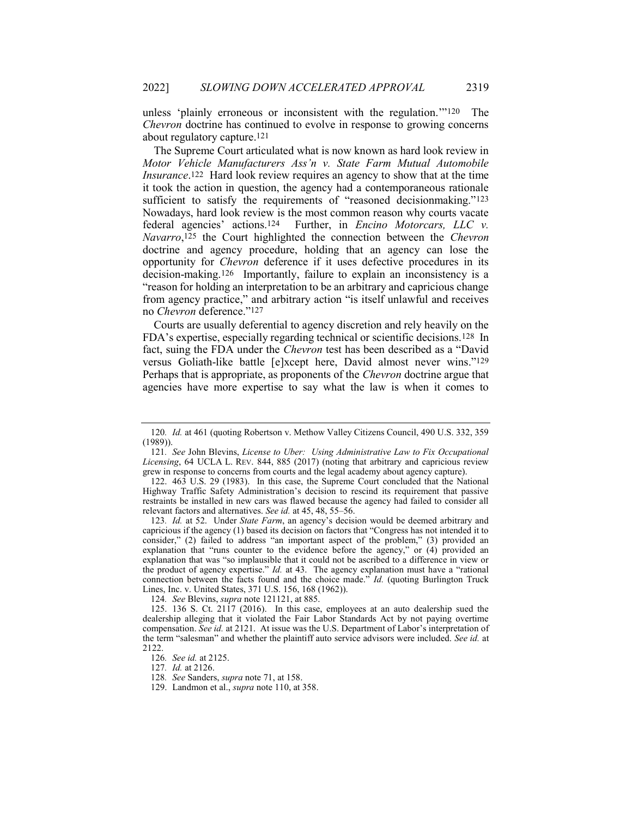unless 'plainly erroneous or inconsistent with the regulation.'"120 The Chevron doctrine has continued to evolve in response to growing concerns about regulatory capture.121

The Supreme Court articulated what is now known as hard look review in Motor Vehicle Manufacturers Ass'n v. State Farm Mutual Automobile Insurance.122 Hard look review requires an agency to show that at the time it took the action in question, the agency had a contemporaneous rationale sufficient to satisfy the requirements of "reasoned decisionmaking."<sup>123</sup> Nowadays, hard look review is the most common reason why courts vacate federal agencies' actions.124 Further, in Encino Motorcars, LLC v. Navarro,<sup>125</sup> the Court highlighted the connection between the Chevron doctrine and agency procedure, holding that an agency can lose the opportunity for Chevron deference if it uses defective procedures in its decision-making.126 Importantly, failure to explain an inconsistency is a "reason for holding an interpretation to be an arbitrary and capricious change from agency practice," and arbitrary action "is itself unlawful and receives no Chevron deference."127

Courts are usually deferential to agency discretion and rely heavily on the FDA's expertise, especially regarding technical or scientific decisions.128 In fact, suing the FDA under the Chevron test has been described as a "David versus Goliath-like battle [e]xcept here, David almost never wins."129 Perhaps that is appropriate, as proponents of the Chevron doctrine argue that agencies have more expertise to say what the law is when it comes to

124. See Blevins, supra note 121121, at 885.

<sup>120</sup>. Id. at 461 (quoting Robertson v. Methow Valley Citizens Council, 490 U.S. 332, 359 (1989)).

<sup>121</sup>. See John Blevins, License to Uber: Using Administrative Law to Fix Occupational Licensing, 64 UCLA L. REV. 844, 885 (2017) (noting that arbitrary and capricious review grew in response to concerns from courts and the legal academy about agency capture).

 <sup>122. 463</sup> U.S. 29 (1983). In this case, the Supreme Court concluded that the National Highway Traffic Safety Administration's decision to rescind its requirement that passive restraints be installed in new cars was flawed because the agency had failed to consider all relevant factors and alternatives. See id. at 45, 48, 55–56.

<sup>123.</sup> Id. at 52. Under State Farm, an agency's decision would be deemed arbitrary and capricious if the agency (1) based its decision on factors that "Congress has not intended it to consider," (2) failed to address "an important aspect of the problem," (3) provided an explanation that "runs counter to the evidence before the agency," or (4) provided an explanation that was "so implausible that it could not be ascribed to a difference in view or the product of agency expertise." Id. at 43. The agency explanation must have a "rational connection between the facts found and the choice made." Id. (quoting Burlington Truck Lines, Inc. v. United States, 371 U.S. 156, 168 (1962)).

 <sup>125. 136</sup> S. Ct. 2117 (2016). In this case, employees at an auto dealership sued the dealership alleging that it violated the Fair Labor Standards Act by not paying overtime compensation. See id. at 2121. At issue was the U.S. Department of Labor's interpretation of the term "salesman" and whether the plaintiff auto service advisors were included. See id. at 2122.

<sup>126</sup>. See id. at 2125.

<sup>127</sup>. Id. at 2126.

<sup>128</sup>. See Sanders, supra note 71, at 158.

 <sup>129.</sup> Landmon et al., supra note 110, at 358.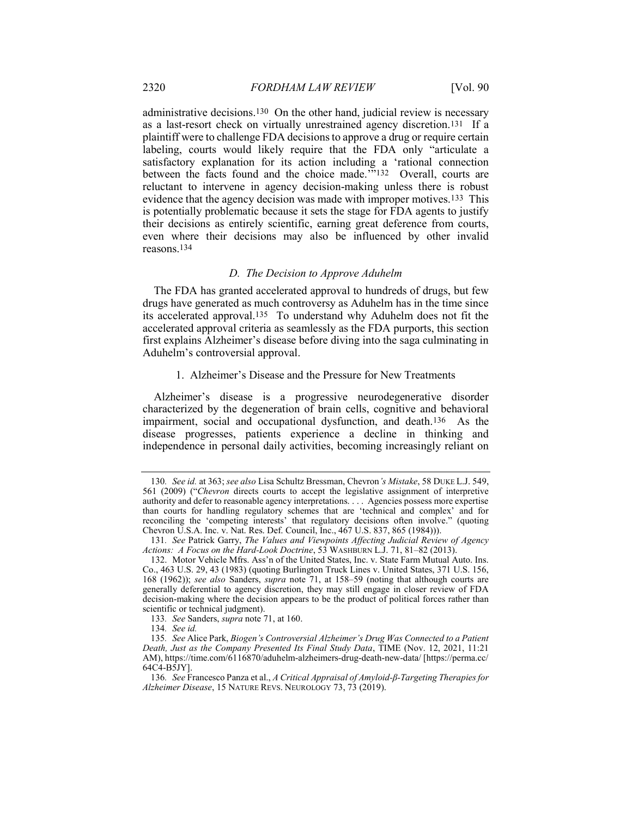administrative decisions.130 On the other hand, judicial review is necessary as a last-resort check on virtually unrestrained agency discretion.131 If a plaintiff were to challenge FDA decisions to approve a drug or require certain labeling, courts would likely require that the FDA only "articulate a satisfactory explanation for its action including a 'rational connection between the facts found and the choice made.'"<sup>132</sup> Overall, courts are reluctant to intervene in agency decision-making unless there is robust evidence that the agency decision was made with improper motives.133 This is potentially problematic because it sets the stage for FDA agents to justify their decisions as entirely scientific, earning great deference from courts, even where their decisions may also be influenced by other invalid reasons.134

## D. The Decision to Approve Aduhelm

The FDA has granted accelerated approval to hundreds of drugs, but few drugs have generated as much controversy as Aduhelm has in the time since its accelerated approval.135 To understand why Aduhelm does not fit the accelerated approval criteria as seamlessly as the FDA purports, this section first explains Alzheimer's disease before diving into the saga culminating in Aduhelm's controversial approval.

# 1. Alzheimer's Disease and the Pressure for New Treatments

Alzheimer's disease is a progressive neurodegenerative disorder characterized by the degeneration of brain cells, cognitive and behavioral impairment, social and occupational dysfunction, and death.136 As the disease progresses, patients experience a decline in thinking and independence in personal daily activities, becoming increasingly reliant on

<sup>130.</sup> See id. at 363; see also Lisa Schultz Bressman, Chevron's Mistake, 58 DUKE L.J. 549, 561 (2009) ("Chevron directs courts to accept the legislative assignment of interpretive authority and defer to reasonable agency interpretations. . . . Agencies possess more expertise than courts for handling regulatory schemes that are 'technical and complex' and for reconciling the 'competing interests' that regulatory decisions often involve." (quoting Chevron U.S.A. Inc. v. Nat. Res. Def. Council, Inc., 467 U.S. 837, 865 (1984))).

<sup>131</sup>. See Patrick Garry, The Values and Viewpoints Affecting Judicial Review of Agency Actions: A Focus on the Hard-Look Doctrine, 53 WASHBURN L.J. 71, 81–82 (2013).

 <sup>132.</sup> Motor Vehicle Mfrs. Ass'n of the United States, Inc. v. State Farm Mutual Auto. Ins. Co., 463 U.S. 29, 43 (1983) (quoting Burlington Truck Lines v. United States, 371 U.S. 156, 168 (1962)); see also Sanders, supra note 71, at 158–59 (noting that although courts are generally deferential to agency discretion, they may still engage in closer review of FDA decision-making where the decision appears to be the product of political forces rather than scientific or technical judgment).

<sup>133</sup>. See Sanders, supra note 71, at 160.

<sup>134</sup>. See id.

<sup>135</sup>. See Alice Park, Biogen's Controversial Alzheimer's Drug Was Connected to a Patient Death, Just as the Company Presented Its Final Study Data, TIME (Nov. 12, 2021, 11:21 AM), https://time.com/6116870/aduhelm-alzheimers-drug-death-new-data/ [https://perma.cc/ 64C4-B5JY].

<sup>136</sup>. See Francesco Panza et al., A Critical Appraisal of Amyloid-β-Targeting Therapies for Alzheimer Disease, 15 NATURE REVS. NEUROLOGY 73, 73 (2019).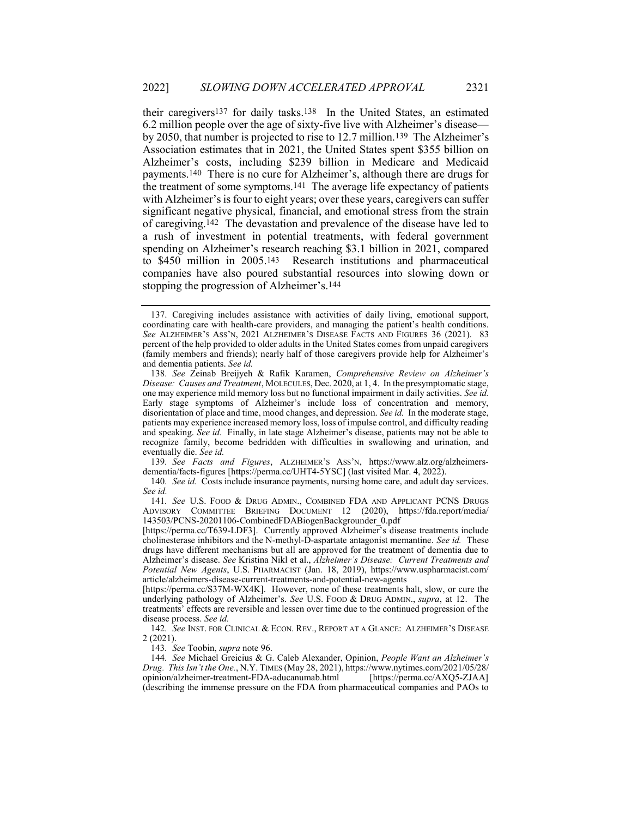their caregivers137 for daily tasks.138 In the United States, an estimated 6.2 million people over the age of sixty-five live with Alzheimer's disease by 2050, that number is projected to rise to 12.7 million.139 The Alzheimer's Association estimates that in 2021, the United States spent \$355 billion on Alzheimer's costs, including \$239 billion in Medicare and Medicaid payments.140 There is no cure for Alzheimer's, although there are drugs for the treatment of some symptoms.141 The average life expectancy of patients with Alzheimer's is four to eight years; over these years, caregivers can suffer significant negative physical, financial, and emotional stress from the strain of caregiving.142 The devastation and prevalence of the disease have led to a rush of investment in potential treatments, with federal government spending on Alzheimer's research reaching \$3.1 billion in 2021, compared to \$450 million in 2005.143 Research institutions and pharmaceutical companies have also poured substantial resources into slowing down or stopping the progression of Alzheimer's.144

139. See Facts and Figures, ALZHEIMER'S ASS'N, https://www.alz.org/alzheimersdementia/facts-figures [https://perma.cc/UHT4-5YSC] (last visited Mar. 4, 2022).

140. See id. Costs include insurance payments, nursing home care, and adult day services. See id.

141. See U.S. FOOD & DRUG ADMIN., COMBINED FDA AND APPLICANT PCNS DRUGS ADVISORY COMMITTEE BRIEFING DOCUMENT 12 (2020), https://fda.report/media/ 143503/PCNS-20201106-CombinedFDABiogenBackgrounder\_0.pdf

[https://perma.cc/T639-LDF3]. Currently approved Alzheimer's disease treatments include cholinesterase inhibitors and the N-methyl-D-aspartate antagonist memantine. See id. These drugs have different mechanisms but all are approved for the treatment of dementia due to Alzheimer's disease. See Kristina Nikl et al., *Alzheimer's Disease: Current Treatments and* Potential New Agents, U.S. PHARMACIST (Jan. 18, 2019), https://www.uspharmacist.com/ article/alzheimers-disease-current-treatments-and-potential-new-agents

[https://perma.cc/S37M-WX4K]. However, none of these treatments halt, slow, or cure the underlying pathology of Alzheimer's. See U.S. FOOD & DRUG ADMIN., supra, at 12. The treatments' effects are reversible and lessen over time due to the continued progression of the disease process. See id.

142. See INST. FOR CLINICAL & ECON. REV., REPORT AT A GLANCE: ALZHEIMER'S DISEASE 2 (2021).

143. See Toobin, supra note 96.

144. See Michael Greicius & G. Caleb Alexander, Opinion, People Want an Alzheimer's Drug. This Isn't the One., N.Y. TIMES (May 28, 2021), https://www.nytimes.com/2021/05/28/ opinion/alzheimer-treatment-FDA-aducanumab.html [https://perma.cc/AXQ5-ZJAA] (describing the immense pressure on the FDA from pharmaceutical companies and PAOs to

 <sup>137.</sup> Caregiving includes assistance with activities of daily living, emotional support, coordinating care with health-care providers, and managing the patient's health conditions. See ALZHEIMER'S ASS'N, 2021 ALZHEIMER'S DISEASE FACTS AND FIGURES 36 (2021). 83 percent of the help provided to older adults in the United States comes from unpaid caregivers (family members and friends); nearly half of those caregivers provide help for Alzheimer's and dementia patients. See id.

<sup>138</sup>. See Zeinab Breijyeh & Rafik Karamen, Comprehensive Review on Alzheimer's Disease: Causes and Treatment, MOLECULES, Dec. 2020, at 1, 4. In the presymptomatic stage, one may experience mild memory loss but no functional impairment in daily activities. See id. Early stage symptoms of Alzheimer's include loss of concentration and memory, disorientation of place and time, mood changes, and depression. See id. In the moderate stage, patients may experience increased memory loss, loss of impulse control, and difficulty reading and speaking. See id. Finally, in late stage Alzheimer's disease, patients may not be able to recognize family, become bedridden with difficulties in swallowing and urination, and eventually die. See id.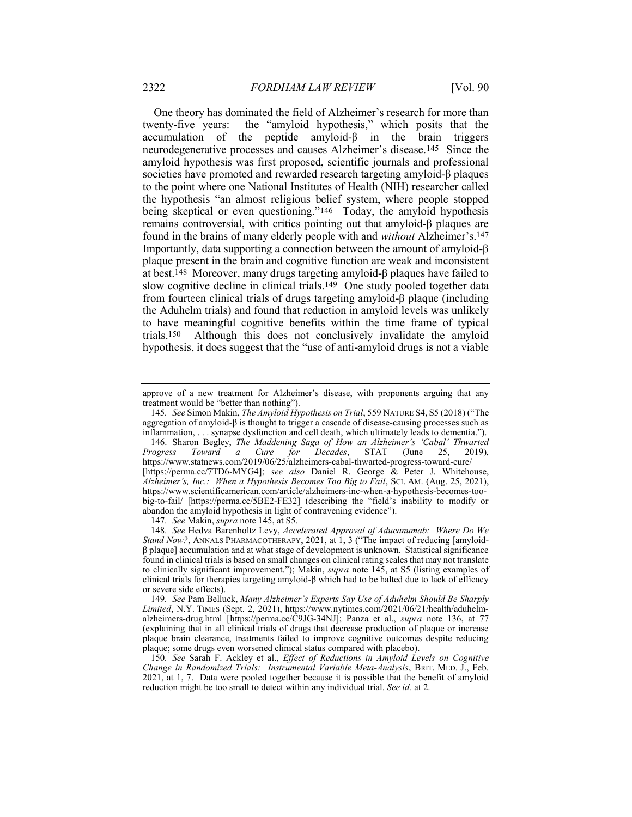One theory has dominated the field of Alzheimer's research for more than twenty-five years: the "amyloid hypothesis," which posits that the accumulation of the peptide amyloid-β in the brain triggers neurodegenerative processes and causes Alzheimer's disease.145 Since the amyloid hypothesis was first proposed, scientific journals and professional societies have promoted and rewarded research targeting amyloid-β plaques to the point where one National Institutes of Health (NIH) researcher called the hypothesis "an almost religious belief system, where people stopped being skeptical or even questioning."146 Today, the amyloid hypothesis remains controversial, with critics pointing out that amyloid-β plaques are found in the brains of many elderly people with and without Alzheimer's.147 Importantly, data supporting a connection between the amount of amyloid-β plaque present in the brain and cognitive function are weak and inconsistent at best.148 Moreover, many drugs targeting amyloid-β plaques have failed to slow cognitive decline in clinical trials.149 One study pooled together data from fourteen clinical trials of drugs targeting amyloid-β plaque (including the Aduhelm trials) and found that reduction in amyloid levels was unlikely to have meaningful cognitive benefits within the time frame of typical trials.150 Although this does not conclusively invalidate the amyloid hypothesis, it does suggest that the "use of anti-amyloid drugs is not a viable

 146. Sharon Begley, The Maddening Saga of How an Alzheimer's 'Cabal' Thwarted Progress Toward a Cure for Decades, STAT (June 25, 2019), https://www.statnews.com/2019/06/25/alzheimers-cabal-thwarted-progress-toward-cure/ [https://perma.cc/7TD6-MYG4]; see also Daniel R. George & Peter J. Whitehouse, Alzheimer's, Inc.: When a Hypothesis Becomes Too Big to Fail, SCI. AM. (Aug. 25, 2021), https://www.scientificamerican.com/article/alzheimers-inc-when-a-hypothesis-becomes-toobig-to-fail/ [https://perma.cc/5BE2-FE32] (describing the "field's inability to modify or abandon the amyloid hypothesis in light of contravening evidence").

147. See Makin, supra note 145, at S5.

149. See Pam Belluck, Many Alzheimer's Experts Say Use of Aduhelm Should Be Sharply Limited, N.Y. TIMES (Sept. 2, 2021), https://www.nytimes.com/2021/06/21/health/aduhelmalzheimers-drug.html [https://perma.cc/C9JG-34NJ]; Panza et al., supra note 136, at 77 (explaining that in all clinical trials of drugs that decrease production of plaque or increase plaque brain clearance, treatments failed to improve cognitive outcomes despite reducing plaque; some drugs even worsened clinical status compared with placebo).

approve of a new treatment for Alzheimer's disease, with proponents arguing that any treatment would be "better than nothing").

<sup>145</sup>. See Simon Makin, The Amyloid Hypothesis on Trial, 559 NATURE S4, S5 (2018) ("The aggregation of amyloid-β is thought to trigger a cascade of disease-causing processes such as inflammation, . . . synapse dysfunction and cell death, which ultimately leads to dementia.").

<sup>148</sup>. See Hedva Barenholtz Levy, Accelerated Approval of Aducanumab: Where Do We Stand Now?, ANNALS PHARMACOTHERAPY, 2021, at 1, 3 ("The impact of reducing [amyloidβ plaque] accumulation and at what stage of development is unknown. Statistical significance found in clinical trials is based on small changes on clinical rating scales that may not translate to clinically significant improvement."); Makin, supra note 145, at S5 (listing examples of clinical trials for therapies targeting amyloid-β which had to be halted due to lack of efficacy or severe side effects).

<sup>150</sup>. See Sarah F. Ackley et al., Effect of Reductions in Amyloid Levels on Cognitive Change in Randomized Trials: Instrumental Variable Meta-Analysis, BRIT. MED. J., Feb. 2021, at 1, 7. Data were pooled together because it is possible that the benefit of amyloid reduction might be too small to detect within any individual trial. See id. at 2.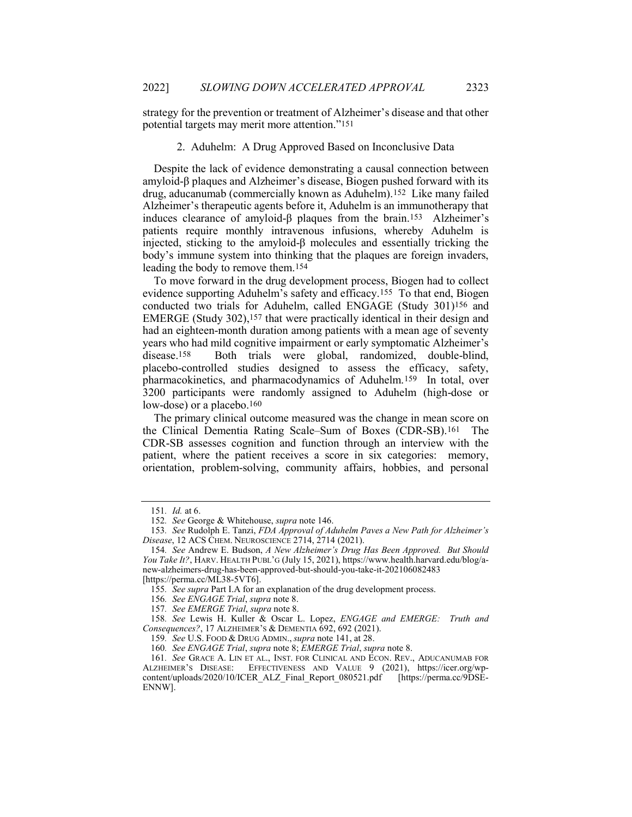strategy for the prevention or treatment of Alzheimer's disease and that other potential targets may merit more attention."151

# 2. Aduhelm: A Drug Approved Based on Inconclusive Data

Despite the lack of evidence demonstrating a causal connection between amyloid-β plaques and Alzheimer's disease, Biogen pushed forward with its drug, aducanumab (commercially known as Aduhelm).152 Like many failed Alzheimer's therapeutic agents before it, Aduhelm is an immunotherapy that induces clearance of amyloid-β plaques from the brain.153 Alzheimer's patients require monthly intravenous infusions, whereby Aduhelm is injected, sticking to the amyloid-β molecules and essentially tricking the body's immune system into thinking that the plaques are foreign invaders, leading the body to remove them.154

To move forward in the drug development process, Biogen had to collect evidence supporting Aduhelm's safety and efficacy.155 To that end, Biogen conducted two trials for Aduhelm, called ENGAGE (Study 301)156 and EMERGE (Study 302),157 that were practically identical in their design and had an eighteen-month duration among patients with a mean age of seventy years who had mild cognitive impairment or early symptomatic Alzheimer's disease.<sup>158</sup> Both trials were global, randomized, double-blind, Both trials were global, randomized, double-blind, placebo-controlled studies designed to assess the efficacy, safety, pharmacokinetics, and pharmacodynamics of Aduhelm.159 In total, over 3200 participants were randomly assigned to Aduhelm (high-dose or low-dose) or a placebo.160

The primary clinical outcome measured was the change in mean score on the Clinical Dementia Rating Scale–Sum of Boxes (CDR-SB).161 The CDR-SB assesses cognition and function through an interview with the patient, where the patient receives a score in six categories: memory, orientation, problem-solving, community affairs, hobbies, and personal

<sup>151</sup>. Id. at 6.

<sup>152</sup>. See George & Whitehouse, supra note 146.

<sup>153.</sup> See Rudolph E. Tanzi, FDA Approval of Aduhelm Paves a New Path for Alzheimer's Disease, 12 ACS CHEM. NEUROSCIENCE 2714, 2714 (2021).

<sup>154</sup>. See Andrew E. Budson, A New Alzheimer's Drug Has Been Approved. But Should You Take It?, HARV. HEALTH PUBL'G (July 15, 2021), https://www.health.harvard.edu/blog/anew-alzheimers-drug-has-been-approved-but-should-you-take-it-202106082483

<sup>[</sup>https://perma.cc/ML38-5VT6].

<sup>155</sup>. See supra Part I.A for an explanation of the drug development process.

<sup>156</sup>. See ENGAGE Trial, supra note 8.

<sup>157</sup>. See EMERGE Trial, supra note 8.

<sup>158</sup>. See Lewis H. Kuller & Oscar L. Lopez, ENGAGE and EMERGE: Truth and Consequences?, 17 ALZHEIMER'S & DEMENTIA 692, 692 (2021).

<sup>159.</sup> See U.S. FOOD & DRUG ADMIN., supra note 141, at 28.

<sup>160.</sup> See ENGAGE Trial, supra note 8; EMERGE Trial, supra note 8.

<sup>161</sup>. See GRACE A. LIN ET AL., INST. FOR CLINICAL AND ECON. REV., ADUCANUMAB FOR ALZHEIMER'S DISEASE: EFFECTIVENESS AND VALUE 9 (2021), https://icer.org/wpcontent/uploads/2020/10/ICER\_ALZ\_Final\_Report\_080521.pdf [https://perma.cc/9DSE-ENNW].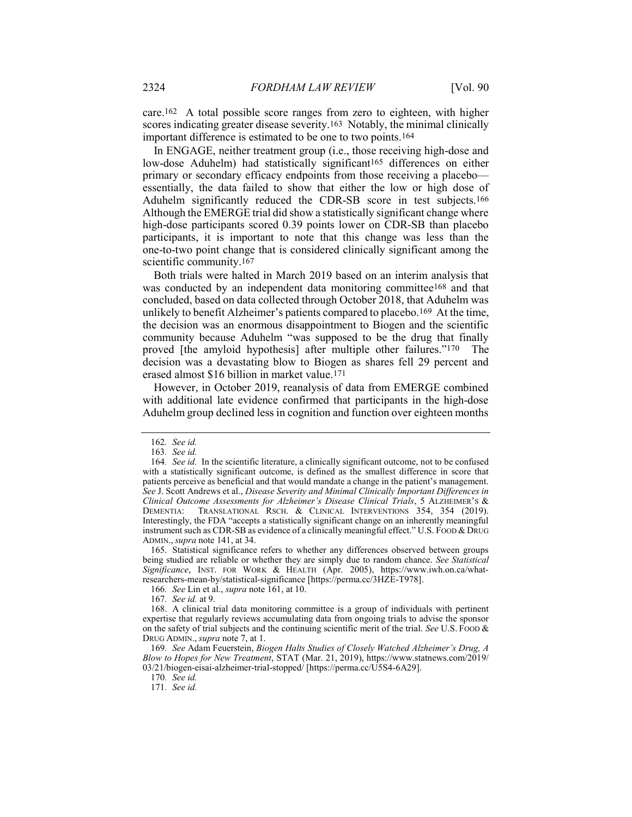care.162 A total possible score ranges from zero to eighteen, with higher scores indicating greater disease severity.<sup>163</sup> Notably, the minimal clinically important difference is estimated to be one to two points.164

In ENGAGE, neither treatment group (i.e., those receiving high-dose and low-dose Aduhelm) had statistically significant<sup>165</sup> differences on either primary or secondary efficacy endpoints from those receiving a placebo essentially, the data failed to show that either the low or high dose of Aduhelm significantly reduced the CDR-SB score in test subjects.166 Although the EMERGE trial did show a statistically significant change where high-dose participants scored 0.39 points lower on CDR-SB than placebo participants, it is important to note that this change was less than the one-to-two point change that is considered clinically significant among the scientific community.<sup>167</sup>

Both trials were halted in March 2019 based on an interim analysis that was conducted by an independent data monitoring committee168 and that concluded, based on data collected through October 2018, that Aduhelm was unlikely to benefit Alzheimer's patients compared to placebo.169 At the time, the decision was an enormous disappointment to Biogen and the scientific community because Aduhelm "was supposed to be the drug that finally proved [the amyloid hypothesis] after multiple other failures."170 The decision was a devastating blow to Biogen as shares fell 29 percent and erased almost \$16 billion in market value.171

However, in October 2019, reanalysis of data from EMERGE combined with additional late evidence confirmed that participants in the high-dose Aduhelm group declined less in cognition and function over eighteen months

<sup>162</sup>. See id.

<sup>163</sup>. See id.

<sup>164</sup>. See id. In the scientific literature, a clinically significant outcome, not to be confused with a statistically significant outcome, is defined as the smallest difference in score that patients perceive as beneficial and that would mandate a change in the patient's management. See J. Scott Andrews et al., Disease Severity and Minimal Clinically Important Differences in Clinical Outcome Assessments for Alzheimer's Disease Clinical Trials, 5 ALZHEIMER'S & DEMENTIA: TRANSLATIONAL RSCH. & CLINICAL INTERVENTIONS 354, 354 (2019). Interestingly, the FDA "accepts a statistically significant change on an inherently meaningful instrument such as CDR-SB as evidence of a clinically meaningful effect." U.S. FOOD & DRUG ADMIN., supra note 141, at 34.

 <sup>165.</sup> Statistical significance refers to whether any differences observed between groups being studied are reliable or whether they are simply due to random chance. See Statistical Significance, INST. FOR WORK & HEALTH (Apr. 2005), https://www.iwh.on.ca/whatresearchers-mean-by/statistical-significance [https://perma.cc/3HZE-T978].

<sup>166.</sup> See Lin et al., *supra* note 161, at 10.

<sup>167</sup>. See id. at 9.

 <sup>168.</sup> A clinical trial data monitoring committee is a group of individuals with pertinent expertise that regularly reviews accumulating data from ongoing trials to advise the sponsor on the safety of trial subjects and the continuing scientific merit of the trial. See U.S. Food  $\&$ DRUG ADMIN., supra note 7, at 1.

<sup>169</sup>. See Adam Feuerstein, Biogen Halts Studies of Closely Watched Alzheimer's Drug, A Blow to Hopes for New Treatment, STAT (Mar. 21, 2019), https://www.statnews.com/2019/ 03/21/biogen-eisai-alzheimer-trial-stopped/ [https://perma.cc/U5S4-6A29].

<sup>170</sup>. See id.

<sup>171</sup>. See id.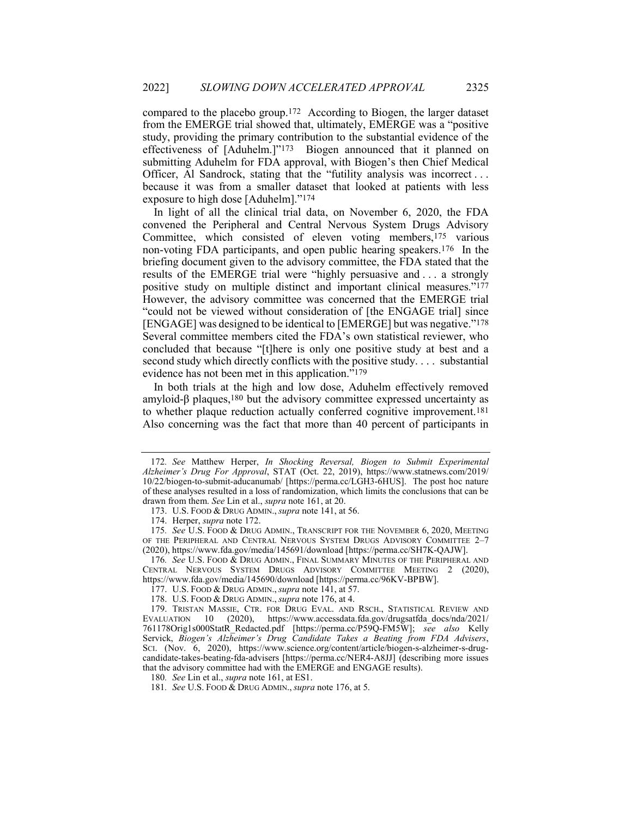compared to the placebo group.172 According to Biogen, the larger dataset from the EMERGE trial showed that, ultimately, EMERGE was a "positive study, providing the primary contribution to the substantial evidence of the effectiveness of [Aduhelm.]"173 Biogen announced that it planned on submitting Aduhelm for FDA approval, with Biogen's then Chief Medical Officer, Al Sandrock, stating that the "futility analysis was incorrect . . . because it was from a smaller dataset that looked at patients with less exposure to high dose [Aduhelm]."174

In light of all the clinical trial data, on November 6, 2020, the FDA convened the Peripheral and Central Nervous System Drugs Advisory Committee, which consisted of eleven voting members,175 various non-voting FDA participants, and open public hearing speakers.176 In the briefing document given to the advisory committee, the FDA stated that the results of the EMERGE trial were "highly persuasive and . . . a strongly positive study on multiple distinct and important clinical measures."177 However, the advisory committee was concerned that the EMERGE trial "could not be viewed without consideration of [the ENGAGE trial] since [ENGAGE] was designed to be identical to [EMERGE] but was negative."178 Several committee members cited the FDA's own statistical reviewer, who concluded that because "[t]here is only one positive study at best and a second study which directly conflicts with the positive study. . . . substantial evidence has not been met in this application."179

In both trials at the high and low dose, Aduhelm effectively removed amyloid- $\beta$  plaques,<sup>180</sup> but the advisory committee expressed uncertainty as to whether plaque reduction actually conferred cognitive improvement.181 Also concerning was the fact that more than 40 percent of participants in

<sup>172</sup>. See Matthew Herper, In Shocking Reversal, Biogen to Submit Experimental Alzheimer's Drug For Approval, STAT (Oct. 22, 2019), https://www.statnews.com/2019/ 10/22/biogen-to-submit-aducanumab/ [https://perma.cc/LGH3-6HUS]. The post hoc nature of these analyses resulted in a loss of randomization, which limits the conclusions that can be drawn from them. See Lin et al., supra note 161, at 20.

<sup>173.</sup> U.S. FOOD & DRUG ADMIN., supra note 141, at 56.

 <sup>174.</sup> Herper, supra note 172.

<sup>175.</sup> See U.S. FOOD & DRUG ADMIN., TRANSCRIPT FOR THE NOVEMBER 6, 2020, MEETING OF THE PERIPHERAL AND CENTRAL NERVOUS SYSTEM DRUGS ADVISORY COMMITTEE 2–7 (2020), https://www.fda.gov/media/145691/download [https://perma.cc/SH7K-QAJW].

<sup>176.</sup> See U.S. FOOD & DRUG ADMIN., FINAL SUMMARY MINUTES OF THE PERIPHERAL AND CENTRAL NERVOUS SYSTEM DRUGS ADVISORY COMMITTEE MEETING 2 (2020), https://www.fda.gov/media/145690/download [https://perma.cc/96KV-BPBW].

<sup>177.</sup> U.S. FOOD & DRUG ADMIN., supra note  $141$ , at 57.

<sup>178.</sup> U.S. FOOD & DRUG ADMIN., *supra* note 176, at 4.

 <sup>179.</sup> TRISTAN MASSIE, CTR. FOR DRUG EVAL. AND RSCH., STATISTICAL REVIEW AND EVALUATION 10 (2020), https://www.accessdata.fda.gov/drugsatfda\_docs/nda/2021/ 761178Orig1s000StatR\_Redacted.pdf [https://perma.cc/P59Q-FM5W]; see also Kelly Servick, Biogen's Alzheimer's Drug Candidate Takes a Beating from FDA Advisers, SCI. (Nov. 6, 2020), https://www.science.org/content/article/biogen-s-alzheimer-s-drugcandidate-takes-beating-fda-advisers [https://perma.cc/NER4-A8JJ] (describing more issues that the advisory committee had with the EMERGE and ENGAGE results).

<sup>180.</sup> See Lin et al., *supra* note 161, at ES1.

<sup>181.</sup> See U.S. Food & Drug Admin., supra note 176, at 5.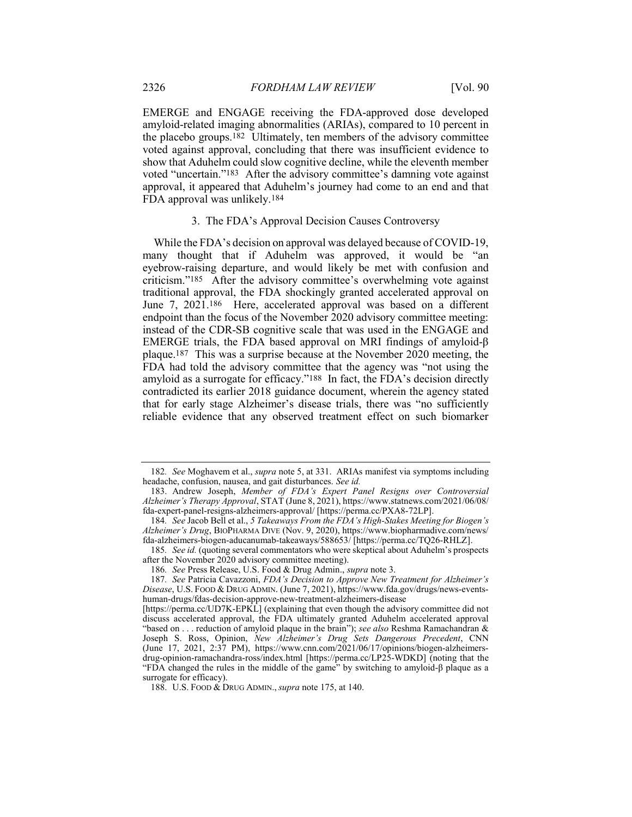EMERGE and ENGAGE receiving the FDA-approved dose developed amyloid-related imaging abnormalities (ARIAs), compared to 10 percent in the placebo groups.182 Ultimately, ten members of the advisory committee voted against approval, concluding that there was insufficient evidence to show that Aduhelm could slow cognitive decline, while the eleventh member voted "uncertain."183 After the advisory committee's damning vote against approval, it appeared that Aduhelm's journey had come to an end and that FDA approval was unlikely.184

#### 3. The FDA's Approval Decision Causes Controversy

While the FDA's decision on approval was delayed because of COVID-19, many thought that if Aduhelm was approved, it would be "an eyebrow-raising departure, and would likely be met with confusion and criticism."185 After the advisory committee's overwhelming vote against traditional approval, the FDA shockingly granted accelerated approval on June 7, 2021.186 Here, accelerated approval was based on a different endpoint than the focus of the November 2020 advisory committee meeting: instead of the CDR-SB cognitive scale that was used in the ENGAGE and EMERGE trials, the FDA based approval on MRI findings of amyloid-β plaque.187 This was a surprise because at the November 2020 meeting, the FDA had told the advisory committee that the agency was "not using the amyloid as a surrogate for efficacy."188 In fact, the FDA's decision directly contradicted its earlier 2018 guidance document, wherein the agency stated that for early stage Alzheimer's disease trials, there was "no sufficiently reliable evidence that any observed treatment effect on such biomarker

<sup>182.</sup> See Moghavem et al., *supra* note 5, at 331. ARIAs manifest via symptoms including headache, confusion, nausea, and gait disturbances. See id.

 <sup>183.</sup> Andrew Joseph, Member of FDA's Expert Panel Resigns over Controversial Alzheimer's Therapy Approval, STAT (June 8, 2021), https://www.statnews.com/2021/06/08/ fda-expert-panel-resigns-alzheimers-approval/ [https://perma.cc/PXA8-72LP].

<sup>184</sup>. See Jacob Bell et al., 5 Takeaways From the FDA's High-Stakes Meeting for Biogen's Alzheimer's Drug, BIOPHARMA DIVE (Nov. 9, 2020), https://www.biopharmadive.com/news/ fda-alzheimers-biogen-aducanumab-takeaways/588653/ [https://perma.cc/TQ26-RHLZ].

<sup>185.</sup> See id. (quoting several commentators who were skeptical about Aduhelm's prospects after the November 2020 advisory committee meeting).

<sup>186</sup>. See Press Release, U.S. Food & Drug Admin., supra note 3.

<sup>187</sup>. See Patricia Cavazzoni, FDA's Decision to Approve New Treatment for Alzheimer's Disease, U.S. FOOD & DRUG ADMIN. (June 7, 2021), https://www.fda.gov/drugs/news-eventshuman-drugs/fdas-decision-approve-new-treatment-alzheimers-disease

<sup>[</sup>https://perma.cc/UD7K-EPKL] (explaining that even though the advisory committee did not discuss accelerated approval, the FDA ultimately granted Aduhelm accelerated approval "based on . . . reduction of amyloid plaque in the brain"); see also Reshma Ramachandran  $\&$ Joseph S. Ross, Opinion, New Alzheimer's Drug Sets Dangerous Precedent, CNN (June 17, 2021, 2:37 PM), https://www.cnn.com/2021/06/17/opinions/biogen-alzheimersdrug-opinion-ramachandra-ross/index.html [https://perma.cc/LP25-WDKD] (noting that the "FDA changed the rules in the middle of the game" by switching to amyloid-β plaque as a surrogate for efficacy).

 <sup>188.</sup> U.S. FOOD & DRUG ADMIN., supra note 175, at 140.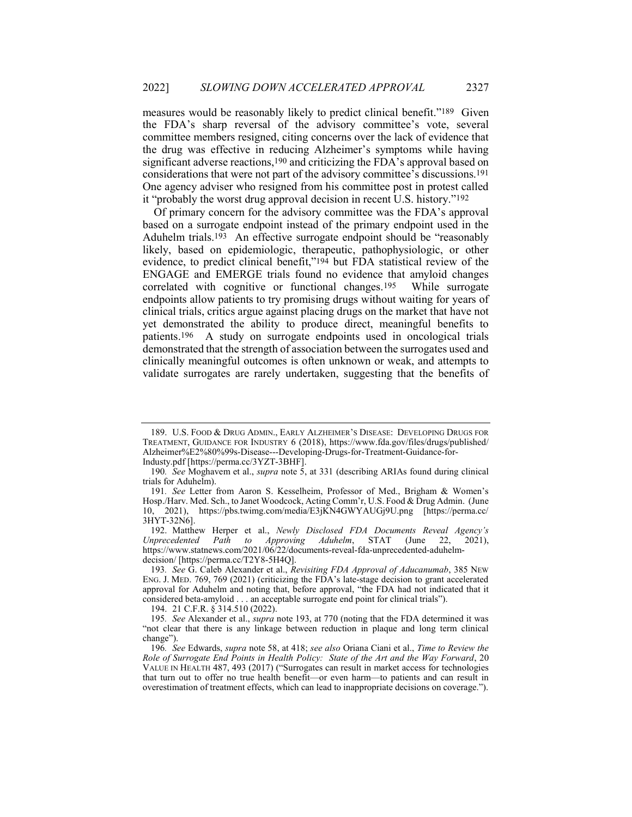measures would be reasonably likely to predict clinical benefit."189 Given the FDA's sharp reversal of the advisory committee's vote, several committee members resigned, citing concerns over the lack of evidence that the drug was effective in reducing Alzheimer's symptoms while having significant adverse reactions,190 and criticizing the FDA's approval based on considerations that were not part of the advisory committee's discussions.191 One agency adviser who resigned from his committee post in protest called it "probably the worst drug approval decision in recent U.S. history."192

Of primary concern for the advisory committee was the FDA's approval based on a surrogate endpoint instead of the primary endpoint used in the Aduhelm trials.<sup>193</sup> An effective surrogate endpoint should be "reasonably likely, based on epidemiologic, therapeutic, pathophysiologic, or other evidence, to predict clinical benefit,"194 but FDA statistical review of the ENGAGE and EMERGE trials found no evidence that amyloid changes correlated with cognitive or functional changes.195 While surrogate endpoints allow patients to try promising drugs without waiting for years of clinical trials, critics argue against placing drugs on the market that have not yet demonstrated the ability to produce direct, meaningful benefits to patients.196 A study on surrogate endpoints used in oncological trials demonstrated that the strength of association between the surrogates used and clinically meaningful outcomes is often unknown or weak, and attempts to validate surrogates are rarely undertaken, suggesting that the benefits of

 <sup>189.</sup> U.S. FOOD & DRUG ADMIN., EARLY ALZHEIMER'S DISEASE: DEVELOPING DRUGS FOR TREATMENT, GUIDANCE FOR INDUSTRY 6 (2018), https://www.fda.gov/files/drugs/published/ Alzheimer%E2%80%99s-Disease---Developing-Drugs-for-Treatment-Guidance-for-Industy.pdf [https://perma.cc/3YZT-3BHF].

<sup>190.</sup> See Moghavem et al., *supra* note 5, at 331 (describing ARIAs found during clinical trials for Aduhelm).

<sup>191</sup>. See Letter from Aaron S. Kesselheim, Professor of Med., Brigham & Women's Hosp./Harv. Med. Sch., to Janet Woodcock, Acting Comm'r, U.S. Food & Drug Admin. (June 10, 2021), https://pbs.twimg.com/media/E3jKN4GWYAUGj9U.png [https://perma.cc/ 3HYT-32N6].

<sup>192.</sup> Matthew Herper et al., *Newly Disclosed FDA Documents Reveal Agency's iprecedented Path to Approving Aduhelm*, STAT (June 22, 2021), Unprecedented Path to Approving Aduhelm, STAT (June 22, 2021), https://www.statnews.com/2021/06/22/documents-reveal-fda-unprecedented-aduhelmdecision/ [https://perma.cc/T2Y8-5H4Q].

<sup>193</sup>. See G. Caleb Alexander et al., Revisiting FDA Approval of Aducanumab, 385 NEW ENG. J. MED. 769, 769 (2021) (criticizing the FDA's late-stage decision to grant accelerated approval for Aduhelm and noting that, before approval, "the FDA had not indicated that it considered beta-amyloid . . . an acceptable surrogate end point for clinical trials").

 <sup>194. 21</sup> C.F.R. § 314.510 (2022).

<sup>195</sup>. See Alexander et al., supra note 193, at 770 (noting that the FDA determined it was "not clear that there is any linkage between reduction in plaque and long term clinical change").

<sup>196.</sup> See Edwards, *supra* note 58, at 418; see also Oriana Ciani et al., *Time to Review the* Role of Surrogate End Points in Health Policy: State of the Art and the Way Forward, 20 VALUE IN HEALTH 487, 493 (2017) ("Surrogates can result in market access for technologies that turn out to offer no true health benefit—or even harm—to patients and can result in overestimation of treatment effects, which can lead to inappropriate decisions on coverage.").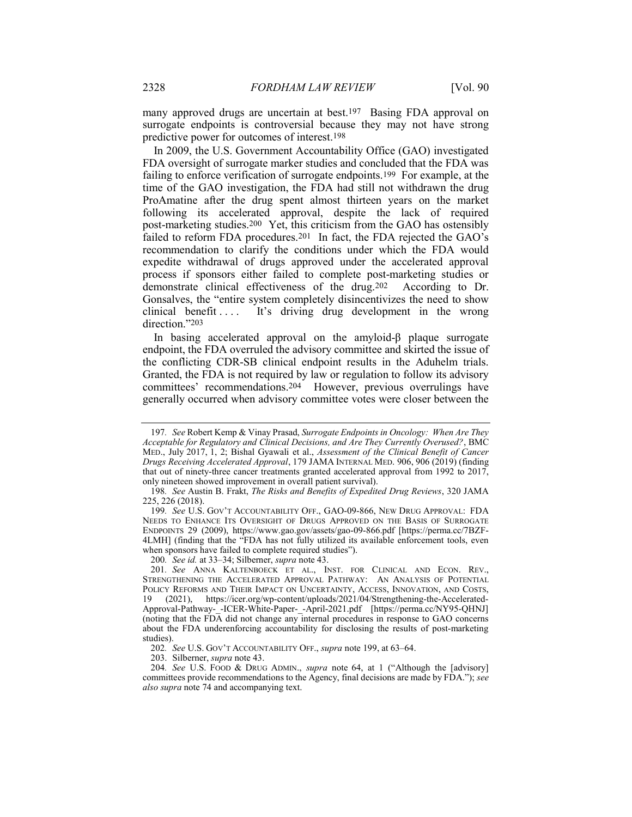many approved drugs are uncertain at best.<sup>197</sup> Basing FDA approval on surrogate endpoints is controversial because they may not have strong predictive power for outcomes of interest.198

In 2009, the U.S. Government Accountability Office (GAO) investigated FDA oversight of surrogate marker studies and concluded that the FDA was failing to enforce verification of surrogate endpoints.199 For example, at the time of the GAO investigation, the FDA had still not withdrawn the drug ProAmatine after the drug spent almost thirteen years on the market following its accelerated approval, despite the lack of required post-marketing studies.200 Yet, this criticism from the GAO has ostensibly failed to reform FDA procedures.201 In fact, the FDA rejected the GAO's recommendation to clarify the conditions under which the FDA would expedite withdrawal of drugs approved under the accelerated approval process if sponsors either failed to complete post-marketing studies or demonstrate clinical effectiveness of the drug.202 According to Dr. Gonsalves, the "entire system completely disincentivizes the need to show clinical benefit .... It's driving drug development in the wrong direction."203

In basing accelerated approval on the amyloid-β plaque surrogate endpoint, the FDA overruled the advisory committee and skirted the issue of the conflicting CDR-SB clinical endpoint results in the Aduhelm trials. Granted, the FDA is not required by law or regulation to follow its advisory committees' recommendations.<sup>204</sup> However, previous overrulings have generally occurred when advisory committee votes were closer between the

200. See id. at 33-34; Silberner, supra note 43.

202. See U.S. GOV'T ACCOUNTABILITY OFF., supra note 199, at 63–64.

203. Silberner, supra note 43.

204. See U.S. FOOD & DRUG ADMIN., supra note 64, at 1 ("Although the [advisory] committees provide recommendations to the Agency, final decisions are made by FDA."); see also supra note 74 and accompanying text.

<sup>197</sup>. See Robert Kemp & Vinay Prasad, Surrogate Endpoints in Oncology: When Are They Acceptable for Regulatory and Clinical Decisions, and Are They Currently Overused?, BMC MED., July 2017, 1, 2; Bishal Gyawali et al., Assessment of the Clinical Benefit of Cancer Drugs Receiving Accelerated Approval, 179 JAMA INTERNAL MED. 906, 906 (2019) (finding that out of ninety-three cancer treatments granted accelerated approval from 1992 to 2017, only nineteen showed improvement in overall patient survival).

<sup>198</sup>. See Austin B. Frakt, The Risks and Benefits of Expedited Drug Reviews, 320 JAMA 225, 226 (2018).

<sup>199</sup>. See U.S. GOV'T ACCOUNTABILITY OFF., GAO-09-866, NEW DRUG APPROVAL: FDA NEEDS TO ENHANCE ITS OVERSIGHT OF DRUGS APPROVED ON THE BASIS OF SURROGATE ENDPOINTS 29 (2009), https://www.gao.gov/assets/gao-09-866.pdf [https://perma.cc/7BZF-4LMH] (finding that the "FDA has not fully utilized its available enforcement tools, even when sponsors have failed to complete required studies").

<sup>201</sup>. See ANNA KALTENBOECK ET AL., INST. FOR CLINICAL AND ECON. REV., STRENGTHENING THE ACCELERATED APPROVAL PATHWAY: AN ANALYSIS OF POTENTIAL POLICY REFORMS AND THEIR IMPACT ON UNCERTAINTY, ACCESS, INNOVATION, AND COSTS, 19 (2021), https://icer.org/wp-content/uploads/2021/04/Strengthening-the-Accelerated-Approval-Pathway-\_-ICER-White-Paper-\_-April-2021.pdf [https://perma.cc/NY95-QHNJ] (noting that the FDA did not change any internal procedures in response to GAO concerns about the FDA underenforcing accountability for disclosing the results of post-marketing studies).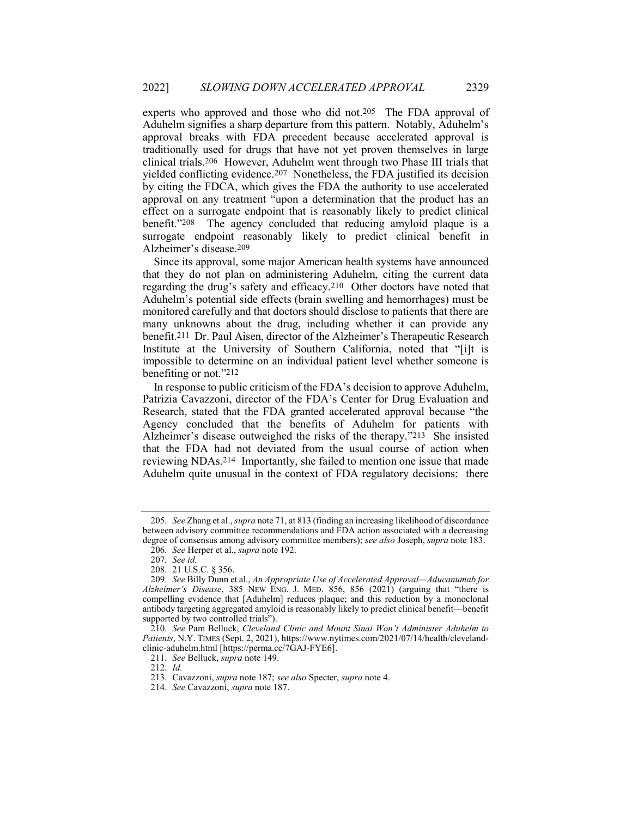experts who approved and those who did not.205 The FDA approval of Aduhelm signifies a sharp departure from this pattern. Notably, Aduhelm's approval breaks with FDA precedent because accelerated approval is traditionally used for drugs that have not yet proven themselves in large clinical trials.206 However, Aduhelm went through two Phase III trials that yielded conflicting evidence.207 Nonetheless, the FDA justified its decision by citing the FDCA, which gives the FDA the authority to use accelerated approval on any treatment "upon a determination that the product has an effect on a surrogate endpoint that is reasonably likely to predict clinical benefit."208 The agency concluded that reducing amyloid plaque is a surrogate endpoint reasonably likely to predict clinical benefit in Alzheimer's disease.209

Since its approval, some major American health systems have announced that they do not plan on administering Aduhelm, citing the current data regarding the drug's safety and efficacy.210 Other doctors have noted that Aduhelm's potential side effects (brain swelling and hemorrhages) must be monitored carefully and that doctors should disclose to patients that there are many unknowns about the drug, including whether it can provide any benefit.211 Dr. Paul Aisen, director of the Alzheimer's Therapeutic Research Institute at the University of Southern California, noted that "[i]t is impossible to determine on an individual patient level whether someone is benefiting or not."212

In response to public criticism of the FDA's decision to approve Aduhelm, Patrizia Cavazzoni, director of the FDA's Center for Drug Evaluation and Research, stated that the FDA granted accelerated approval because "the Agency concluded that the benefits of Aduhelm for patients with Alzheimer's disease outweighed the risks of the therapy."213 She insisted that the FDA had not deviated from the usual course of action when reviewing NDAs.214 Importantly, she failed to mention one issue that made Aduhelm quite unusual in the context of FDA regulatory decisions: there

<sup>205.</sup> See Zhang et al., *supra* note 71, at 813 (finding an increasing likelihood of discordance between advisory committee recommendations and FDA action associated with a decreasing degree of consensus among advisory committee members); see also Joseph, supra note 183.

<sup>206.</sup> See Herper et al., *supra* note 192.

<sup>207</sup>. See id.

 <sup>208. 21</sup> U.S.C. § 356.

<sup>209</sup>. See Billy Dunn et al., An Appropriate Use of Accelerated Approval—Aducanumab for Alzheimer's Disease, 385 NEW ENG. J. MED. 856, 856  $(2021)$  (arguing that "there is compelling evidence that [Aduhelm] reduces plaque; and this reduction by a monoclonal antibody targeting aggregated amyloid is reasonably likely to predict clinical benefit—benefit supported by two controlled trials").

<sup>210</sup>. See Pam Belluck, Cleveland Clinic and Mount Sinai Won't Administer Aduhelm to Patients, N.Y. TIMES (Sept. 2, 2021), https://www.nytimes.com/2021/07/14/health/clevelandclinic-aduhelm.html [https://perma.cc/7GAJ-FYE6].

<sup>211</sup>. See Belluck, supra note 149.

<sup>212</sup>. Id.

 <sup>213.</sup> Cavazzoni, supra note 187; see also Specter, supra note 4.

<sup>214</sup>. See Cavazzoni, supra note 187.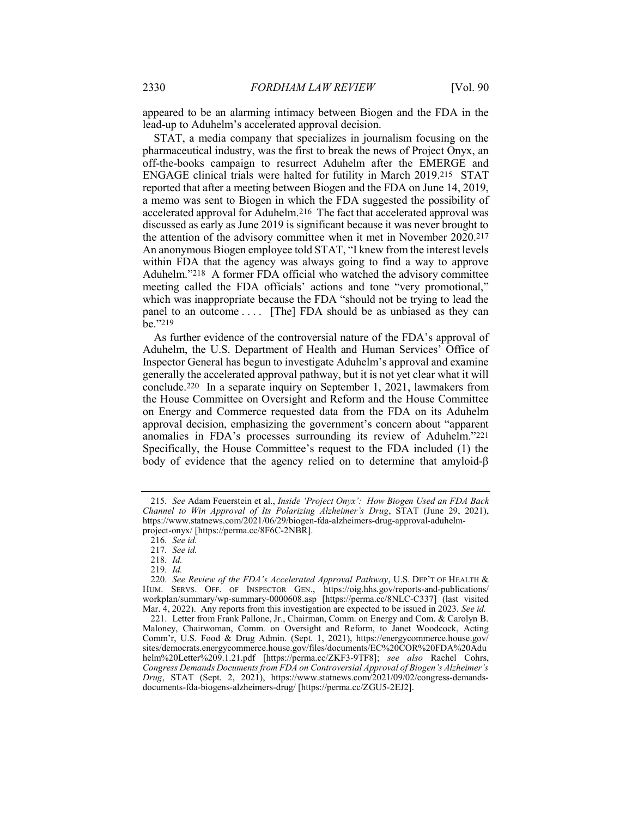appeared to be an alarming intimacy between Biogen and the FDA in the lead-up to Aduhelm's accelerated approval decision.

STAT, a media company that specializes in journalism focusing on the pharmaceutical industry, was the first to break the news of Project Onyx, an off-the-books campaign to resurrect Aduhelm after the EMERGE and ENGAGE clinical trials were halted for futility in March 2019.215 STAT reported that after a meeting between Biogen and the FDA on June 14, 2019, a memo was sent to Biogen in which the FDA suggested the possibility of accelerated approval for Aduhelm.216 The fact that accelerated approval was discussed as early as June 2019 is significant because it was never brought to the attention of the advisory committee when it met in November 2020.217 An anonymous Biogen employee told STAT, "I knew from the interest levels within FDA that the agency was always going to find a way to approve Aduhelm."218 A former FDA official who watched the advisory committee meeting called the FDA officials' actions and tone "very promotional," which was inappropriate because the FDA "should not be trying to lead the panel to an outcome . . . . [The] FDA should be as unbiased as they can be."219

As further evidence of the controversial nature of the FDA's approval of Aduhelm, the U.S. Department of Health and Human Services' Office of Inspector General has begun to investigate Aduhelm's approval and examine generally the accelerated approval pathway, but it is not yet clear what it will conclude.220 In a separate inquiry on September 1, 2021, lawmakers from the House Committee on Oversight and Reform and the House Committee on Energy and Commerce requested data from the FDA on its Aduhelm approval decision, emphasizing the government's concern about "apparent anomalies in FDA's processes surrounding its review of Aduhelm."221 Specifically, the House Committee's request to the FDA included (1) the body of evidence that the agency relied on to determine that amyloid-β

<sup>215</sup>. See Adam Feuerstein et al., Inside 'Project Onyx': How Biogen Used an FDA Back Channel to Win Approval of Its Polarizing Alzheimer's Drug, STAT (June 29, 2021), https://www.statnews.com/2021/06/29/biogen-fda-alzheimers-drug-approval-aduhelmproject-onyx/ [https://perma.cc/8F6C-2NBR].

<sup>216</sup>. See id.

<sup>217</sup>. See id.

<sup>218</sup>. Id.

<sup>219</sup>. Id.

<sup>220.</sup> See Review of the FDA's Accelerated Approval Pathway, U.S. DEP'T OF HEALTH & HUM. SERVS. OFF. OF INSPECTOR GEN., https://oig.hhs.gov/reports-and-publications/ workplan/summary/wp-summary-0000608.asp [https://perma.cc/8NLC-C337] (last visited Mar. 4, 2022). Any reports from this investigation are expected to be issued in 2023. See id.

 <sup>221.</sup> Letter from Frank Pallone, Jr., Chairman, Comm. on Energy and Com. & Carolyn B. Maloney, Chairwoman, Comm. on Oversight and Reform, to Janet Woodcock, Acting Comm'r, U.S. Food & Drug Admin. (Sept. 1, 2021), https://energycommerce.house.gov/ sites/democrats.energycommerce.house.gov/files/documents/EC%20COR%20FDA%20Adu helm%20Letter%209.1.21.pdf [https://perma.cc/ZKF3-9TF8]; see also Rachel Cohrs, Congress Demands Documents from FDA on Controversial Approval of Biogen's Alzheimer's Drug, STAT (Sept. 2, 2021), https://www.statnews.com/2021/09/02/congress-demandsdocuments-fda-biogens-alzheimers-drug/ [https://perma.cc/ZGU5-2EJ2].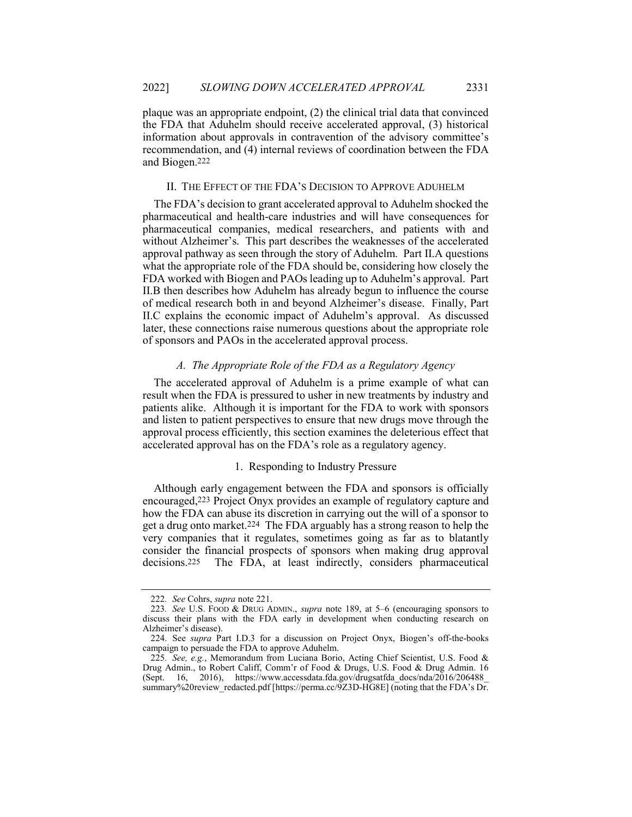plaque was an appropriate endpoint, (2) the clinical trial data that convinced the FDA that Aduhelm should receive accelerated approval, (3) historical information about approvals in contravention of the advisory committee's recommendation, and (4) internal reviews of coordination between the FDA and Biogen.222

# II. THE EFFECT OF THE FDA'S DECISION TO APPROVE ADUHELM

The FDA's decision to grant accelerated approval to Aduhelm shocked the pharmaceutical and health-care industries and will have consequences for pharmaceutical companies, medical researchers, and patients with and without Alzheimer's. This part describes the weaknesses of the accelerated approval pathway as seen through the story of Aduhelm. Part II.A questions what the appropriate role of the FDA should be, considering how closely the FDA worked with Biogen and PAOs leading up to Aduhelm's approval. Part II.B then describes how Aduhelm has already begun to influence the course of medical research both in and beyond Alzheimer's disease. Finally, Part II.C explains the economic impact of Aduhelm's approval. As discussed later, these connections raise numerous questions about the appropriate role of sponsors and PAOs in the accelerated approval process.

# A. The Appropriate Role of the FDA as a Regulatory Agency

The accelerated approval of Aduhelm is a prime example of what can result when the FDA is pressured to usher in new treatments by industry and patients alike. Although it is important for the FDA to work with sponsors and listen to patient perspectives to ensure that new drugs move through the approval process efficiently, this section examines the deleterious effect that accelerated approval has on the FDA's role as a regulatory agency.

# 1. Responding to Industry Pressure

Although early engagement between the FDA and sponsors is officially encouraged,223 Project Onyx provides an example of regulatory capture and how the FDA can abuse its discretion in carrying out the will of a sponsor to get a drug onto market.224 The FDA arguably has a strong reason to help the very companies that it regulates, sometimes going as far as to blatantly consider the financial prospects of sponsors when making drug approval decisions.225 The FDA, at least indirectly, considers pharmaceutical

<sup>222</sup>. See Cohrs, supra note 221.

<sup>223</sup>. See U.S. FOOD & DRUG ADMIN., supra note 189, at 5–6 (encouraging sponsors to discuss their plans with the FDA early in development when conducting research on Alzheimer's disease).

 <sup>224.</sup> See supra Part I.D.3 for a discussion on Project Onyx, Biogen's off-the-books campaign to persuade the FDA to approve Aduhelm.

<sup>225</sup>. See, e.g., Memorandum from Luciana Borio, Acting Chief Scientist, U.S. Food & Drug Admin., to Robert Califf, Comm'r of Food & Drugs, U.S. Food & Drug Admin. 16 (Sept. 16, 2016), https://www.accessdata.fda.gov/drugsatfda\_docs/nda/2016/206488\_ summary%20review\_redacted.pdf [https://perma.cc/9Z3D-HG8E] (noting that the FDA's Dr.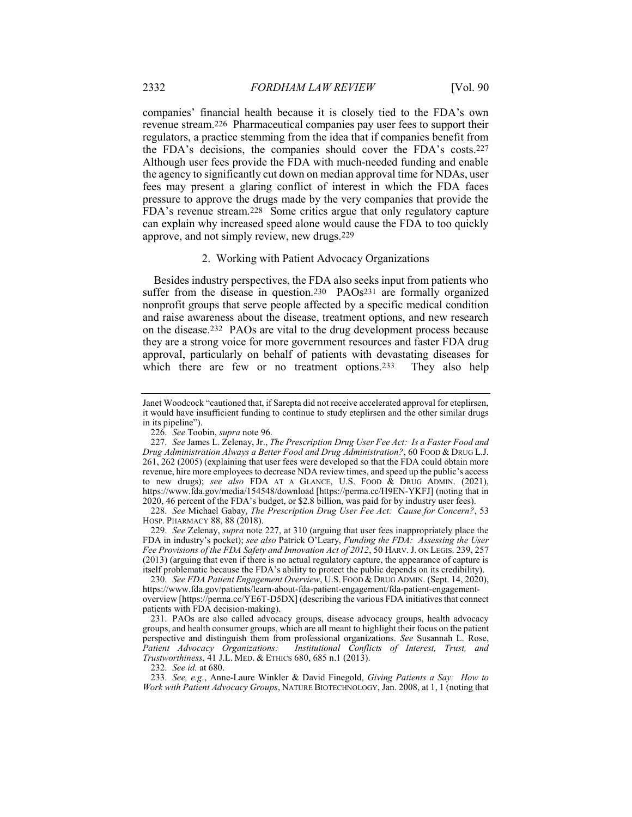companies' financial health because it is closely tied to the FDA's own revenue stream.226 Pharmaceutical companies pay user fees to support their regulators, a practice stemming from the idea that if companies benefit from the FDA's decisions, the companies should cover the FDA's costs.227 Although user fees provide the FDA with much-needed funding and enable the agency to significantly cut down on median approval time for NDAs, user fees may present a glaring conflict of interest in which the FDA faces pressure to approve the drugs made by the very companies that provide the FDA's revenue stream.228 Some critics argue that only regulatory capture can explain why increased speed alone would cause the FDA to too quickly approve, and not simply review, new drugs.229

# 2. Working with Patient Advocacy Organizations

Besides industry perspectives, the FDA also seeks input from patients who suffer from the disease in question.<sup>230</sup> PAOs<sup>231</sup> are formally organized nonprofit groups that serve people affected by a specific medical condition and raise awareness about the disease, treatment options, and new research on the disease.232 PAOs are vital to the drug development process because they are a strong voice for more government resources and faster FDA drug approval, particularly on behalf of patients with devastating diseases for which there are few or no treatment options.<sup>233</sup> They also help

Janet Woodcock "cautioned that, if Sarepta did not receive accelerated approval for eteplirsen, it would have insufficient funding to continue to study eteplirsen and the other similar drugs in its pipeline").

<sup>226</sup>. See Toobin, supra note 96.

<sup>227</sup>. See James L. Zelenay, Jr., The Prescription Drug User Fee Act: Is a Faster Food and Drug Administration Always a Better Food and Drug Administration?, 60 FOOD & DRUG L.J. 261, 262 (2005) (explaining that user fees were developed so that the FDA could obtain more revenue, hire more employees to decrease NDA review times, and speed up the public's access to new drugs); see also FDA AT A GLANCE, U.S. FOOD & DRUG ADMIN. (2021), https://www.fda.gov/media/154548/download [https://perma.cc/H9EN-YKFJ] (noting that in 2020, 46 percent of the FDA's budget, or \$2.8 billion, was paid for by industry user fees).

<sup>228</sup>. See Michael Gabay, The Prescription Drug User Fee Act: Cause for Concern?, 53 HOSP. PHARMACY 88, 88 (2018).

<sup>229</sup>. See Zelenay, supra note 227, at 310 (arguing that user fees inappropriately place the FDA in industry's pocket); see also Patrick O'Leary, Funding the FDA: Assessing the User Fee Provisions of the FDA Safety and Innovation Act of 2012, 50 HARV.J. ON LEGIS. 239, 257 (2013) (arguing that even if there is no actual regulatory capture, the appearance of capture is itself problematic because the FDA's ability to protect the public depends on its credibility).

<sup>230</sup>. See FDA Patient Engagement Overview, U.S. FOOD & DRUG ADMIN. (Sept. 14, 2020), https://www.fda.gov/patients/learn-about-fda-patient-engagement/fda-patient-engagementoverview [https://perma.cc/YE6T-D5DX] (describing the various FDA initiatives that connect patients with FDA decision-making).

 <sup>231.</sup> PAOs are also called advocacy groups, disease advocacy groups, health advocacy groups, and health consumer groups, which are all meant to highlight their focus on the patient perspective and distinguish them from professional organizations. See Susannah L. Rose, Patient Advocacy Organizations: Institutional Conflicts of Interest, Trust, and Trustworthiness, 41 J.L. MED. & ETHICS 680, 685 n.1 (2013).

<sup>232</sup>. See id. at 680.

<sup>233</sup>. See, e.g., Anne-Laure Winkler & David Finegold, Giving Patients a Say: How to Work with Patient Advocacy Groups, NATURE BIOTECHNOLOGY, Jan. 2008, at 1, 1 (noting that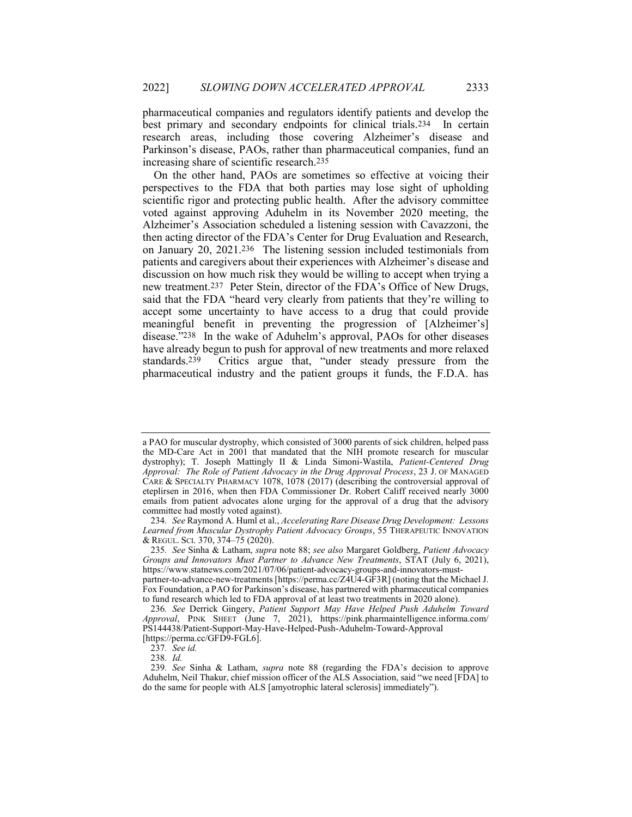pharmaceutical companies and regulators identify patients and develop the best primary and secondary endpoints for clinical trials.234 In certain research areas, including those covering Alzheimer's disease and Parkinson's disease, PAOs, rather than pharmaceutical companies, fund an increasing share of scientific research.235

On the other hand, PAOs are sometimes so effective at voicing their perspectives to the FDA that both parties may lose sight of upholding scientific rigor and protecting public health. After the advisory committee voted against approving Aduhelm in its November 2020 meeting, the Alzheimer's Association scheduled a listening session with Cavazzoni, the then acting director of the FDA's Center for Drug Evaluation and Research, on January 20, 2021.236 The listening session included testimonials from patients and caregivers about their experiences with Alzheimer's disease and discussion on how much risk they would be willing to accept when trying a new treatment.237 Peter Stein, director of the FDA's Office of New Drugs, said that the FDA "heard very clearly from patients that they're willing to accept some uncertainty to have access to a drug that could provide meaningful benefit in preventing the progression of [Alzheimer's] disease."238 In the wake of Aduhelm's approval, PAOs for other diseases have already begun to push for approval of new treatments and more relaxed standards.239 Critics argue that, "under steady pressure from the pharmaceutical industry and the patient groups it funds, the F.D.A. has

a PAO for muscular dystrophy, which consisted of 3000 parents of sick children, helped pass the MD-Care Act in 2001 that mandated that the NIH promote research for muscular dystrophy); T. Joseph Mattingly II & Linda Simoni-Wastila, Patient-Centered Drug Approval: The Role of Patient Advocacy in the Drug Approval Process, 23 J. OF MANAGED CARE & SPECIALTY PHARMACY 1078, 1078 (2017) (describing the controversial approval of eteplirsen in 2016, when then FDA Commissioner Dr. Robert Califf received nearly 3000 emails from patient advocates alone urging for the approval of a drug that the advisory committee had mostly voted against).

<sup>234</sup>. See Raymond A. Huml et al., Accelerating Rare Disease Drug Development: Lessons Learned from Muscular Dystrophy Patient Advocacy Groups, 55 THERAPEUTIC INNOVATION & REGUL. SCI. 370, 374–75 (2020).

<sup>235</sup>. See Sinha & Latham, supra note 88; see also Margaret Goldberg, Patient Advocacy Groups and Innovators Must Partner to Advance New Treatments, STAT (July 6, 2021), https://www.statnews.com/2021/07/06/patient-advocacy-groups-and-innovators-mustpartner-to-advance-new-treatments [https://perma.cc/Z4U4-GF3R] (noting that the Michael J. Fox Foundation, a PAO for Parkinson's disease, has partnered with pharmaceutical companies to fund research which led to FDA approval of at least two treatments in 2020 alone).

<sup>236</sup>. See Derrick Gingery, Patient Support May Have Helped Push Aduhelm Toward Approval, PINK SHEET (June 7, 2021), https://pink.pharmaintelligence.informa.com/ PS144438/Patient-Support-May-Have-Helped-Push-Aduhelm-Toward-Approval [https://perma.cc/GFD9-FGL6].

<sup>237</sup>. See id.

<sup>238</sup>. Id.

<sup>239</sup>. See Sinha & Latham, supra note 88 (regarding the FDA's decision to approve Aduhelm, Neil Thakur, chief mission officer of the ALS Association, said "we need [FDA] to do the same for people with ALS [amyotrophic lateral sclerosis] immediately").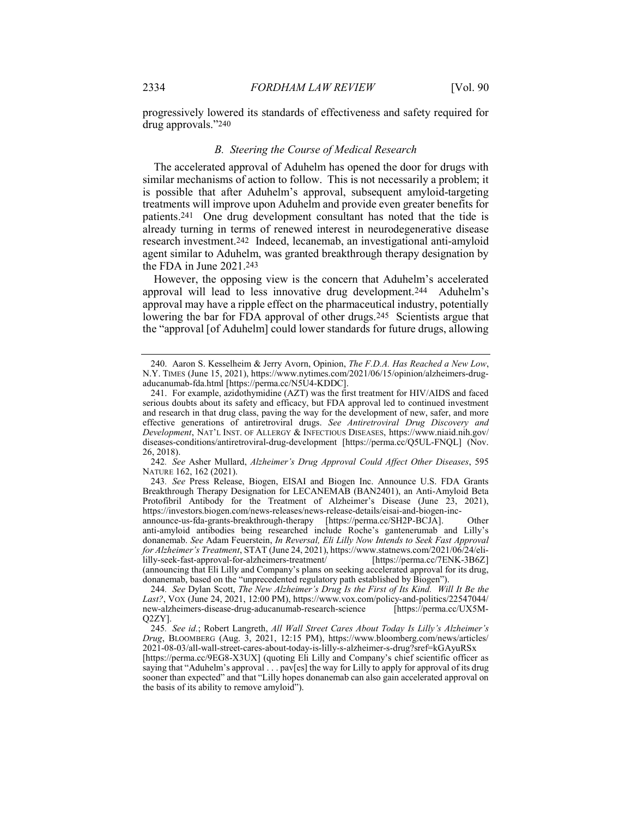progressively lowered its standards of effectiveness and safety required for drug approvals."240

#### B. Steering the Course of Medical Research

The accelerated approval of Aduhelm has opened the door for drugs with similar mechanisms of action to follow. This is not necessarily a problem; it is possible that after Aduhelm's approval, subsequent amyloid-targeting treatments will improve upon Aduhelm and provide even greater benefits for patients.241 One drug development consultant has noted that the tide is already turning in terms of renewed interest in neurodegenerative disease research investment.242 Indeed, lecanemab, an investigational anti-amyloid agent similar to Aduhelm, was granted breakthrough therapy designation by the FDA in June 2021.243

However, the opposing view is the concern that Aduhelm's accelerated approval will lead to less innovative drug development.244 Aduhelm's approval may have a ripple effect on the pharmaceutical industry, potentially lowering the bar for FDA approval of other drugs.<sup>245</sup> Scientists argue that the "approval [of Aduhelm] could lower standards for future drugs, allowing

242. See Asher Mullard, Alzheimer's Drug Approval Could Affect Other Diseases, 595 NATURE 162, 162 (2021).

243. See Press Release, Biogen, EISAI and Biogen Inc. Announce U.S. FDA Grants Breakthrough Therapy Designation for LECANEMAB (BAN2401), an Anti-Amyloid Beta Protofibril Antibody for the Treatment of Alzheimer's Disease (June 23, 2021), https://investors.biogen.com/news-releases/news-release-details/eisai-and-biogen-inc-

announce-us-fda-grants-breakthrough-therapy [https://perma.cc/SH2P-BCJA]. Other anti-amyloid antibodies being researched include Roche's gantenerumab and Lilly's donanemab. See Adam Feuerstein, In Reversal, Eli Lilly Now Intends to Seek Fast Approval for Alzheimer's Treatment, STAT (June 24, 2021), https://www.statnews.com/2021/06/24/elililly-seek-fast-approval-for-alzheimers-treatment/ [https://perma.cc/7ENK-3B6Z] (announcing that Eli Lilly and Company's plans on seeking accelerated approval for its drug, donanemab, based on the "unprecedented regulatory path established by Biogen").

244. See Dylan Scott, The New Alzheimer's Drug Is the First of Its Kind. Will It Be the Last?, VOX (June 24, 2021, 12:00 PM), https://www.vox.com/policy-and-politics/22547044/ new-alzheimers-disease-drug-aducanumab-research-science [https://perma.cc/UX5M-Q2ZY].

[https://perma.cc/9EG8-X3UX] (quoting Eli Lilly and Company's chief scientific officer as saying that "Aduhelm's approval . . . pav[es] the way for Lilly to apply for approval of its drug sooner than expected" and that "Lilly hopes donanemab can also gain accelerated approval on the basis of its ability to remove amyloid").

<sup>240.</sup> Aaron S. Kesselheim & Jerry Avorn, Opinion, The F.D.A. Has Reached a New Low, N.Y. TIMES (June 15, 2021), https://www.nytimes.com/2021/06/15/opinion/alzheimers-drugaducanumab-fda.html [https://perma.cc/N5U4-KDDC].

 <sup>241.</sup> For example, azidothymidine (AZT) was the first treatment for HIV/AIDS and faced serious doubts about its safety and efficacy, but FDA approval led to continued investment and research in that drug class, paving the way for the development of new, safer, and more effective generations of antiretroviral drugs. See Antiretroviral Drug Discovery and Development, NAT'L INST. OF ALLERGY & INFECTIOUS DISEASES, https://www.niaid.nih.gov/ diseases-conditions/antiretroviral-drug-development [https://perma.cc/Q5UL-FNQL] (Nov. 26, 2018).

<sup>245</sup>. See id.; Robert Langreth, All Wall Street Cares About Today Is Lilly's Alzheimer's Drug, BLOOMBERG (Aug. 3, 2021, 12:15 PM), https://www.bloomberg.com/news/articles/ 2021-08-03/all-wall-street-cares-about-today-is-lilly-s-alzheimer-s-drug?sref=kGAyuRSx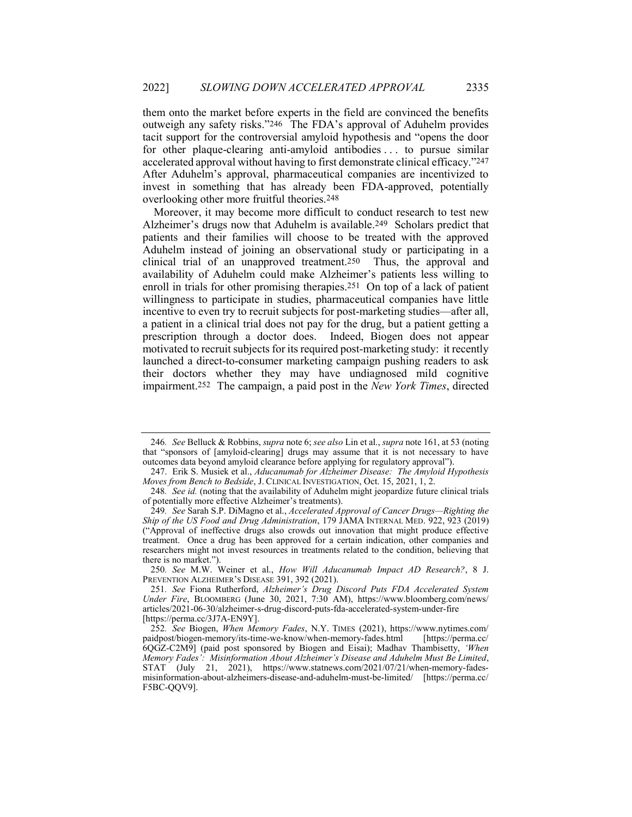them onto the market before experts in the field are convinced the benefits outweigh any safety risks."246 The FDA's approval of Aduhelm provides tacit support for the controversial amyloid hypothesis and "opens the door for other plaque-clearing anti-amyloid antibodies . . . to pursue similar accelerated approval without having to first demonstrate clinical efficacy."247 After Aduhelm's approval, pharmaceutical companies are incentivized to invest in something that has already been FDA-approved, potentially overlooking other more fruitful theories.248

Moreover, it may become more difficult to conduct research to test new Alzheimer's drugs now that Aduhelm is available.249 Scholars predict that patients and their families will choose to be treated with the approved Aduhelm instead of joining an observational study or participating in a clinical trial of an unapproved treatment.250 Thus, the approval and availability of Aduhelm could make Alzheimer's patients less willing to enroll in trials for other promising therapies.251 On top of a lack of patient willingness to participate in studies, pharmaceutical companies have little incentive to even try to recruit subjects for post-marketing studies—after all, a patient in a clinical trial does not pay for the drug, but a patient getting a prescription through a doctor does. Indeed, Biogen does not appear motivated to recruit subjects for its required post-marketing study: it recently launched a direct-to-consumer marketing campaign pushing readers to ask their doctors whether they may have undiagnosed mild cognitive impairment.252 The campaign, a paid post in the New York Times, directed

<sup>246.</sup> See Belluck & Robbins, *supra* note 6; see also Lin et al., *supra* note 161, at 53 (noting that "sponsors of [amyloid-clearing] drugs may assume that it is not necessary to have outcomes data beyond amyloid clearance before applying for regulatory approval").

<sup>247.</sup> Erik S. Musiek et al., Aducanumab for Alzheimer Disease: The Amyloid Hypothesis Moves from Bench to Bedside, J. CLINICAL INVESTIGATION, Oct. 15, 2021, 1, 2.

<sup>248.</sup> See id. (noting that the availability of Aduhelm might jeopardize future clinical trials of potentially more effective Alzheimer's treatments).

<sup>249</sup>. See Sarah S.P. DiMagno et al., Accelerated Approval of Cancer Drugs—Righting the Ship of the US Food and Drug Administration, 179 JAMA INTERNAL MED. 922, 923 (2019) ("Approval of ineffective drugs also crowds out innovation that might produce effective treatment. Once a drug has been approved for a certain indication, other companies and researchers might not invest resources in treatments related to the condition, believing that there is no market.'

<sup>250</sup>. See M.W. Weiner et al., How Will Aducanumab Impact AD Research?, 8 J. PREVENTION ALZHEIMER'S DISEASE 391, 392 (2021).

<sup>251.</sup> See Fiona Rutherford, Alzheimer's Drug Discord Puts FDA Accelerated System Under Fire, BLOOMBERG (June 30, 2021, 7:30 AM), https://www.bloomberg.com/news/ articles/2021-06-30/alzheimer-s-drug-discord-puts-fda-accelerated-system-under-fire [https://perma.cc/3J7A-EN9Y].

<sup>252</sup>. See Biogen, When Memory Fades, N.Y. TIMES (2021), https://www.nytimes.com/ paidpost/biogen-memory/its-time-we-know/when-memory-fades.html [https://perma.cc/ 6QGZ-C2M9] (paid post sponsored by Biogen and Eisai); Madhav Thambisetty, 'When Memory Fades': Misinformation About Alzheimer's Disease and Aduhelm Must Be Limited, STAT (July 21, 2021), https://www.statnews.com/2021/07/21/when-memory-fadesmisinformation-about-alzheimers-disease-and-aduhelm-must-be-limited/ [https://perma.cc/ F5BC-QQV9].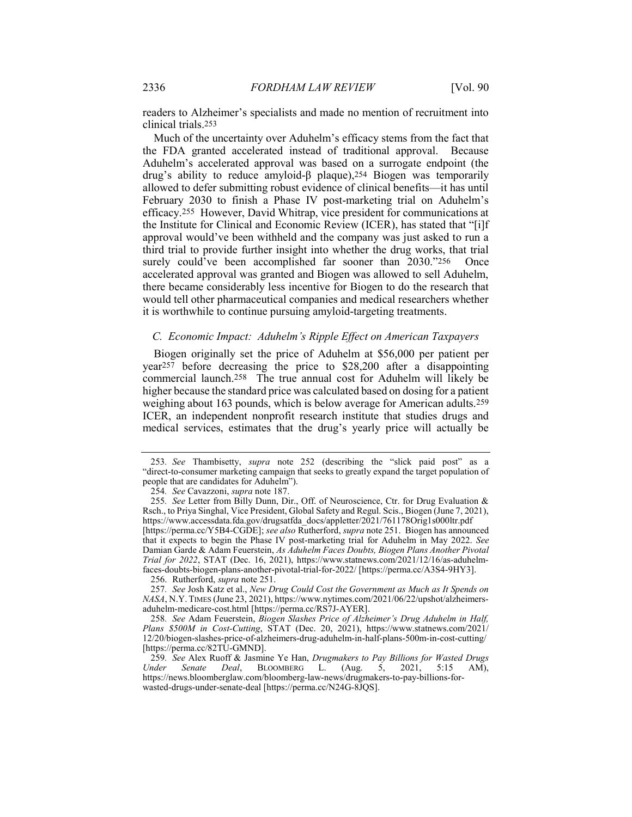readers to Alzheimer's specialists and made no mention of recruitment into clinical trials.253

Much of the uncertainty over Aduhelm's efficacy stems from the fact that the FDA granted accelerated instead of traditional approval. Because Aduhelm's accelerated approval was based on a surrogate endpoint (the drug's ability to reduce amyloid-β plaque),254 Biogen was temporarily allowed to defer submitting robust evidence of clinical benefits—it has until February 2030 to finish a Phase IV post-marketing trial on Aduhelm's efficacy.255 However, David Whitrap, vice president for communications at the Institute for Clinical and Economic Review (ICER), has stated that "[i]f approval would've been withheld and the company was just asked to run a third trial to provide further insight into whether the drug works, that trial surely could've been accomplished far sooner than 2030."256 Once accelerated approval was granted and Biogen was allowed to sell Aduhelm, there became considerably less incentive for Biogen to do the research that would tell other pharmaceutical companies and medical researchers whether it is worthwhile to continue pursuing amyloid-targeting treatments.

### C. Economic Impact: Aduhelm's Ripple Effect on American Taxpayers

Biogen originally set the price of Aduhelm at \$56,000 per patient per year257 before decreasing the price to \$28,200 after a disappointing commercial launch.258 The true annual cost for Aduhelm will likely be higher because the standard price was calculated based on dosing for a patient weighing about 163 pounds, which is below average for American adults.259 ICER, an independent nonprofit research institute that studies drugs and medical services, estimates that the drug's yearly price will actually be

256. Rutherford, supra note 251.

<sup>253</sup>. See Thambisetty, supra note 252 (describing the "slick paid post" as a "direct-to-consumer marketing campaign that seeks to greatly expand the target population of people that are candidates for Aduhelm").

<sup>254</sup>. See Cavazzoni, supra note 187.

<sup>255</sup>. See Letter from Billy Dunn, Dir., Off. of Neuroscience, Ctr. for Drug Evaluation & Rsch., to Priya Singhal, Vice President, Global Safety and Regul. Scis., Biogen (June 7, 2021), https://www.accessdata.fda.gov/drugsatfda\_docs/appletter/2021/761178Orig1s000ltr.pdf [https://perma.cc/Y5B4-CGDE]; see also Rutherford, supra note 251. Biogen has announced that it expects to begin the Phase IV post-marketing trial for Aduhelm in May 2022. See Damian Garde & Adam Feuerstein, As Aduhelm Faces Doubts, Biogen Plans Another Pivotal Trial for 2022, STAT (Dec. 16, 2021), https://www.statnews.com/2021/12/16/as-aduhelmfaces-doubts-biogen-plans-another-pivotal-trial-for-2022/ [https://perma.cc/A3S4-9HY3].

<sup>257</sup>. See Josh Katz et al., New Drug Could Cost the Government as Much as It Spends on NASA, N.Y. TIMES (June 23, 2021), https://www.nytimes.com/2021/06/22/upshot/alzheimersaduhelm-medicare-cost.html [https://perma.cc/RS7J-AYER].

<sup>258</sup>. See Adam Feuerstein, Biogen Slashes Price of Alzheimer's Drug Aduhelm in Half, Plans \$500M in Cost-Cutting, STAT (Dec. 20, 2021), https://www.statnews.com/2021/ 12/20/biogen-slashes-price-of-alzheimers-drug-aduhelm-in-half-plans-500m-in-cost-cutting/ [https://perma.cc/82TU-GMND].

<sup>259.</sup> See Alex Ruoff & Jasmine Ye Han, Drugmakers to Pay Billions for Wasted Drugs<br>
Inder Senate Deal, BLOOMBERG L. (Aug. 5, 2021, 5:15 AM), Under Senate Deal, BLOOMBERG L. (Aug. 5, 2021, 5:15 AM), https://news.bloomberglaw.com/bloomberg-law-news/drugmakers-to-pay-billions-forwasted-drugs-under-senate-deal [https://perma.cc/N24G-8JQS].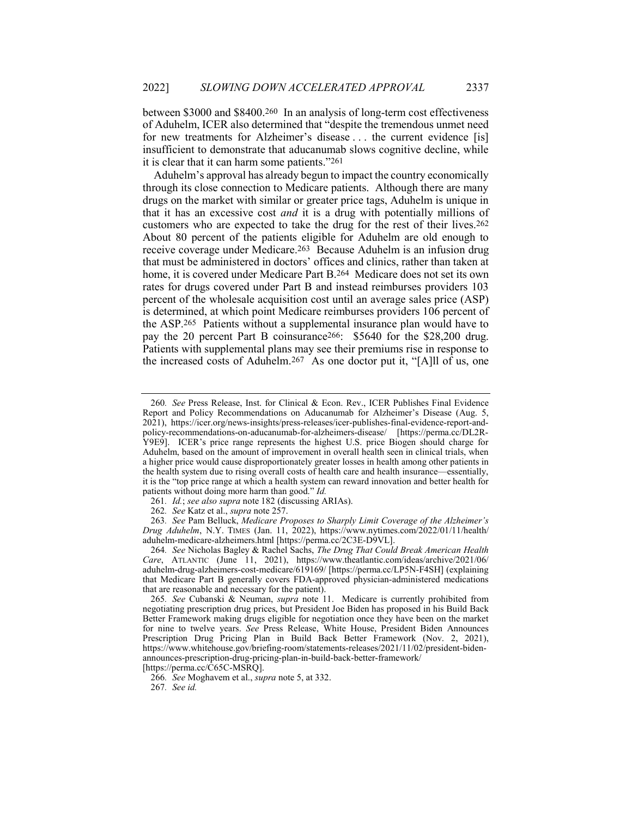between \$3000 and \$8400.260 In an analysis of long-term cost effectiveness of Aduhelm, ICER also determined that "despite the tremendous unmet need for new treatments for Alzheimer's disease . . . the current evidence [is] insufficient to demonstrate that aducanumab slows cognitive decline, while it is clear that it can harm some patients."261

Aduhelm's approval has already begun to impact the country economically through its close connection to Medicare patients. Although there are many drugs on the market with similar or greater price tags, Aduhelm is unique in that it has an excessive cost *and* it is a drug with potentially millions of customers who are expected to take the drug for the rest of their lives.262 About 80 percent of the patients eligible for Aduhelm are old enough to receive coverage under Medicare.263 Because Aduhelm is an infusion drug that must be administered in doctors' offices and clinics, rather than taken at home, it is covered under Medicare Part B.264 Medicare does not set its own rates for drugs covered under Part B and instead reimburses providers 103 percent of the wholesale acquisition cost until an average sales price (ASP) is determined, at which point Medicare reimburses providers 106 percent of the ASP.265 Patients without a supplemental insurance plan would have to pay the 20 percent Part B coinsurance266: \$5640 for the \$28,200 drug. Patients with supplemental plans may see their premiums rise in response to the increased costs of Aduhelm.267 As one doctor put it, "[A]ll of us, one

[https://perma.cc/C65C-MSRQ].

266. See Moghavem et al., supra note 5, at 332.

267. See id.

<sup>260</sup>. See Press Release, Inst. for Clinical & Econ. Rev., ICER Publishes Final Evidence Report and Policy Recommendations on Aducanumab for Alzheimer's Disease (Aug. 5, 2021), https://icer.org/news-insights/press-releases/icer-publishes-final-evidence-report-andpolicy-recommendations-on-aducanumab-for-alzheimers-disease/ [https://perma.cc/DL2R-Y9E9]. ICER's price range represents the highest U.S. price Biogen should charge for Aduhelm, based on the amount of improvement in overall health seen in clinical trials, when a higher price would cause disproportionately greater losses in health among other patients in the health system due to rising overall costs of health care and health insurance—essentially, it is the "top price range at which a health system can reward innovation and better health for patients without doing more harm than good." Id.

<sup>261.</sup> Id.; see also supra note 182 (discussing ARIAs).

<sup>262</sup>. See Katz et al., supra note 257.

<sup>263</sup>. See Pam Belluck, Medicare Proposes to Sharply Limit Coverage of the Alzheimer's Drug Aduhelm, N.Y. TIMES (Jan. 11, 2022), https://www.nytimes.com/2022/01/11/health/ aduhelm-medicare-alzheimers.html [https://perma.cc/2C3E-D9VL].

<sup>264.</sup> See Nicholas Bagley & Rachel Sachs, The Drug That Could Break American Health Care, ATLANTIC (June 11, 2021), https://www.theatlantic.com/ideas/archive/2021/06/ aduhelm-drug-alzheimers-cost-medicare/619169/ [https://perma.cc/LP5N-F4SH] (explaining that Medicare Part B generally covers FDA-approved physician-administered medications that are reasonable and necessary for the patient).

<sup>265.</sup> See Cubanski & Neuman, *supra* note 11. Medicare is currently prohibited from negotiating prescription drug prices, but President Joe Biden has proposed in his Build Back Better Framework making drugs eligible for negotiation once they have been on the market for nine to twelve years. See Press Release, White House, President Biden Announces Prescription Drug Pricing Plan in Build Back Better Framework (Nov. 2, 2021), https://www.whitehouse.gov/briefing-room/statements-releases/2021/11/02/president-bidenannounces-prescription-drug-pricing-plan-in-build-back-better-framework/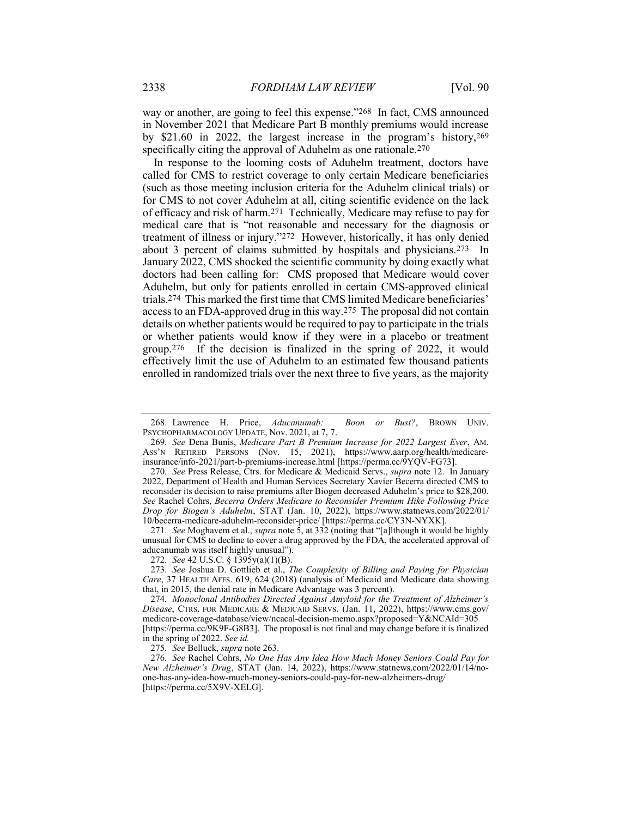way or another, are going to feel this expense."268 In fact, CMS announced in November 2021 that Medicare Part B monthly premiums would increase by \$21.60 in 2022, the largest increase in the program's history,269 specifically citing the approval of Aduhelm as one rationale.<sup>270</sup>

In response to the looming costs of Aduhelm treatment, doctors have called for CMS to restrict coverage to only certain Medicare beneficiaries (such as those meeting inclusion criteria for the Aduhelm clinical trials) or for CMS to not cover Aduhelm at all, citing scientific evidence on the lack of efficacy and risk of harm.271 Technically, Medicare may refuse to pay for medical care that is "not reasonable and necessary for the diagnosis or treatment of illness or injury."272 However, historically, it has only denied about 3 percent of claims submitted by hospitals and physicians.273 In January 2022, CMS shocked the scientific community by doing exactly what doctors had been calling for: CMS proposed that Medicare would cover Aduhelm, but only for patients enrolled in certain CMS-approved clinical trials.274 This marked the first time that CMS limited Medicare beneficiaries' access to an FDA-approved drug in this way.275 The proposal did not contain details on whether patients would be required to pay to participate in the trials or whether patients would know if they were in a placebo or treatment group.276 If the decision is finalized in the spring of 2022, it would effectively limit the use of Aduhelm to an estimated few thousand patients enrolled in randomized trials over the next three to five years, as the majority

271. See Moghavem et al., supra note 5, at 332 (noting that "[a]lthough it would be highly unusual for CMS to decline to cover a drug approved by the FDA, the accelerated approval of aducanumab was itself highly unusual").

275. See Belluck, supra note 263.

 <sup>268.</sup> Lawrence H. Price, Aducanumab: Boon or Bust?, BROWN UNIV. PSYCHOPHARMACOLOGY UPDATE, Nov. 2021, at 7, 7.

<sup>269</sup>. See Dena Bunis, Medicare Part B Premium Increase for 2022 Largest Ever, AM. ASS'N RETIRED PERSONS (Nov. 15, 2021), https://www.aarp.org/health/medicareinsurance/info-2021/part-b-premiums-increase.html [https://perma.cc/9YQV-FG73].

<sup>270.</sup> See Press Release, Ctrs. for Medicare & Medicaid Servs., *supra* note 12. In January 2022, Department of Health and Human Services Secretary Xavier Becerra directed CMS to reconsider its decision to raise premiums after Biogen decreased Aduhelm's price to \$28,200. See Rachel Cohrs, Becerra Orders Medicare to Reconsider Premium Hike Following Price Drop for Biogen's Aduhelm, STAT (Jan. 10, 2022), https://www.statnews.com/2022/01/ 10/becerra-medicare-aduhelm-reconsider-price/ [https://perma.cc/CY3N-NYXK].

<sup>272</sup>. See 42 U.S.C. § 1395y(a)(1)(B).

<sup>273</sup>. See Joshua D. Gottlieb et al., The Complexity of Billing and Paying for Physician Care, 37 HEALTH AFFS. 619, 624 (2018) (analysis of Medicaid and Medicare data showing that, in 2015, the denial rate in Medicare Advantage was 3 percent).

<sup>274</sup>. Monoclonal Antibodies Directed Against Amyloid for the Treatment of Alzheimer's Disease, CTRS. FOR MEDICARE & MEDICAID SERVS. (Jan. 11, 2022), https://www.cms.gov/ medicare-coverage-database/view/ncacal-decision-memo.aspx?proposed=Y&NCAId=305 [https://perma.cc/9K9F-G8B3]. The proposal is not final and may change before it is finalized in the spring of 2022. See id.

<sup>276</sup>. See Rachel Cohrs, No One Has Any Idea How Much Money Seniors Could Pay for New Alzheimer's Drug, STAT (Jan. 14, 2022), https://www.statnews.com/2022/01/14/noone-has-any-idea-how-much-money-seniors-could-pay-for-new-alzheimers-drug/ [https://perma.cc/5X9V-XELG].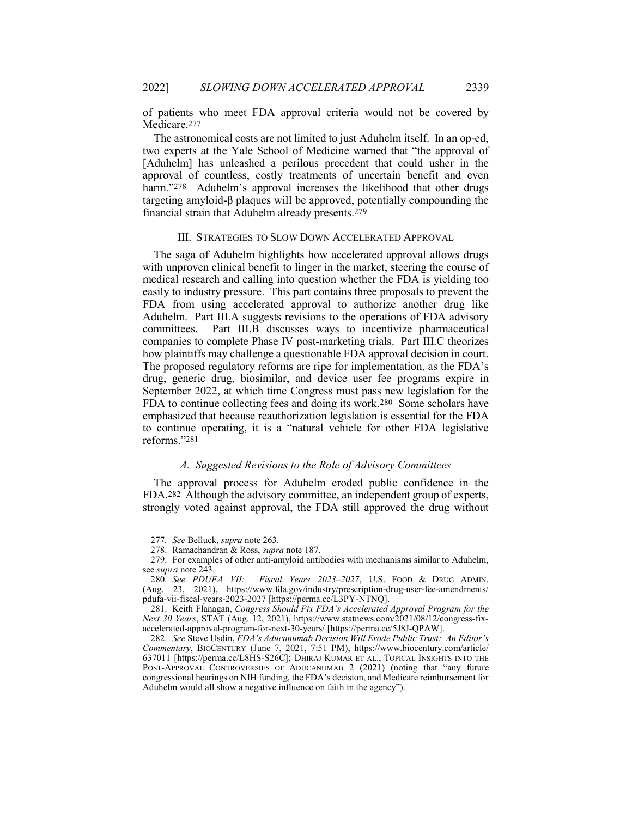of patients who meet FDA approval criteria would not be covered by Medicare.277

The astronomical costs are not limited to just Aduhelm itself. In an op-ed, two experts at the Yale School of Medicine warned that "the approval of [Aduhelm] has unleashed a perilous precedent that could usher in the approval of countless, costly treatments of uncertain benefit and even harm."278 Aduhelm's approval increases the likelihood that other drugs targeting amyloid-β plaques will be approved, potentially compounding the financial strain that Aduhelm already presents.279

#### III. STRATEGIES TO SLOW DOWN ACCELERATED APPROVAL

The saga of Aduhelm highlights how accelerated approval allows drugs with unproven clinical benefit to linger in the market, steering the course of medical research and calling into question whether the FDA is yielding too easily to industry pressure. This part contains three proposals to prevent the FDA from using accelerated approval to authorize another drug like Aduhelm. Part III.A suggests revisions to the operations of FDA advisory committees. Part III.B discusses ways to incentivize pharmaceutical companies to complete Phase IV post-marketing trials. Part III.C theorizes how plaintiffs may challenge a questionable FDA approval decision in court. The proposed regulatory reforms are ripe for implementation, as the FDA's drug, generic drug, biosimilar, and device user fee programs expire in September 2022, at which time Congress must pass new legislation for the FDA to continue collecting fees and doing its work.280 Some scholars have emphasized that because reauthorization legislation is essential for the FDA to continue operating, it is a "natural vehicle for other FDA legislative reforms."281

# A. Suggested Revisions to the Role of Advisory Committees

The approval process for Aduhelm eroded public confidence in the FDA.282 Although the advisory committee, an independent group of experts, strongly voted against approval, the FDA still approved the drug without

<sup>277</sup>. See Belluck, supra note 263.

 <sup>278.</sup> Ramachandran & Ross, supra note 187.

 <sup>279.</sup> For examples of other anti-amyloid antibodies with mechanisms similar to Aduhelm, see *supra* note 243.

<sup>280</sup>. See PDUFA VII: Fiscal Years 2023–2027, U.S. FOOD & DRUG ADMIN. (Aug. 23, 2021), https://www.fda.gov/industry/prescription-drug-user-fee-amendments/ pdufa-vii-fiscal-years-2023-2027 [https://perma.cc/L3PY-NTNQ].

 <sup>281.</sup> Keith Flanagan, Congress Should Fix FDA's Accelerated Approval Program for the Next 30 Years, STAT (Aug. 12, 2021), https://www.statnews.com/2021/08/12/congress-fixaccelerated-approval-program-for-next-30-years/ [https://perma.cc/5J8J-QPAW].

<sup>282</sup>. See Steve Usdin, FDA's Aducanumab Decision Will Erode Public Trust: An Editor's Commentary, BIOCENTURY (June 7, 2021, 7:51 PM), https://www.biocentury.com/article/ 637011 [https://perma.cc/L8HS-S26C]; DHIRAJ KUMAR ET AL., TOPICAL INSIGHTS INTO THE POST-APPROVAL CONTROVERSIES OF ADUCANUMAB 2 (2021) (noting that "any future congressional hearings on NIH funding, the FDA's decision, and Medicare reimbursement for Aduhelm would all show a negative influence on faith in the agency").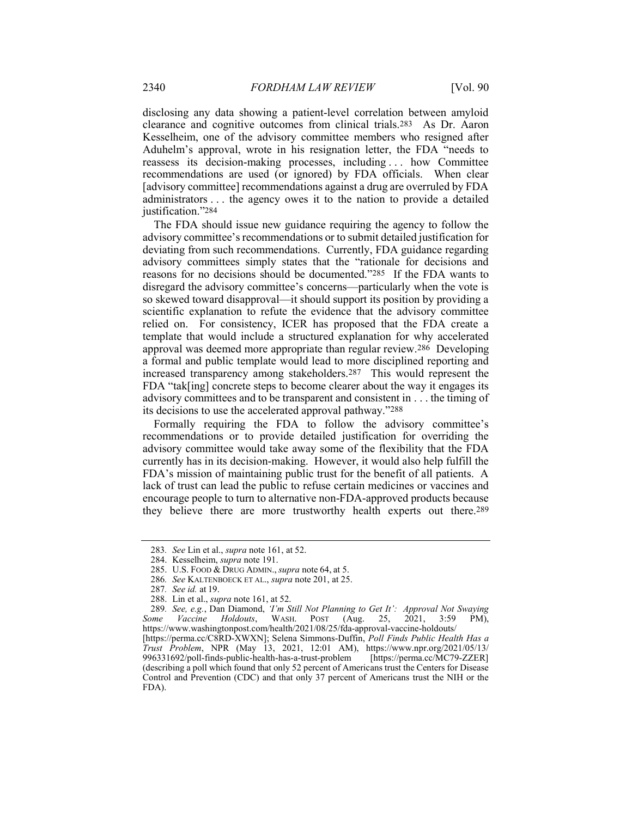disclosing any data showing a patient-level correlation between amyloid clearance and cognitive outcomes from clinical trials.283 As Dr. Aaron Kesselheim, one of the advisory committee members who resigned after Aduhelm's approval, wrote in his resignation letter, the FDA "needs to reassess its decision-making processes, including . . . how Committee recommendations are used (or ignored) by FDA officials. When clear [advisory committee] recommendations against a drug are overruled by FDA administrators . . . the agency owes it to the nation to provide a detailed justification."284

The FDA should issue new guidance requiring the agency to follow the advisory committee's recommendations or to submit detailed justification for deviating from such recommendations. Currently, FDA guidance regarding advisory committees simply states that the "rationale for decisions and reasons for no decisions should be documented."285 If the FDA wants to disregard the advisory committee's concerns—particularly when the vote is so skewed toward disapproval—it should support its position by providing a scientific explanation to refute the evidence that the advisory committee relied on. For consistency, ICER has proposed that the FDA create a template that would include a structured explanation for why accelerated approval was deemed more appropriate than regular review.286 Developing a formal and public template would lead to more disciplined reporting and increased transparency among stakeholders.287 This would represent the FDA "tak[ing] concrete steps to become clearer about the way it engages its advisory committees and to be transparent and consistent in . . . the timing of its decisions to use the accelerated approval pathway."288

Formally requiring the FDA to follow the advisory committee's recommendations or to provide detailed justification for overriding the advisory committee would take away some of the flexibility that the FDA currently has in its decision-making. However, it would also help fulfill the FDA's mission of maintaining public trust for the benefit of all patients. A lack of trust can lead the public to refuse certain medicines or vaccines and encourage people to turn to alternative non-FDA-approved products because they believe there are more trustworthy health experts out there.289

<sup>283</sup>. See Lin et al., supra note 161, at 52.

 <sup>284.</sup> Kesselheim, supra note 191.

<sup>285.</sup> U.S. FOOD & DRUG ADMIN., supra note 64, at 5.

<sup>286</sup>. See KALTENBOECK ET AL., supra note 201, at 25.

<sup>287</sup>. See id. at 19.

 <sup>288.</sup> Lin et al., supra note 161, at 52.

<sup>289</sup>. See, e.g., Dan Diamond, 'I'm Still Not Planning to Get It': Approval Not Swaying Some Vaccine Holdouts, WASH. POST (Aug. 25, 2021, 3:59 PM), https://www.washingtonpost.com/health/2021/08/25/fda-approval-vaccine-holdouts/

<sup>[</sup>https://perma.cc/C8RD-XWXN]; Selena Simmons-Duffin, Poll Finds Public Health Has a Trust Problem, NPR (May 13, 2021, 12:01 AM), https://www.npr.org/2021/05/13/ 996331692/poll-finds-public-health-has-a-trust-problem [https://perma.cc/MC79-ZZER] (describing a poll which found that only 52 percent of Americans trust the Centers for Disease Control and Prevention (CDC) and that only 37 percent of Americans trust the NIH or the FDA).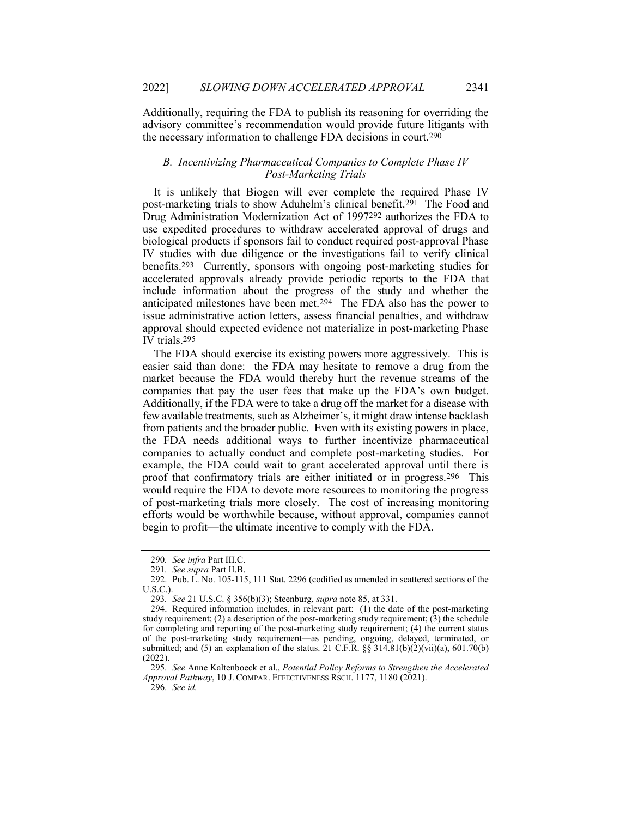Additionally, requiring the FDA to publish its reasoning for overriding the advisory committee's recommendation would provide future litigants with the necessary information to challenge FDA decisions in court.290

## B. Incentivizing Pharmaceutical Companies to Complete Phase IV Post-Marketing Trials

It is unlikely that Biogen will ever complete the required Phase IV post-marketing trials to show Aduhelm's clinical benefit.291 The Food and Drug Administration Modernization Act of 1997292 authorizes the FDA to use expedited procedures to withdraw accelerated approval of drugs and biological products if sponsors fail to conduct required post-approval Phase IV studies with due diligence or the investigations fail to verify clinical benefits.293 Currently, sponsors with ongoing post-marketing studies for accelerated approvals already provide periodic reports to the FDA that include information about the progress of the study and whether the anticipated milestones have been met.294 The FDA also has the power to issue administrative action letters, assess financial penalties, and withdraw approval should expected evidence not materialize in post-marketing Phase IV trials.295

The FDA should exercise its existing powers more aggressively. This is easier said than done: the FDA may hesitate to remove a drug from the market because the FDA would thereby hurt the revenue streams of the companies that pay the user fees that make up the FDA's own budget. Additionally, if the FDA were to take a drug off the market for a disease with few available treatments, such as Alzheimer's, it might draw intense backlash from patients and the broader public. Even with its existing powers in place, the FDA needs additional ways to further incentivize pharmaceutical companies to actually conduct and complete post-marketing studies. For example, the FDA could wait to grant accelerated approval until there is proof that confirmatory trials are either initiated or in progress.296 This would require the FDA to devote more resources to monitoring the progress of post-marketing trials more closely. The cost of increasing monitoring efforts would be worthwhile because, without approval, companies cannot begin to profit—the ultimate incentive to comply with the FDA.

<sup>290</sup>. See infra Part III.C.

<sup>291</sup>. See supra Part II.B.

 <sup>292.</sup> Pub. L. No. 105-115, 111 Stat. 2296 (codified as amended in scattered sections of the U.S.C.).

<sup>293</sup>. See 21 U.S.C. § 356(b)(3); Steenburg, supra note 85, at 331.

 <sup>294.</sup> Required information includes, in relevant part: (1) the date of the post-marketing study requirement; (2) a description of the post-marketing study requirement;  $(3)$  the schedule for completing and reporting of the post-marketing study requirement; (4) the current status of the post-marketing study requirement—as pending, ongoing, delayed, terminated, or submitted; and (5) an explanation of the status.  $\overline{21}$  C.F.R. §§ 314.81(b)(2)(vii)(a), 601.70(b)  $(2022)$ 

<sup>295</sup>. See Anne Kaltenboeck et al., Potential Policy Reforms to Strengthen the Accelerated Approval Pathway, 10 J. COMPAR. EFFECTIVENESS RSCH. 1177, 1180 (2021).

<sup>296</sup>. See id.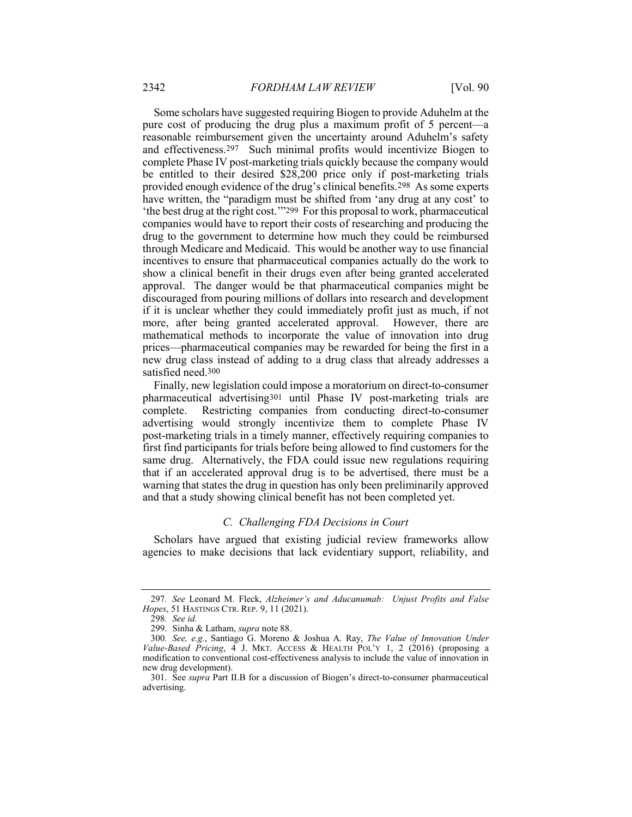Some scholars have suggested requiring Biogen to provide Aduhelm at the pure cost of producing the drug plus a maximum profit of 5 percent—a reasonable reimbursement given the uncertainty around Aduhelm's safety and effectiveness.297 Such minimal profits would incentivize Biogen to complete Phase IV post-marketing trials quickly because the company would be entitled to their desired \$28,200 price only if post-marketing trials provided enough evidence of the drug's clinical benefits.298 As some experts have written, the "paradigm must be shifted from 'any drug at any cost' to 'the best drug at the right cost.'"299 For this proposal to work, pharmaceutical companies would have to report their costs of researching and producing the drug to the government to determine how much they could be reimbursed through Medicare and Medicaid. This would be another way to use financial incentives to ensure that pharmaceutical companies actually do the work to show a clinical benefit in their drugs even after being granted accelerated approval. The danger would be that pharmaceutical companies might be discouraged from pouring millions of dollars into research and development if it is unclear whether they could immediately profit just as much, if not more, after being granted accelerated approval. However, there are mathematical methods to incorporate the value of innovation into drug prices—pharmaceutical companies may be rewarded for being the first in a new drug class instead of adding to a drug class that already addresses a satisfied need.300

Finally, new legislation could impose a moratorium on direct-to-consumer pharmaceutical advertising301 until Phase IV post-marketing trials are complete. Restricting companies from conducting direct-to-consumer advertising would strongly incentivize them to complete Phase IV post-marketing trials in a timely manner, effectively requiring companies to first find participants for trials before being allowed to find customers for the same drug. Alternatively, the FDA could issue new regulations requiring that if an accelerated approval drug is to be advertised, there must be a warning that states the drug in question has only been preliminarily approved and that a study showing clinical benefit has not been completed yet.

# C. Challenging FDA Decisions in Court

Scholars have argued that existing judicial review frameworks allow agencies to make decisions that lack evidentiary support, reliability, and

<sup>297</sup>. See Leonard M. Fleck, Alzheimer's and Aducanumab: Unjust Profits and False Hopes, 51 HASTINGS CTR. REP. 9, 11 (2021).

<sup>298</sup>. See id.

 <sup>299.</sup> Sinha & Latham, supra note 88.

<sup>300</sup>. See, e.g., Santiago G. Moreno & Joshua A. Ray, The Value of Innovation Under Value-Based Pricing,  $\overline{4}$  J. MKT. ACCESS & HEALTH POL'Y 1, 2 (2016) (proposing a modification to conventional cost-effectiveness analysis to include the value of innovation in new drug development).

 <sup>301.</sup> See supra Part II.B for a discussion of Biogen's direct-to-consumer pharmaceutical advertising.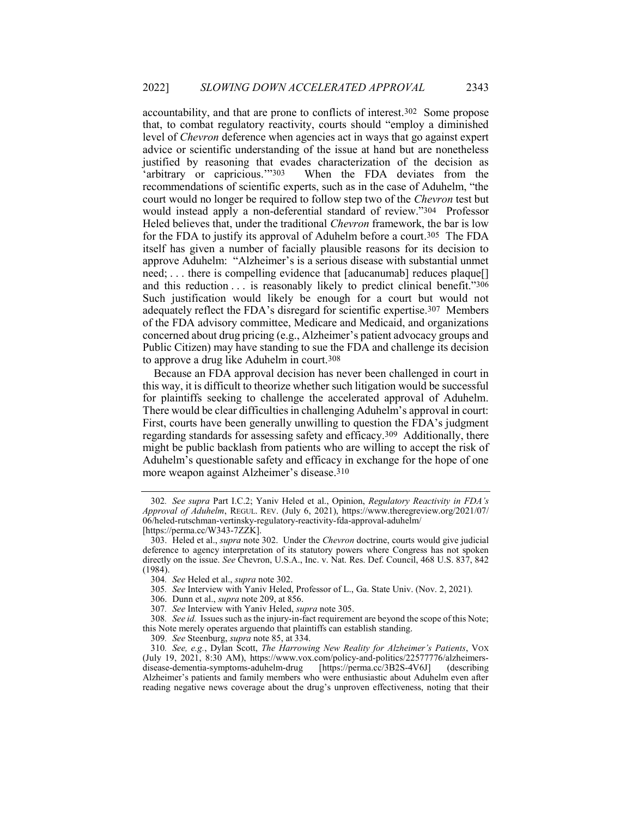accountability, and that are prone to conflicts of interest.302 Some propose that, to combat regulatory reactivity, courts should "employ a diminished level of Chevron deference when agencies act in ways that go against expert advice or scientific understanding of the issue at hand but are nonetheless justified by reasoning that evades characterization of the decision as 'arbitrary or capricious.'"303 When the FDA deviates from the recommendations of scientific experts, such as in the case of Aduhelm, "the court would no longer be required to follow step two of the Chevron test but would instead apply a non-deferential standard of review."304 Professor Heled believes that, under the traditional Chevron framework, the bar is low for the FDA to justify its approval of Aduhelm before a court.305 The FDA itself has given a number of facially plausible reasons for its decision to approve Aduhelm: "Alzheimer's is a serious disease with substantial unmet need; ... there is compelling evidence that [aducanumab] reduces plaque[] and this reduction . . . is reasonably likely to predict clinical benefit."306 Such justification would likely be enough for a court but would not adequately reflect the FDA's disregard for scientific expertise.307 Members of the FDA advisory committee, Medicare and Medicaid, and organizations concerned about drug pricing (e.g., Alzheimer's patient advocacy groups and Public Citizen) may have standing to sue the FDA and challenge its decision to approve a drug like Aduhelm in court.308

Because an FDA approval decision has never been challenged in court in this way, it is difficult to theorize whether such litigation would be successful for plaintiffs seeking to challenge the accelerated approval of Aduhelm. There would be clear difficulties in challenging Aduhelm's approval in court: First, courts have been generally unwilling to question the FDA's judgment regarding standards for assessing safety and efficacy.309 Additionally, there might be public backlash from patients who are willing to accept the risk of Aduhelm's questionable safety and efficacy in exchange for the hope of one more weapon against Alzheimer's disease.310

- 305. See Interview with Yaniv Heled, Professor of L., Ga. State Univ. (Nov. 2, 2021).
- 306. Dunn et al., supra note 209, at 856.

<sup>302</sup>. See supra Part I.C.2; Yaniv Heled et al., Opinion, Regulatory Reactivity in FDA's Approval of Aduhelm, REGUL. REV. (July 6, 2021), https://www.theregreview.org/2021/07/ 06/heled-rutschman-vertinsky-regulatory-reactivity-fda-approval-aduhelm/ [https://perma.cc/W343-7ZZK].

 <sup>303.</sup> Heled et al., supra note 302. Under the Chevron doctrine, courts would give judicial deference to agency interpretation of its statutory powers where Congress has not spoken directly on the issue. See Chevron, U.S.A., Inc. v. Nat. Res. Def. Council, 468 U.S. 837, 842 (1984).

<sup>304</sup>. See Heled et al., supra note 302.

<sup>307</sup>. See Interview with Yaniv Heled, supra note 305.

<sup>308</sup>. See id. Issues such as the injury-in-fact requirement are beyond the scope of this Note; this Note merely operates arguendo that plaintiffs can establish standing.

<sup>309</sup>. See Steenburg, supra note 85, at 334.

<sup>310</sup>. See, e.g., Dylan Scott, The Harrowing New Reality for Alzheimer's Patients, VOX (July 19, 2021, 8:30 AM), https://www.vox.com/policy-and-politics/22577776/alzheimersdisease-dementia-symptoms-aduhelm-drug [https://perma.cc/3B2S-4V6J] (describing Alzheimer's patients and family members who were enthusiastic about Aduhelm even after reading negative news coverage about the drug's unproven effectiveness, noting that their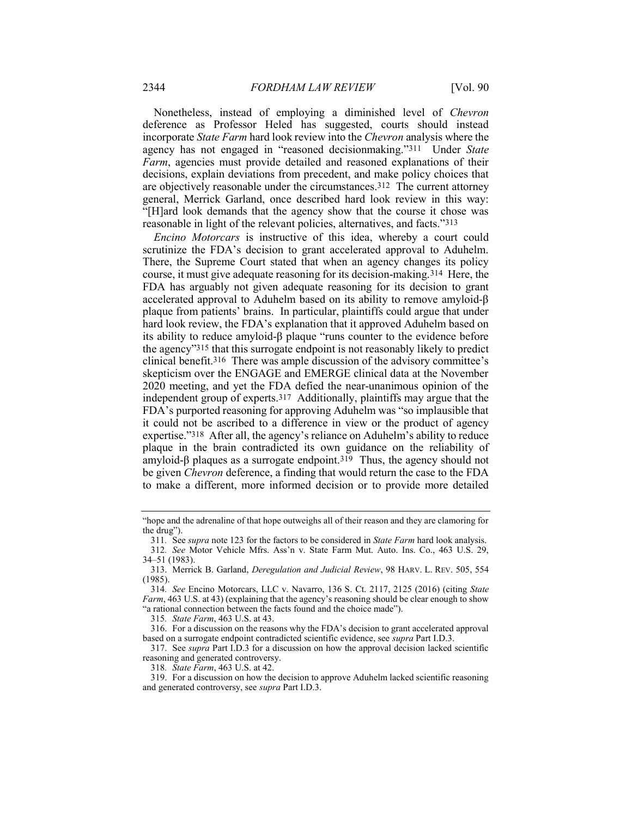Nonetheless, instead of employing a diminished level of Chevron deference as Professor Heled has suggested, courts should instead incorporate State Farm hard look review into the Chevron analysis where the agency has not engaged in "reasoned decisionmaking."311 Under State Farm, agencies must provide detailed and reasoned explanations of their decisions, explain deviations from precedent, and make policy choices that are objectively reasonable under the circumstances.312 The current attorney general, Merrick Garland, once described hard look review in this way: "[H]ard look demands that the agency show that the course it chose was reasonable in light of the relevant policies, alternatives, and facts."313

Encino Motorcars is instructive of this idea, whereby a court could scrutinize the FDA's decision to grant accelerated approval to Aduhelm. There, the Supreme Court stated that when an agency changes its policy course, it must give adequate reasoning for its decision-making.314 Here, the FDA has arguably not given adequate reasoning for its decision to grant accelerated approval to Aduhelm based on its ability to remove amyloid-β plaque from patients' brains. In particular, plaintiffs could argue that under hard look review, the FDA's explanation that it approved Aduhelm based on its ability to reduce amyloid-β plaque "runs counter to the evidence before the agency"315 that this surrogate endpoint is not reasonably likely to predict clinical benefit.316 There was ample discussion of the advisory committee's skepticism over the ENGAGE and EMERGE clinical data at the November 2020 meeting, and yet the FDA defied the near-unanimous opinion of the independent group of experts.317 Additionally, plaintiffs may argue that the FDA's purported reasoning for approving Aduhelm was "so implausible that it could not be ascribed to a difference in view or the product of agency expertise."318 After all, the agency's reliance on Aduhelm's ability to reduce plaque in the brain contradicted its own guidance on the reliability of amyloid-β plaques as a surrogate endpoint.319 Thus, the agency should not be given Chevron deference, a finding that would return the case to the FDA to make a different, more informed decision or to provide more detailed

<sup>&</sup>quot;hope and the adrenaline of that hope outweighs all of their reason and they are clamoring for the drug").

<sup>311</sup>. See supra note 123 for the factors to be considered in State Farm hard look analysis. 312. See Motor Vehicle Mfrs. Ass'n v. State Farm Mut. Auto. Ins. Co., 463 U.S. 29, 34–51 (1983).

 <sup>313.</sup> Merrick B. Garland, Deregulation and Judicial Review, 98 HARV. L. REV. 505, 554 (1985).

<sup>314</sup>. See Encino Motorcars, LLC v. Navarro, 136 S. Ct. 2117, 2125 (2016) (citing State Farm, 463 U.S. at 43) (explaining that the agency's reasoning should be clear enough to show "a rational connection between the facts found and the choice made").

<sup>315</sup>. State Farm, 463 U.S. at 43.

 <sup>316.</sup> For a discussion on the reasons why the FDA's decision to grant accelerated approval based on a surrogate endpoint contradicted scientific evidence, see supra Part I.D.3.

 <sup>317.</sup> See supra Part I.D.3 for a discussion on how the approval decision lacked scientific reasoning and generated controversy.

<sup>318</sup>. State Farm, 463 U.S. at 42.

 <sup>319.</sup> For a discussion on how the decision to approve Aduhelm lacked scientific reasoning and generated controversy, see supra Part I.D.3.